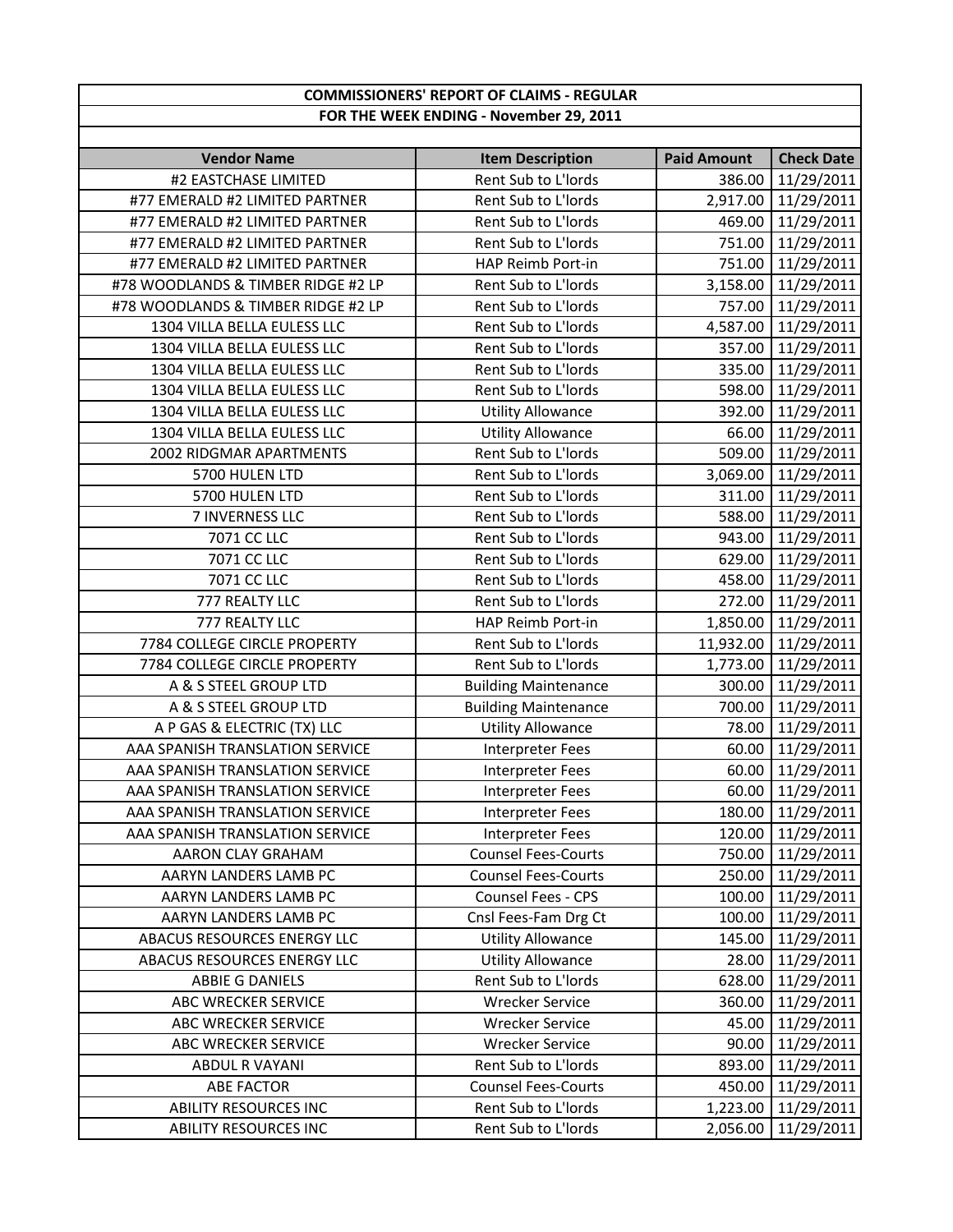## **COMMISSIONERS' REPORT OF CLAIMS ‐ REGULAR FOR THE WEEK ENDING ‐ November 29, 2011**

| <b>Vendor Name</b>                 | <b>Item Description</b>     | <b>Paid Amount</b> | <b>Check Date</b>   |
|------------------------------------|-----------------------------|--------------------|---------------------|
| #2 EASTCHASE LIMITED               | Rent Sub to L'Iords         | 386.00             | 11/29/2011          |
| #77 EMERALD #2 LIMITED PARTNER     | Rent Sub to L'Iords         |                    | 2,917.00 11/29/2011 |
| #77 EMERALD #2 LIMITED PARTNER     | Rent Sub to L'Iords         |                    | 469.00 11/29/2011   |
| #77 EMERALD #2 LIMITED PARTNER     | Rent Sub to L'Iords         | 751.00             | 11/29/2011          |
| #77 EMERALD #2 LIMITED PARTNER     | HAP Reimb Port-in           | 751.00             | 11/29/2011          |
| #78 WOODLANDS & TIMBER RIDGE #2 LP | Rent Sub to L'Iords         | 3,158.00           | 11/29/2011          |
| #78 WOODLANDS & TIMBER RIDGE #2 LP | Rent Sub to L'Iords         | 757.00             | 11/29/2011          |
| 1304 VILLA BELLA EULESS LLC        | Rent Sub to L'Iords         | 4,587.00           | 11/29/2011          |
| 1304 VILLA BELLA EULESS LLC        | Rent Sub to L'Iords         | 357.00             | 11/29/2011          |
| 1304 VILLA BELLA EULESS LLC        | Rent Sub to L'Iords         | 335.00             | 11/29/2011          |
| 1304 VILLA BELLA EULESS LLC        | Rent Sub to L'Iords         |                    | 598.00 11/29/2011   |
| 1304 VILLA BELLA EULESS LLC        | <b>Utility Allowance</b>    | 392.00             | 11/29/2011          |
| 1304 VILLA BELLA EULESS LLC        | <b>Utility Allowance</b>    | 66.00              | 11/29/2011          |
| 2002 RIDGMAR APARTMENTS            | Rent Sub to L'Iords         |                    | 509.00 11/29/2011   |
| 5700 HULEN LTD                     | Rent Sub to L'Iords         | 3,069.00           | 11/29/2011          |
| 5700 HULEN LTD                     | Rent Sub to L'Iords         | 311.00             | 11/29/2011          |
| 7 INVERNESS LLC                    | Rent Sub to L'Iords         | 588.00             | 11/29/2011          |
| 7071 CC LLC                        | Rent Sub to L'Iords         |                    | 943.00 11/29/2011   |
| 7071 CC LLC                        | Rent Sub to L'Iords         | 629.00             | 11/29/2011          |
| 7071 CC LLC                        | Rent Sub to L'Iords         | 458.00             | 11/29/2011          |
| 777 REALTY LLC                     | Rent Sub to L'Iords         |                    | 272.00 11/29/2011   |
| 777 REALTY LLC                     | HAP Reimb Port-in           |                    | 1,850.00 11/29/2011 |
| 7784 COLLEGE CIRCLE PROPERTY       | Rent Sub to L'Iords         | 11,932.00          | 11/29/2011          |
| 7784 COLLEGE CIRCLE PROPERTY       | Rent Sub to L'Iords         | 1,773.00           | 11/29/2011          |
| A & S STEEL GROUP LTD              | <b>Building Maintenance</b> | 300.00             | 11/29/2011          |
| A & S STEEL GROUP LTD              | <b>Building Maintenance</b> | 700.00             | 11/29/2011          |
| A P GAS & ELECTRIC (TX) LLC        | <b>Utility Allowance</b>    | 78.00              | 11/29/2011          |
| AAA SPANISH TRANSLATION SERVICE    | Interpreter Fees            | 60.00              | 11/29/2011          |
| AAA SPANISH TRANSLATION SERVICE    | Interpreter Fees            | 60.00              | 11/29/2011          |
| AAA SPANISH TRANSLATION SERVICE    | Interpreter Fees            | 60.00              | 11/29/2011          |
| AAA SPANISH TRANSLATION SERVICE    | Interpreter Fees            | 180.00             | 11/29/2011          |
| AAA SPANISH TRANSLATION SERVICE    | Interpreter Fees            |                    | 120.00 11/29/2011   |
| AARON CLAY GRAHAM                  | <b>Counsel Fees-Courts</b>  |                    | 750.00 11/29/2011   |
| AARYN LANDERS LAMB PC              | <b>Counsel Fees-Courts</b>  |                    | 250.00 11/29/2011   |
| AARYN LANDERS LAMB PC              | Counsel Fees - CPS          |                    | 100.00 11/29/2011   |
| AARYN LANDERS LAMB PC              | Cnsl Fees-Fam Drg Ct        |                    | 100.00 11/29/2011   |
| ABACUS RESOURCES ENERGY LLC        | <b>Utility Allowance</b>    |                    | 145.00 11/29/2011   |
| ABACUS RESOURCES ENERGY LLC        | <b>Utility Allowance</b>    | 28.00              | 11/29/2011          |
| ABBIE G DANIELS                    | Rent Sub to L'Iords         | 628.00             | 11/29/2011          |
| ABC WRECKER SERVICE                | <b>Wrecker Service</b>      | 360.00             | 11/29/2011          |
| ABC WRECKER SERVICE                | <b>Wrecker Service</b>      | 45.00              | 11/29/2011          |
| ABC WRECKER SERVICE                | <b>Wrecker Service</b>      | 90.00              | 11/29/2011          |
| <b>ABDUL R VAYANI</b>              | Rent Sub to L'Iords         | 893.00             | 11/29/2011          |
| <b>ABE FACTOR</b>                  | <b>Counsel Fees-Courts</b>  |                    | 450.00 11/29/2011   |
| <b>ABILITY RESOURCES INC</b>       | Rent Sub to L'Iords         |                    | 1,223.00 11/29/2011 |
| <b>ABILITY RESOURCES INC</b>       | Rent Sub to L'Iords         | 2,056.00           | 11/29/2011          |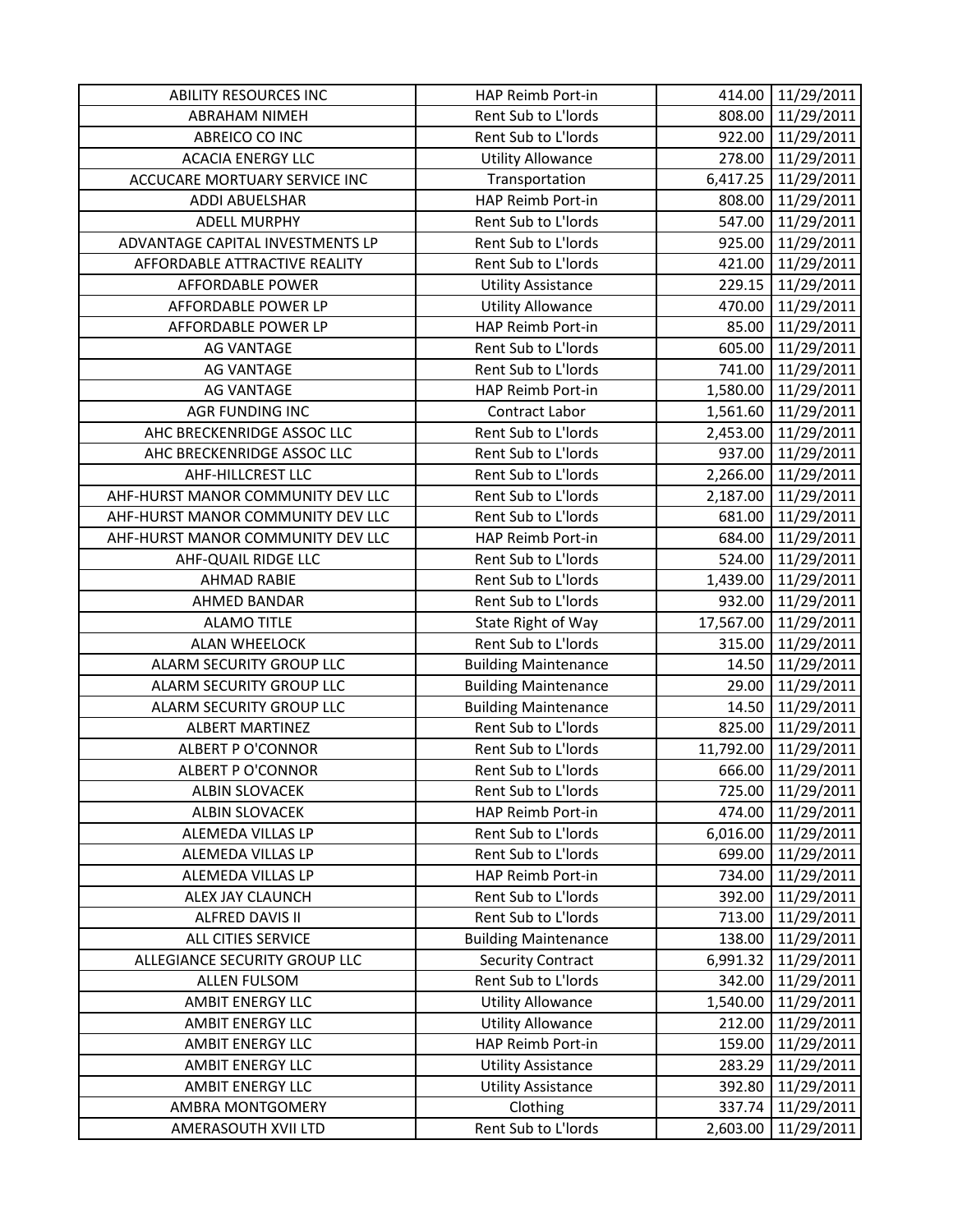| <b>ABILITY RESOURCES INC</b>      | HAP Reimb Port-in               | 414.00    | 11/29/2011           |
|-----------------------------------|---------------------------------|-----------|----------------------|
| <b>ABRAHAM NIMEH</b>              | Rent Sub to L'Iords             | 808.00    | 11/29/2011           |
| ABREICO CO INC                    | Rent Sub to L'Iords             |           | 922.00 11/29/2011    |
| <b>ACACIA ENERGY LLC</b>          | <b>Utility Allowance</b>        | 278.00    | 11/29/2011           |
| ACCUCARE MORTUARY SERVICE INC     | Transportation                  | 6,417.25  | 11/29/2011           |
| ADDI ABUELSHAR                    | HAP Reimb Port-in               | 808.00    | 11/29/2011           |
| <b>ADELL MURPHY</b>               | Rent Sub to L'Iords             | 547.00    | 11/29/2011           |
| ADVANTAGE CAPITAL INVESTMENTS LP  | Rent Sub to L'Iords             | 925.00    | 11/29/2011           |
| AFFORDABLE ATTRACTIVE REALITY     | Rent Sub to L'Iords             | 421.00    | 11/29/2011           |
| <b>AFFORDABLE POWER</b>           | <b>Utility Assistance</b>       |           | 229.15 11/29/2011    |
| AFFORDABLE POWER LP               | <b>Utility Allowance</b>        | 470.00    | 11/29/2011           |
| AFFORDABLE POWER LP               | HAP Reimb Port-in               | 85.00     | 11/29/2011           |
| <b>AG VANTAGE</b>                 | Rent Sub to L'Iords             | 605.00    | 11/29/2011           |
| <b>AG VANTAGE</b>                 | Rent Sub to L'Iords             | 741.00    | 11/29/2011           |
| <b>AG VANTAGE</b>                 | HAP Reimb Port-in               |           | 1,580.00 11/29/2011  |
| <b>AGR FUNDING INC</b>            | Contract Labor                  | 1,561.60  | 11/29/2011           |
| AHC BRECKENRIDGE ASSOC LLC        | Rent Sub to L'Iords             |           | 2,453.00 11/29/2011  |
| AHC BRECKENRIDGE ASSOC LLC        | Rent Sub to L'Iords             |           | 937.00 11/29/2011    |
| AHF-HILLCREST LLC                 | Rent Sub to L'Iords             |           | 2,266.00 11/29/2011  |
| AHF-HURST MANOR COMMUNITY DEV LLC | Rent Sub to L'Iords             | 2,187.00  | 11/29/2011           |
| AHF-HURST MANOR COMMUNITY DEV LLC | Rent Sub to L'Iords             | 681.00    | 11/29/2011           |
| AHF-HURST MANOR COMMUNITY DEV LLC | HAP Reimb Port-in               | 684.00    | 11/29/2011           |
| AHF-QUAIL RIDGE LLC               | Rent Sub to L'Iords             | 524.00    | 11/29/2011           |
| <b>AHMAD RABIE</b>                | Rent Sub to L'Iords             | 1,439.00  | 11/29/2011           |
| <b>AHMED BANDAR</b>               | Rent Sub to L'Iords             | 932.00    | 11/29/2011           |
|                                   |                                 |           |                      |
| <b>ALAMO TITLE</b>                | State Right of Way              |           | 17,567.00 11/29/2011 |
| <b>ALAN WHEELOCK</b>              | Rent Sub to L'Iords             | 315.00    | 11/29/2011           |
| ALARM SECURITY GROUP LLC          | <b>Building Maintenance</b>     | 14.50     | 11/29/2011           |
| ALARM SECURITY GROUP LLC          | <b>Building Maintenance</b>     | 29.00     | 11/29/2011           |
| ALARM SECURITY GROUP LLC          | <b>Building Maintenance</b>     | 14.50     | 11/29/2011           |
| <b>ALBERT MARTINEZ</b>            | Rent Sub to L'Iords             | 825.00    | 11/29/2011           |
| <b>ALBERT P O'CONNOR</b>          | Rent Sub to L'Iords             | 11,792.00 | 11/29/2011           |
| <b>ALBERT P O'CONNOR</b>          | Rent Sub to L'Iords             | 666.00    | 11/29/2011           |
| <b>ALBIN SLOVACEK</b>             | Rent Sub to L'Iords             | 725.00    | 11/29/2011           |
| <b>ALBIN SLOVACEK</b>             | HAP Reimb Port-in               | 474.00    | 11/29/2011           |
| ALEMEDA VILLAS LP                 | Rent Sub to L'Iords             | 6,016.00  | 11/29/2011           |
| ALEMEDA VILLAS LP                 | Rent Sub to L'Iords             | 699.00    | 11/29/2011           |
| ALEMEDA VILLAS LP                 | HAP Reimb Port-in               | 734.00    | 11/29/2011           |
| ALEX JAY CLAUNCH                  | Rent Sub to L'Iords             | 392.00    | 11/29/2011           |
| ALFRED DAVIS II                   | Rent Sub to L'Iords             | 713.00    | 11/29/2011           |
| ALL CITIES SERVICE                | <b>Building Maintenance</b>     | 138.00    | 11/29/2011           |
| ALLEGIANCE SECURITY GROUP LLC     | <b>Security Contract</b>        | 6,991.32  | 11/29/2011           |
| <b>ALLEN FULSOM</b>               | Rent Sub to L'Iords             | 342.00    | 11/29/2011           |
| AMBIT ENERGY LLC                  | <b>Utility Allowance</b>        | 1,540.00  | 11/29/2011           |
| AMBIT ENERGY LLC                  | <b>Utility Allowance</b>        | 212.00    | 11/29/2011           |
| AMBIT ENERGY LLC                  | HAP Reimb Port-in               | 159.00    | 11/29/2011           |
| AMBIT ENERGY LLC                  | <b>Utility Assistance</b>       | 283.29    | 11/29/2011           |
| AMBIT ENERGY LLC                  | <b>Utility Assistance</b>       | 392.80    | 11/29/2011           |
| AMBRA MONTGOMERY                  | Clothing<br>Rent Sub to L'Iords | 337.74    | 11/29/2011           |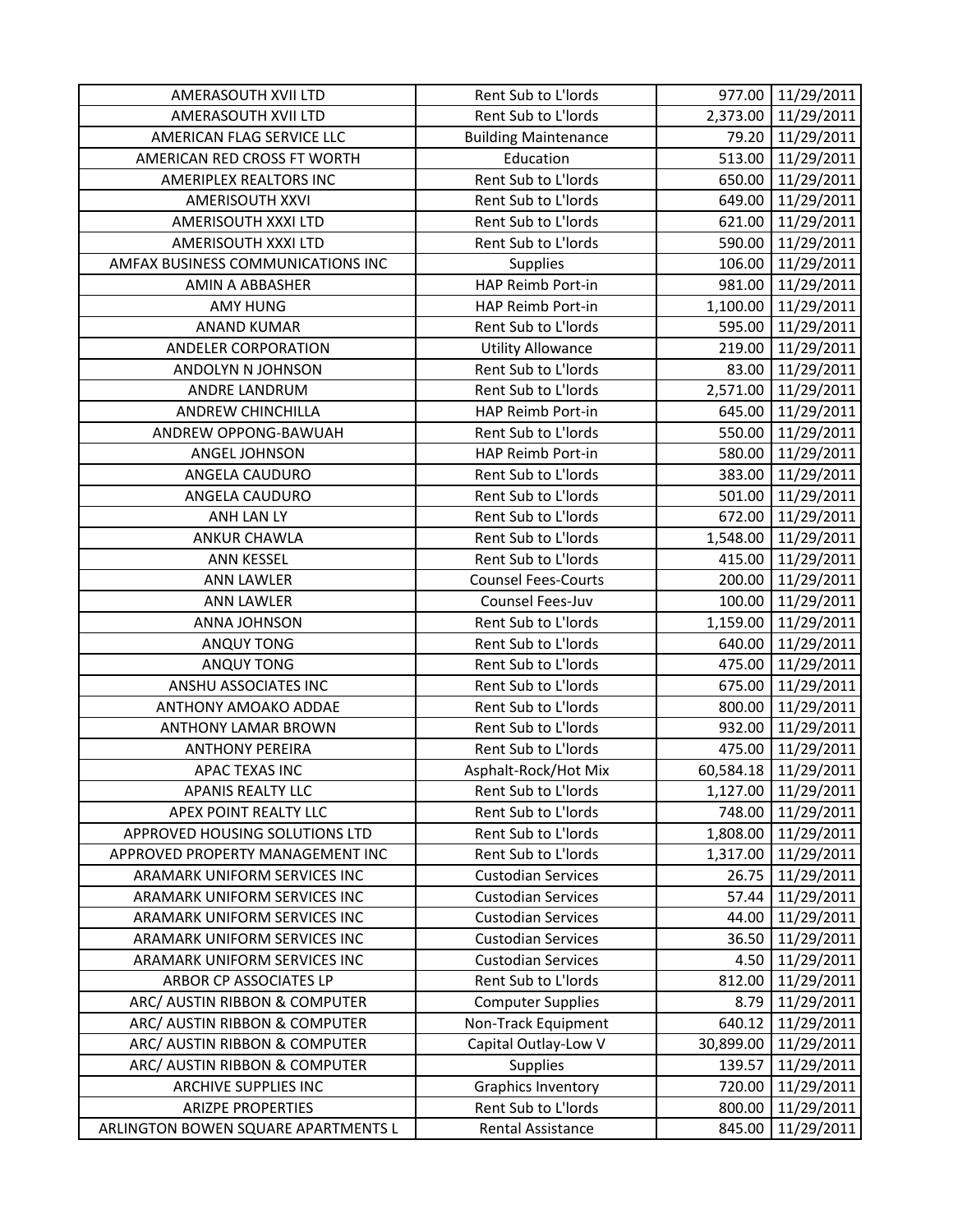| AMERASOUTH XVII LTD                 | Rent Sub to L'Iords         | 977.00    | 11/29/2011          |
|-------------------------------------|-----------------------------|-----------|---------------------|
| AMERASOUTH XVII LTD                 | Rent Sub to L'Iords         |           | 2,373.00 11/29/2011 |
| AMERICAN FLAG SERVICE LLC           | <b>Building Maintenance</b> |           | 79.20 11/29/2011    |
| AMERICAN RED CROSS FT WORTH         | Education                   | 513.00    | 11/29/2011          |
| AMERIPLEX REALTORS INC              | Rent Sub to L'Iords         | 650.00    | 11/29/2011          |
| AMERISOUTH XXVI                     | Rent Sub to L'Iords         | 649.00    | 11/29/2011          |
| AMERISOUTH XXXI LTD                 | Rent Sub to L'Iords         | 621.00    | 11/29/2011          |
| AMERISOUTH XXXI LTD                 | Rent Sub to L'Iords         | 590.00    | 11/29/2011          |
| AMFAX BUSINESS COMMUNICATIONS INC   | Supplies                    | 106.00    | 11/29/2011          |
| AMIN A ABBASHER                     | HAP Reimb Port-in           |           | 981.00 11/29/2011   |
| <b>AMY HUNG</b>                     | HAP Reimb Port-in           | 1,100.00  | 11/29/2011          |
| <b>ANAND KUMAR</b>                  | Rent Sub to L'Iords         | 595.00    | 11/29/2011          |
| ANDELER CORPORATION                 | <b>Utility Allowance</b>    | 219.00    | 11/29/2011          |
| ANDOLYN N JOHNSON                   | Rent Sub to L'Iords         | 83.00     | 11/29/2011          |
| ANDRE LANDRUM                       | Rent Sub to L'Iords         |           | 2,571.00 11/29/2011 |
| ANDREW CHINCHILLA                   | HAP Reimb Port-in           | 645.00    | 11/29/2011          |
| ANDREW OPPONG-BAWUAH                | Rent Sub to L'Iords         | 550.00    | 11/29/2011          |
| ANGEL JOHNSON                       | HAP Reimb Port-in           |           | 580.00 11/29/2011   |
| ANGELA CAUDURO                      | Rent Sub to L'Iords         | 383.00    | 11/29/2011          |
| ANGELA CAUDURO                      | Rent Sub to L'Iords         | 501.00    | 11/29/2011          |
| ANH LAN LY                          | Rent Sub to L'Iords         | 672.00    | 11/29/2011          |
| <b>ANKUR CHAWLA</b>                 | Rent Sub to L'Iords         |           | 1,548.00 11/29/2011 |
| <b>ANN KESSEL</b>                   | Rent Sub to L'Iords         | 415.00    | 11/29/2011          |
| <b>ANN LAWLER</b>                   | <b>Counsel Fees-Courts</b>  | 200.00    | 11/29/2011          |
| <b>ANN LAWLER</b>                   | Counsel Fees-Juv            | 100.00    | 11/29/2011          |
| ANNA JOHNSON                        | Rent Sub to L'Iords         |           | 1,159.00 11/29/2011 |
| <b>ANQUY TONG</b>                   | Rent Sub to L'Iords         | 640.00    | 11/29/2011          |
| ANQUY TONG                          | Rent Sub to L'Iords         | 475.00    | 11/29/2011          |
| ANSHU ASSOCIATES INC                | Rent Sub to L'Iords         | 675.00    | 11/29/2011          |
| ANTHONY AMOAKO ADDAE                | Rent Sub to L'Iords         | 800.00    | 11/29/2011          |
| <b>ANTHONY LAMAR BROWN</b>          | Rent Sub to L'Iords         | 932.00    | 11/29/2011          |
| <b>ANTHONY PEREIRA</b>              | Rent Sub to L'Iords         | 475.00    | 11/29/2011          |
| <b>APAC TEXAS INC</b>               | Asphalt-Rock/Hot Mix        | 60,584.18 | 11/29/2011          |
| <b>APANIS REALTY LLC</b>            | Rent Sub to L'Iords         | 1,127.00  | 11/29/2011          |
| APEX POINT REALTY LLC               | Rent Sub to L'Iords         | 748.00    | 11/29/2011          |
| APPROVED HOUSING SOLUTIONS LTD      | Rent Sub to L'Iords         | 1,808.00  | 11/29/2011          |
| APPROVED PROPERTY MANAGEMENT INC    | Rent Sub to L'Iords         | 1,317.00  | 11/29/2011          |
| ARAMARK UNIFORM SERVICES INC        | <b>Custodian Services</b>   | 26.75     | 11/29/2011          |
| ARAMARK UNIFORM SERVICES INC        | <b>Custodian Services</b>   | 57.44     | 11/29/2011          |
| ARAMARK UNIFORM SERVICES INC        | <b>Custodian Services</b>   | 44.00     | 11/29/2011          |
| ARAMARK UNIFORM SERVICES INC        | <b>Custodian Services</b>   | 36.50     | 11/29/2011          |
| ARAMARK UNIFORM SERVICES INC        | <b>Custodian Services</b>   | 4.50      | 11/29/2011          |
| ARBOR CP ASSOCIATES LP              | Rent Sub to L'Iords         | 812.00    | 11/29/2011          |
| ARC/ AUSTIN RIBBON & COMPUTER       | <b>Computer Supplies</b>    | 8.79      | 11/29/2011          |
| ARC/ AUSTIN RIBBON & COMPUTER       | Non-Track Equipment         | 640.12    | 11/29/2011          |
| ARC/ AUSTIN RIBBON & COMPUTER       | Capital Outlay-Low V        | 30,899.00 | 11/29/2011          |
| ARC/ AUSTIN RIBBON & COMPUTER       | <b>Supplies</b>             | 139.57    | 11/29/2011          |
| ARCHIVE SUPPLIES INC                | <b>Graphics Inventory</b>   | 720.00    | 11/29/2011          |
| <b>ARIZPE PROPERTIES</b>            | Rent Sub to L'Iords         | 800.00    | 11/29/2011          |
| ARLINGTON BOWEN SQUARE APARTMENTS L | Rental Assistance           | 845.00    | 11/29/2011          |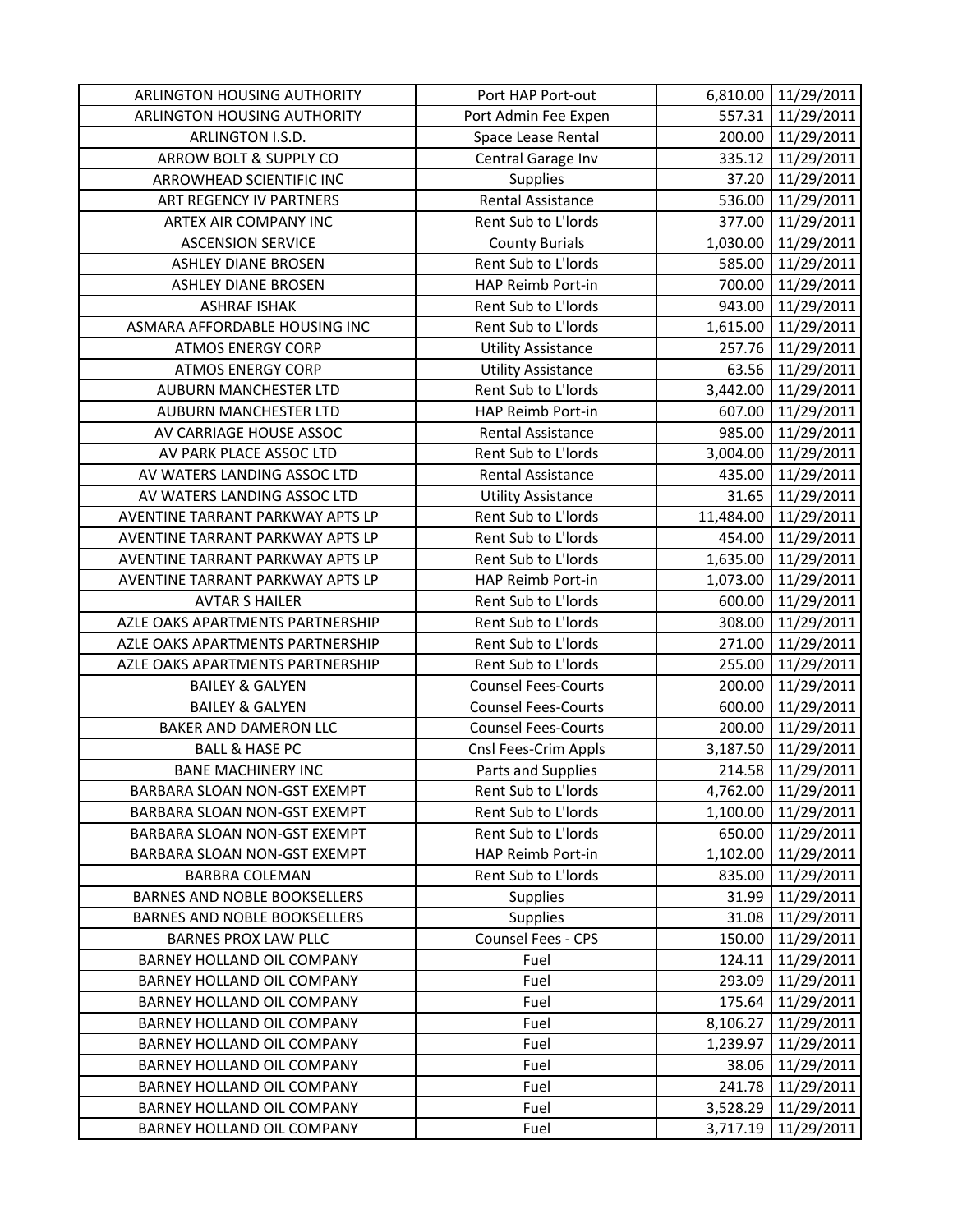| ARLINGTON HOUSING AUTHORITY         | Port HAP Port-out          |          | 6,810.00 11/29/2011  |
|-------------------------------------|----------------------------|----------|----------------------|
| ARLINGTON HOUSING AUTHORITY         | Port Admin Fee Expen       |          | 557.31 11/29/2011    |
| ARLINGTON I.S.D.                    | Space Lease Rental         |          | 200.00 11/29/2011    |
| ARROW BOLT & SUPPLY CO              | Central Garage Inv         | 335.12   | 11/29/2011           |
| ARROWHEAD SCIENTIFIC INC            | <b>Supplies</b>            | 37.20    | 11/29/2011           |
| ART REGENCY IV PARTNERS             | Rental Assistance          | 536.00   | 11/29/2011           |
| ARTEX AIR COMPANY INC               | Rent Sub to L'Iords        | 377.00   | 11/29/2011           |
| <b>ASCENSION SERVICE</b>            | <b>County Burials</b>      | 1,030.00 | 11/29/2011           |
| <b>ASHLEY DIANE BROSEN</b>          | Rent Sub to L'Iords        | 585.00   | 11/29/2011           |
| <b>ASHLEY DIANE BROSEN</b>          | HAP Reimb Port-in          | 700.00   | 11/29/2011           |
| <b>ASHRAF ISHAK</b>                 | Rent Sub to L'Iords        | 943.00   | 11/29/2011           |
| ASMARA AFFORDABLE HOUSING INC       | Rent Sub to L'Iords        | 1,615.00 | 11/29/2011           |
| <b>ATMOS ENERGY CORP</b>            | <b>Utility Assistance</b>  |          | 257.76 11/29/2011    |
| <b>ATMOS ENERGY CORP</b>            | <b>Utility Assistance</b>  | 63.56    | 11/29/2011           |
| <b>AUBURN MANCHESTER LTD</b>        | Rent Sub to L'Iords        |          | 3,442.00 11/29/2011  |
| <b>AUBURN MANCHESTER LTD</b>        | HAP Reimb Port-in          | 607.00   | 11/29/2011           |
| AV CARRIAGE HOUSE ASSOC             | Rental Assistance          | 985.00   | 11/29/2011           |
| AV PARK PLACE ASSOC LTD             | Rent Sub to L'Iords        |          | 3,004.00 11/29/2011  |
| AV WATERS LANDING ASSOC LTD         | <b>Rental Assistance</b>   | 435.00   | 11/29/2011           |
| AV WATERS LANDING ASSOC LTD         | <b>Utility Assistance</b>  | 31.65    | 11/29/2011           |
| AVENTINE TARRANT PARKWAY APTS LP    | Rent Sub to L'Iords        |          | 11,484.00 11/29/2011 |
| AVENTINE TARRANT PARKWAY APTS LP    | Rent Sub to L'Iords        | 454.00   | 11/29/2011           |
| AVENTINE TARRANT PARKWAY APTS LP    | Rent Sub to L'Iords        |          | 1,635.00 11/29/2011  |
| AVENTINE TARRANT PARKWAY APTS LP    | HAP Reimb Port-in          | 1,073.00 | 11/29/2011           |
| <b>AVTAR S HAILER</b>               | Rent Sub to L'Iords        | 600.00   | 11/29/2011           |
| AZLE OAKS APARTMENTS PARTNERSHIP    | Rent Sub to L'Iords        | 308.00   | 11/29/2011           |
| AZLE OAKS APARTMENTS PARTNERSHIP    | Rent Sub to L'Iords        | 271.00   | 11/29/2011           |
| AZLE OAKS APARTMENTS PARTNERSHIP    | Rent Sub to L'Iords        | 255.00   | 11/29/2011           |
| <b>BAILEY &amp; GALYEN</b>          | <b>Counsel Fees-Courts</b> | 200.00   | 11/29/2011           |
| <b>BAILEY &amp; GALYEN</b>          | <b>Counsel Fees-Courts</b> | 600.00   | 11/29/2011           |
| BAKER AND DAMERON LLC               | <b>Counsel Fees-Courts</b> | 200.00   | 11/29/2011           |
| <b>BALL &amp; HASE PC</b>           | Cnsl Fees-Crim Appls       | 3,187.50 | 11/29/2011           |
| <b>BANE MACHINERY INC</b>           | Parts and Supplies         | 214.58   | 11/29/2011           |
| BARBARA SLOAN NON-GST EXEMPT        | Rent Sub to L'Iords        | 4,762.00 | 11/29/2011           |
| BARBARA SLOAN NON-GST EXEMPT        | Rent Sub to L'Iords        | 1,100.00 | 11/29/2011           |
| BARBARA SLOAN NON-GST EXEMPT        | Rent Sub to L'Iords        | 650.00   | 11/29/2011           |
| BARBARA SLOAN NON-GST EXEMPT        | HAP Reimb Port-in          | 1,102.00 | 11/29/2011           |
| <b>BARBRA COLEMAN</b>               | Rent Sub to L'Iords        | 835.00   | 11/29/2011           |
| BARNES AND NOBLE BOOKSELLERS        | <b>Supplies</b>            | 31.99    | 11/29/2011           |
| <b>BARNES AND NOBLE BOOKSELLERS</b> | <b>Supplies</b>            | 31.08    | 11/29/2011           |
| <b>BARNES PROX LAW PLLC</b>         | Counsel Fees - CPS         | 150.00   | 11/29/2011           |
| BARNEY HOLLAND OIL COMPANY          | Fuel                       | 124.11   | 11/29/2011           |
| BARNEY HOLLAND OIL COMPANY          | Fuel                       | 293.09   | 11/29/2011           |
| BARNEY HOLLAND OIL COMPANY          | Fuel                       | 175.64   | 11/29/2011           |
| BARNEY HOLLAND OIL COMPANY          | Fuel                       | 8,106.27 | 11/29/2011           |
| BARNEY HOLLAND OIL COMPANY          | Fuel                       | 1,239.97 | 11/29/2011           |
| BARNEY HOLLAND OIL COMPANY          | Fuel                       | 38.06    | 11/29/2011           |
| BARNEY HOLLAND OIL COMPANY          | Fuel                       | 241.78   | 11/29/2011           |
| BARNEY HOLLAND OIL COMPANY          | Fuel                       | 3,528.29 | 11/29/2011           |
| BARNEY HOLLAND OIL COMPANY          | Fuel                       | 3,717.19 | 11/29/2011           |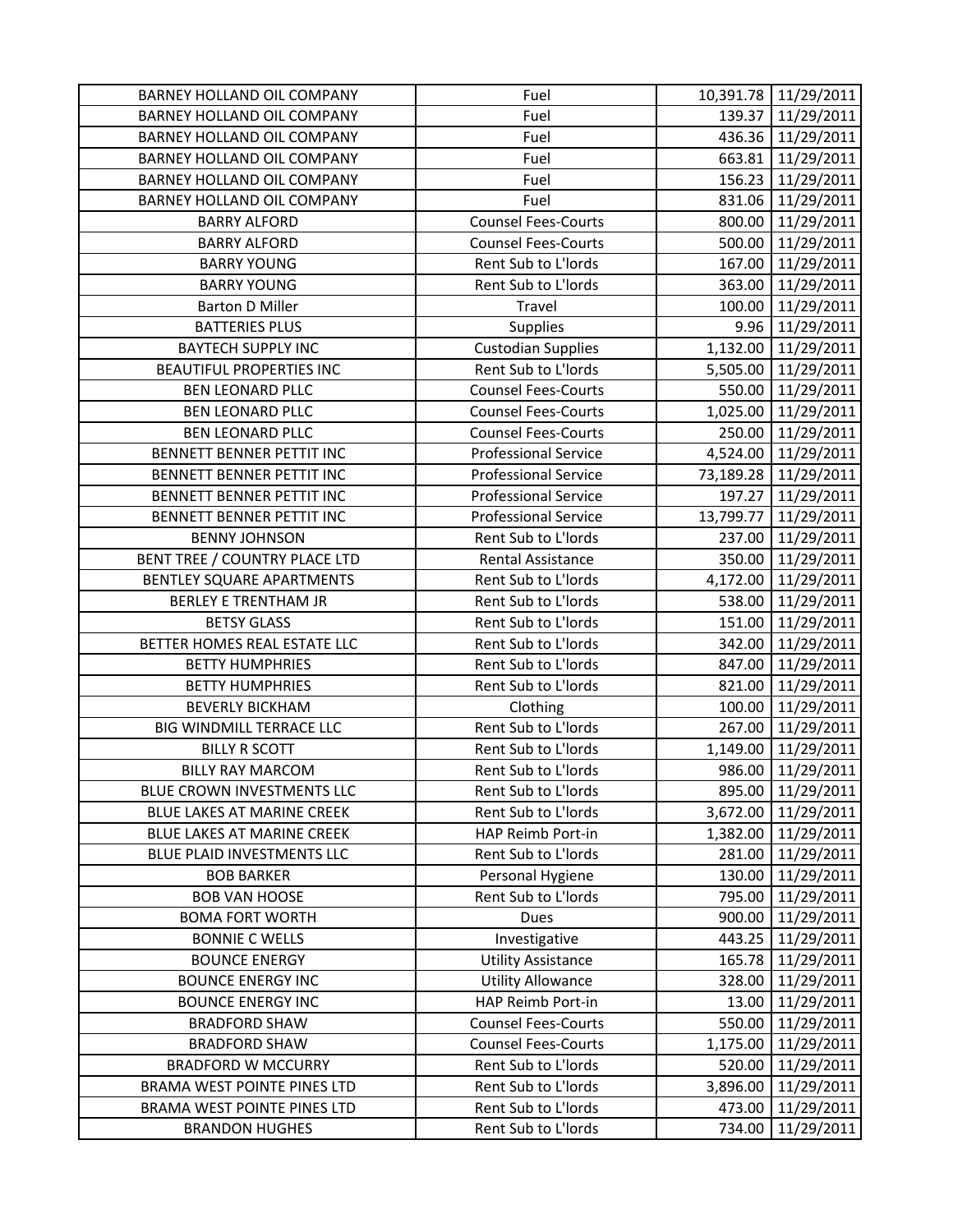| BARNEY HOLLAND OIL COMPANY        | Fuel                        |           | 10,391.78 11/29/2011 |
|-----------------------------------|-----------------------------|-----------|----------------------|
| BARNEY HOLLAND OIL COMPANY        | Fuel                        |           | 139.37 11/29/2011    |
| BARNEY HOLLAND OIL COMPANY        | Fuel                        |           | 436.36 11/29/2011    |
| <b>BARNEY HOLLAND OIL COMPANY</b> | Fuel                        | 663.81    | 11/29/2011           |
| BARNEY HOLLAND OIL COMPANY        | Fuel                        | 156.23    | 11/29/2011           |
| BARNEY HOLLAND OIL COMPANY        | Fuel                        | 831.06    | 11/29/2011           |
| <b>BARRY ALFORD</b>               | <b>Counsel Fees-Courts</b>  | 800.00    | 11/29/2011           |
| <b>BARRY ALFORD</b>               | <b>Counsel Fees-Courts</b>  | 500.00    | 11/29/2011           |
| <b>BARRY YOUNG</b>                | Rent Sub to L'Iords         | 167.00    | 11/29/2011           |
| <b>BARRY YOUNG</b>                | Rent Sub to L'Iords         | 363.00    | 11/29/2011           |
| <b>Barton D Miller</b>            | Travel                      | 100.00    | 11/29/2011           |
| <b>BATTERIES PLUS</b>             | Supplies                    | 9.96      | 11/29/2011           |
| <b>BAYTECH SUPPLY INC</b>         | <b>Custodian Supplies</b>   |           | 1,132.00 11/29/2011  |
| <b>BEAUTIFUL PROPERTIES INC</b>   | Rent Sub to L'Iords         | 5,505.00  | 11/29/2011           |
| <b>BEN LEONARD PLLC</b>           | <b>Counsel Fees-Courts</b>  | 550.00    | 11/29/2011           |
| <b>BEN LEONARD PLLC</b>           | <b>Counsel Fees-Courts</b>  | 1,025.00  | 11/29/2011           |
| <b>BEN LEONARD PLLC</b>           | <b>Counsel Fees-Courts</b>  | 250.00    | 11/29/2011           |
| <b>BENNETT BENNER PETTIT INC</b>  | <b>Professional Service</b> | 4,524.00  | 11/29/2011           |
| <b>BENNETT BENNER PETTIT INC</b>  | <b>Professional Service</b> | 73,189.28 | 11/29/2011           |
| BENNETT BENNER PETTIT INC         | <b>Professional Service</b> | 197.27    | 11/29/2011           |
| BENNETT BENNER PETTIT INC         | <b>Professional Service</b> | 13,799.77 | 11/29/2011           |
| <b>BENNY JOHNSON</b>              | Rent Sub to L'Iords         | 237.00    | 11/29/2011           |
| BENT TREE / COUNTRY PLACE LTD     | Rental Assistance           | 350.00    | 11/29/2011           |
| BENTLEY SQUARE APARTMENTS         | Rent Sub to L'Iords         | 4,172.00  | 11/29/2011           |
| <b>BERLEY E TRENTHAM JR</b>       | Rent Sub to L'Iords         | 538.00    | 11/29/2011           |
| <b>BETSY GLASS</b>                | Rent Sub to L'Iords         | 151.00    | 11/29/2011           |
| BETTER HOMES REAL ESTATE LLC      | Rent Sub to L'Iords         | 342.00    | 11/29/2011           |
| <b>BETTY HUMPHRIES</b>            | Rent Sub to L'Iords         | 847.00    | 11/29/2011           |
| <b>BETTY HUMPHRIES</b>            | Rent Sub to L'Iords         | 821.00    | 11/29/2011           |
| <b>BEVERLY BICKHAM</b>            | Clothing                    | 100.00    | 11/29/2011           |
| BIG WINDMILL TERRACE LLC          | Rent Sub to L'Iords         | 267.00    | 11/29/2011           |
| <b>BILLY R SCOTT</b>              | Rent Sub to L'Iords         | 1,149.00  | 11/29/2011           |
| <b>BILLY RAY MARCOM</b>           | Rent Sub to L'Iords         | 986.00    | 11/29/2011           |
| BLUE CROWN INVESTMENTS LLC        | Rent Sub to L'Iords         | 895.00    | 11/29/2011           |
| BLUE LAKES AT MARINE CREEK        | Rent Sub to L'Iords         | 3,672.00  | 11/29/2011           |
| BLUE LAKES AT MARINE CREEK        | HAP Reimb Port-in           | 1,382.00  | 11/29/2011           |
| BLUE PLAID INVESTMENTS LLC        | Rent Sub to L'Iords         | 281.00    | 11/29/2011           |
| <b>BOB BARKER</b>                 | Personal Hygiene            | 130.00    | 11/29/2011           |
| <b>BOB VAN HOOSE</b>              | Rent Sub to L'Iords         | 795.00    | 11/29/2011           |
| <b>BOMA FORT WORTH</b>            | Dues                        | 900.00    | 11/29/2011           |
| <b>BONNIE C WELLS</b>             | Investigative               | 443.25    | 11/29/2011           |
| <b>BOUNCE ENERGY</b>              | <b>Utility Assistance</b>   | 165.78    | 11/29/2011           |
| <b>BOUNCE ENERGY INC</b>          | <b>Utility Allowance</b>    | 328.00    | 11/29/2011           |
| <b>BOUNCE ENERGY INC</b>          | HAP Reimb Port-in           | 13.00     | 11/29/2011           |
| <b>BRADFORD SHAW</b>              | <b>Counsel Fees-Courts</b>  | 550.00    | 11/29/2011           |
| <b>BRADFORD SHAW</b>              | <b>Counsel Fees-Courts</b>  | 1,175.00  | 11/29/2011           |
| <b>BRADFORD W MCCURRY</b>         | Rent Sub to L'Iords         | 520.00    | 11/29/2011           |
| BRAMA WEST POINTE PINES LTD       | Rent Sub to L'Iords         | 3,896.00  | 11/29/2011           |
| BRAMA WEST POINTE PINES LTD       | Rent Sub to L'Iords         | 473.00    | 11/29/2011           |
| <b>BRANDON HUGHES</b>             | Rent Sub to L'Iords         | 734.00    | 11/29/2011           |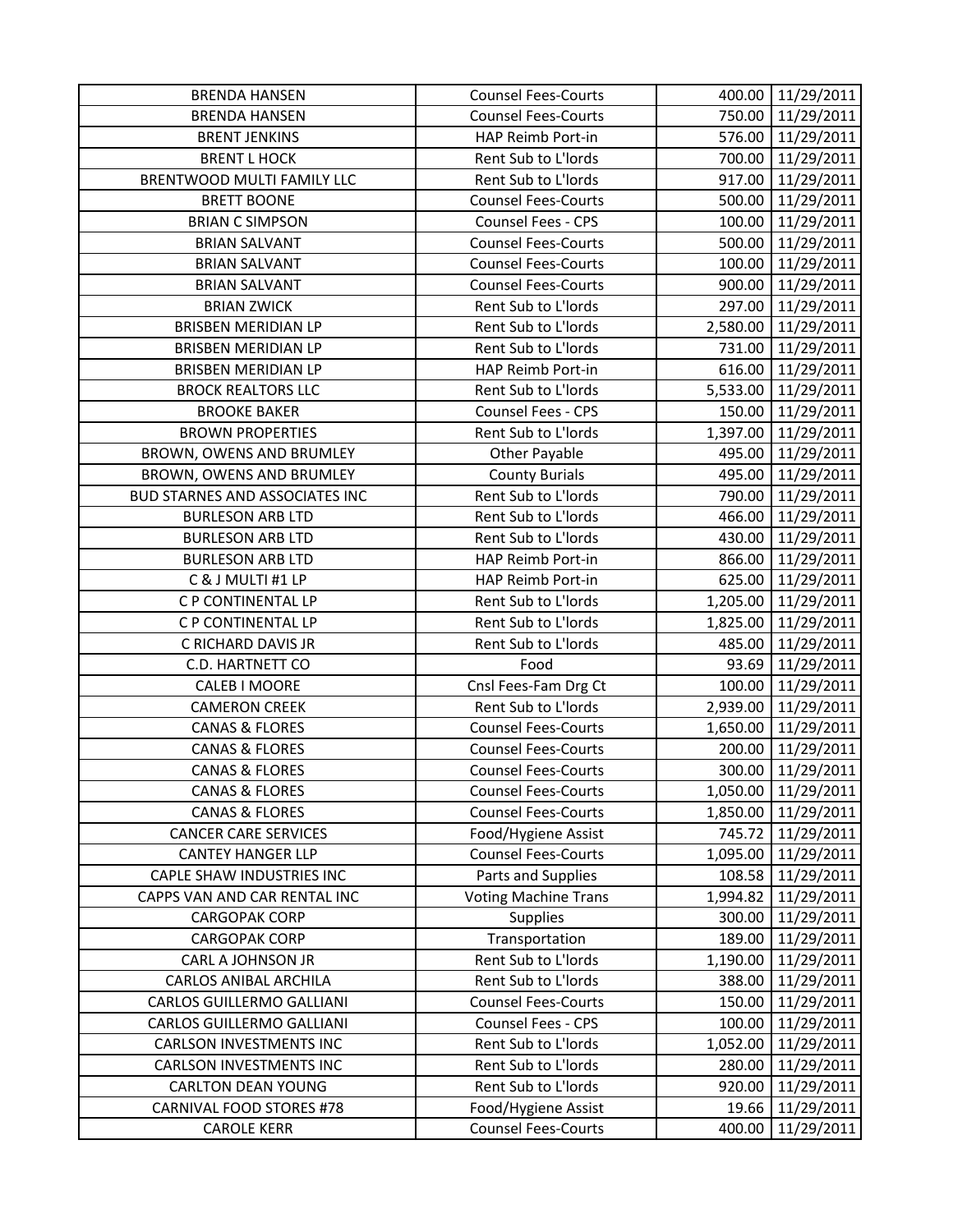| <b>BRENDA HANSEN</b>              | <b>Counsel Fees-Courts</b>                        | 400.00   | 11/29/2011          |
|-----------------------------------|---------------------------------------------------|----------|---------------------|
| <b>BRENDA HANSEN</b>              | <b>Counsel Fees-Courts</b>                        | 750.00   | 11/29/2011          |
| <b>BRENT JENKINS</b>              | HAP Reimb Port-in                                 |          | 576.00 11/29/2011   |
| <b>BRENT L HOCK</b>               | Rent Sub to L'Iords                               | 700.00   | 11/29/2011          |
| <b>BRENTWOOD MULTI FAMILY LLC</b> | Rent Sub to L'Iords                               | 917.00   | 11/29/2011          |
| <b>BRETT BOONE</b>                | <b>Counsel Fees-Courts</b>                        | 500.00   | 11/29/2011          |
| <b>BRIAN C SIMPSON</b>            | Counsel Fees - CPS                                | 100.00   | 11/29/2011          |
| <b>BRIAN SALVANT</b>              | <b>Counsel Fees-Courts</b>                        | 500.00   | 11/29/2011          |
| <b>BRIAN SALVANT</b>              | <b>Counsel Fees-Courts</b>                        | 100.00   | 11/29/2011          |
| <b>BRIAN SALVANT</b>              | <b>Counsel Fees-Courts</b>                        | 900.00   | 11/29/2011          |
| <b>BRIAN ZWICK</b>                | Rent Sub to L'Iords                               | 297.00   | 11/29/2011          |
| <b>BRISBEN MERIDIAN LP</b>        | Rent Sub to L'Iords                               | 2,580.00 | 11/29/2011          |
| <b>BRISBEN MERIDIAN LP</b>        | Rent Sub to L'Iords                               | 731.00   | 11/29/2011          |
| <b>BRISBEN MERIDIAN LP</b>        | HAP Reimb Port-in                                 | 616.00   | 11/29/2011          |
| <b>BROCK REALTORS LLC</b>         | Rent Sub to L'Iords                               |          | 5,533.00 11/29/2011 |
| <b>BROOKE BAKER</b>               | Counsel Fees - CPS                                | 150.00   | 11/29/2011          |
| <b>BROWN PROPERTIES</b>           | Rent Sub to L'Iords                               |          | 1,397.00 11/29/2011 |
| BROWN, OWENS AND BRUMLEY          | Other Payable                                     |          | 495.00 11/29/2011   |
| BROWN, OWENS AND BRUMLEY          | <b>County Burials</b>                             | 495.00   | 11/29/2011          |
| BUD STARNES AND ASSOCIATES INC    | Rent Sub to L'Iords                               | 790.00   | 11/29/2011          |
| <b>BURLESON ARB LTD</b>           | Rent Sub to L'Iords                               | 466.00   | 11/29/2011          |
| <b>BURLESON ARB LTD</b>           | Rent Sub to L'Iords                               |          | 430.00 11/29/2011   |
| <b>BURLESON ARB LTD</b>           | HAP Reimb Port-in                                 | 866.00   | 11/29/2011          |
| C & J MULTI #1 LP                 | HAP Reimb Port-in                                 | 625.00   | 11/29/2011          |
| C P CONTINENTAL LP                | Rent Sub to L'Iords                               | 1,205.00 | 11/29/2011          |
| C P CONTINENTAL LP                | Rent Sub to L'Iords                               | 1,825.00 | 11/29/2011          |
| C RICHARD DAVIS JR                | Rent Sub to L'Iords                               | 485.00   | 11/29/2011          |
| C.D. HARTNETT CO                  | Food                                              | 93.69    | 11/29/2011          |
| CALEB I MOORE                     | Cnsl Fees-Fam Drg Ct                              | 100.00   | 11/29/2011          |
| <b>CAMERON CREEK</b>              | Rent Sub to L'Iords                               | 2,939.00 | 11/29/2011          |
| <b>CANAS &amp; FLORES</b>         | <b>Counsel Fees-Courts</b>                        | 1,650.00 | 11/29/2011          |
| <b>CANAS &amp; FLORES</b>         | <b>Counsel Fees-Courts</b>                        | 200.00   | 11/29/2011          |
| <b>CANAS &amp; FLORES</b>         | <b>Counsel Fees-Courts</b>                        | 300.00   | 11/29/2011          |
| <b>CANAS &amp; FLORES</b>         | <b>Counsel Fees-Courts</b>                        | 1,050.00 | 11/29/2011          |
| <b>CANAS &amp; FLORES</b>         | <b>Counsel Fees-Courts</b>                        | 1,850.00 | 11/29/2011          |
| <b>CANCER CARE SERVICES</b>       | Food/Hygiene Assist                               | 745.72   | 11/29/2011          |
| <b>CANTEY HANGER LLP</b>          | <b>Counsel Fees-Courts</b>                        | 1,095.00 | 11/29/2011          |
| CAPLE SHAW INDUSTRIES INC         | Parts and Supplies                                | 108.58   | 11/29/2011          |
| CAPPS VAN AND CAR RENTAL INC      | <b>Voting Machine Trans</b>                       | 1,994.82 | 11/29/2011          |
| <b>CARGOPAK CORP</b>              | <b>Supplies</b>                                   | 300.00   | 11/29/2011          |
| <b>CARGOPAK CORP</b>              | Transportation                                    | 189.00   | 11/29/2011          |
| CARL A JOHNSON JR                 | Rent Sub to L'Iords                               | 1,190.00 | 11/29/2011          |
| <b>CARLOS ANIBAL ARCHILA</b>      | Rent Sub to L'Iords                               | 388.00   | 11/29/2011          |
| CARLOS GUILLERMO GALLIANI         | <b>Counsel Fees-Courts</b>                        | 150.00   | 11/29/2011          |
|                                   |                                                   |          |                     |
| CARLOS GUILLERMO GALLIANI         | Counsel Fees - CPS                                | 100.00   | 11/29/2011          |
| <b>CARLSON INVESTMENTS INC</b>    | Rent Sub to L'Iords                               | 1,052.00 | 11/29/2011          |
| <b>CARLSON INVESTMENTS INC</b>    | Rent Sub to L'Iords                               | 280.00   | 11/29/2011          |
| <b>CARLTON DEAN YOUNG</b>         | Rent Sub to L'Iords                               | 920.00   | 11/29/2011          |
| <b>CARNIVAL FOOD STORES #78</b>   | Food/Hygiene Assist<br><b>Counsel Fees-Courts</b> | 19.66    | 11/29/2011          |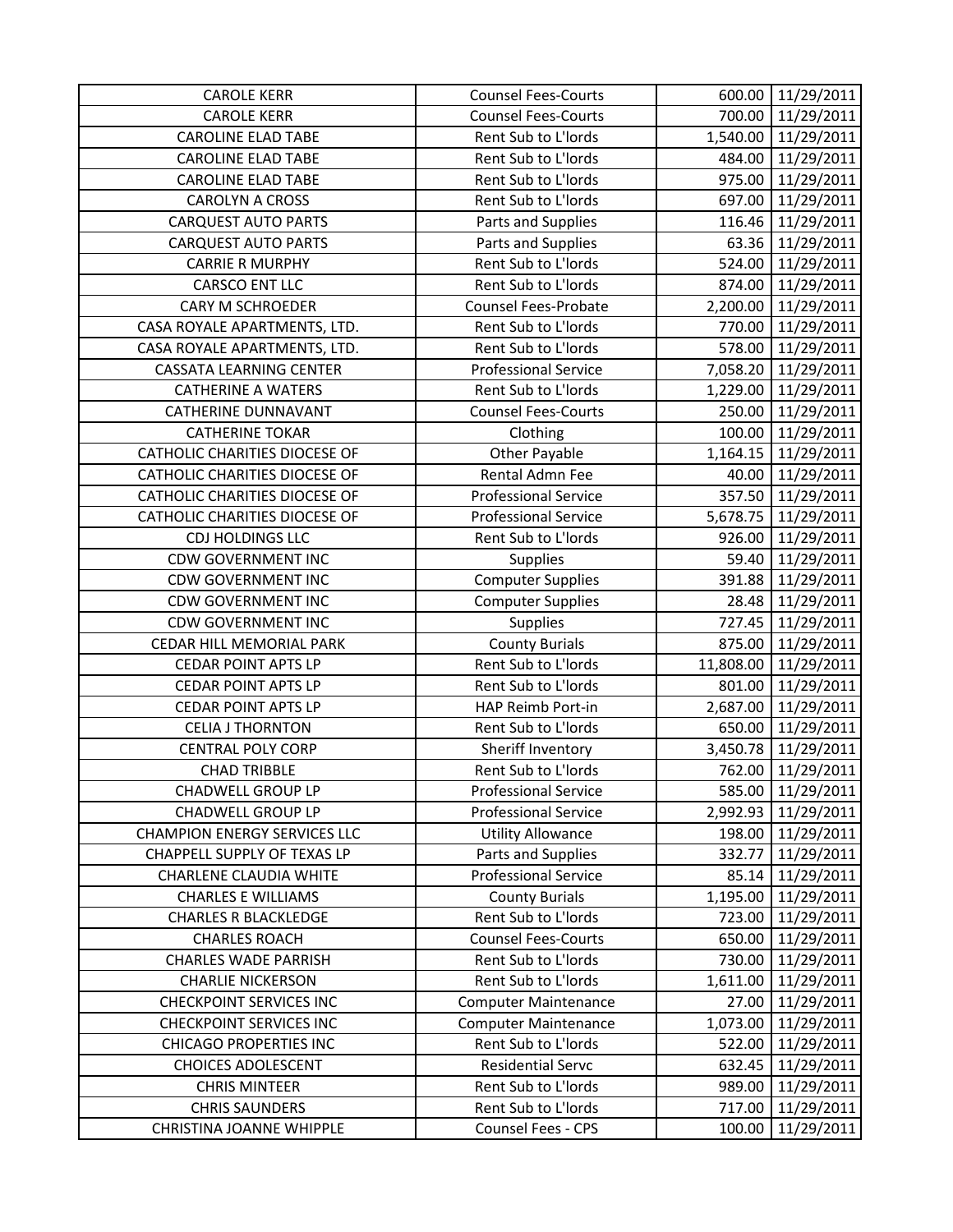| <b>CAROLE KERR</b>                   | <b>Counsel Fees-Courts</b>  |           | 600.00 11/29/2011   |
|--------------------------------------|-----------------------------|-----------|---------------------|
| <b>CAROLE KERR</b>                   | <b>Counsel Fees-Courts</b>  |           | 700.00 11/29/2011   |
| <b>CAROLINE ELAD TABE</b>            | Rent Sub to L'Iords         |           | 1,540.00 11/29/2011 |
| <b>CAROLINE ELAD TABE</b>            | Rent Sub to L'Iords         | 484.00    | 11/29/2011          |
| <b>CAROLINE ELAD TABE</b>            | Rent Sub to L'Iords         | 975.00    | 11/29/2011          |
| <b>CAROLYN A CROSS</b>               | Rent Sub to L'Iords         | 697.00    | 11/29/2011          |
| <b>CARQUEST AUTO PARTS</b>           | Parts and Supplies          | 116.46    | 11/29/2011          |
| <b>CARQUEST AUTO PARTS</b>           | Parts and Supplies          | 63.36     | 11/29/2011          |
| <b>CARRIE R MURPHY</b>               | Rent Sub to L'Iords         | 524.00    | 11/29/2011          |
| CARSCO ENT LLC                       | Rent Sub to L'Iords         |           | 874.00 11/29/2011   |
| <b>CARY M SCHROEDER</b>              | <b>Counsel Fees-Probate</b> | 2,200.00  | 11/29/2011          |
| CASA ROYALE APARTMENTS, LTD.         | Rent Sub to L'Iords         | 770.00    | 11/29/2011          |
| CASA ROYALE APARTMENTS, LTD.         | Rent Sub to L'Iords         | 578.00    | 11/29/2011          |
| <b>CASSATA LEARNING CENTER</b>       | <b>Professional Service</b> | 7,058.20  | 11/29/2011          |
| <b>CATHERINE A WATERS</b>            | Rent Sub to L'Iords         | 1,229.00  | 11/29/2011          |
| <b>CATHERINE DUNNAVANT</b>           | <b>Counsel Fees-Courts</b>  | 250.00    | 11/29/2011          |
| <b>CATHERINE TOKAR</b>               | Clothing                    |           | 100.00 11/29/2011   |
| CATHOLIC CHARITIES DIOCESE OF        | Other Payable               |           | 1,164.15 11/29/2011 |
| <b>CATHOLIC CHARITIES DIOCESE OF</b> | Rental Admn Fee             | 40.00     | 11/29/2011          |
| CATHOLIC CHARITIES DIOCESE OF        | <b>Professional Service</b> | 357.50    | 11/29/2011          |
| CATHOLIC CHARITIES DIOCESE OF        | <b>Professional Service</b> |           | 5,678.75 11/29/2011 |
| CDJ HOLDINGS LLC                     | Rent Sub to L'Iords         | 926.00    | 11/29/2011          |
| <b>CDW GOVERNMENT INC</b>            | <b>Supplies</b>             | 59.40     | 11/29/2011          |
| <b>CDW GOVERNMENT INC</b>            | <b>Computer Supplies</b>    | 391.88    | 11/29/2011          |
| <b>CDW GOVERNMENT INC</b>            | <b>Computer Supplies</b>    | 28.48     | 11/29/2011          |
| <b>CDW GOVERNMENT INC</b>            | <b>Supplies</b>             | 727.45    | 11/29/2011          |
| CEDAR HILL MEMORIAL PARK             | <b>County Burials</b>       | 875.00    | 11/29/2011          |
| <b>CEDAR POINT APTS LP</b>           | Rent Sub to L'Iords         | 11,808.00 | 11/29/2011          |
| <b>CEDAR POINT APTS LP</b>           | Rent Sub to L'Iords         | 801.00    | 11/29/2011          |
| <b>CEDAR POINT APTS LP</b>           | HAP Reimb Port-in           | 2,687.00  | 11/29/2011          |
| <b>CELIA J THORNTON</b>              | Rent Sub to L'Iords         | 650.00    | 11/29/2011          |
| <b>CENTRAL POLY CORP</b>             | Sheriff Inventory           | 3,450.78  | 11/29/2011          |
| <b>CHAD TRIBBLE</b>                  | Rent Sub to L'Iords         | 762.00    | 11/29/2011          |
| <b>CHADWELL GROUP LP</b>             | <b>Professional Service</b> | 585.00    | 11/29/2011          |
| <b>CHADWELL GROUP LP</b>             | <b>Professional Service</b> | 2,992.93  | 11/29/2011          |
| <b>CHAMPION ENERGY SERVICES LLC</b>  | <b>Utility Allowance</b>    | 198.00    | 11/29/2011          |
| CHAPPELL SUPPLY OF TEXAS LP          | Parts and Supplies          | 332.77    | 11/29/2011          |
| CHARLENE CLAUDIA WHITE               | <b>Professional Service</b> | 85.14     | 11/29/2011          |
| <b>CHARLES E WILLIAMS</b>            | <b>County Burials</b>       | 1,195.00  | 11/29/2011          |
| <b>CHARLES R BLACKLEDGE</b>          | Rent Sub to L'Iords         | 723.00    | 11/29/2011          |
| <b>CHARLES ROACH</b>                 | <b>Counsel Fees-Courts</b>  | 650.00    | 11/29/2011          |
| <b>CHARLES WADE PARRISH</b>          | Rent Sub to L'Iords         | 730.00    | 11/29/2011          |
| <b>CHARLIE NICKERSON</b>             | Rent Sub to L'Iords         | 1,611.00  | 11/29/2011          |
| <b>CHECKPOINT SERVICES INC</b>       | <b>Computer Maintenance</b> | 27.00     | 11/29/2011          |
| <b>CHECKPOINT SERVICES INC</b>       | <b>Computer Maintenance</b> | 1,073.00  | 11/29/2011          |
| <b>CHICAGO PROPERTIES INC</b>        | Rent Sub to L'Iords         | 522.00    | 11/29/2011          |
| <b>CHOICES ADOLESCENT</b>            | <b>Residential Servc</b>    | 632.45    | 11/29/2011          |
| <b>CHRIS MINTEER</b>                 | Rent Sub to L'Iords         | 989.00    | 11/29/2011          |
| <b>CHRIS SAUNDERS</b>                | Rent Sub to L'Iords         | 717.00    | 11/29/2011          |
| CHRISTINA JOANNE WHIPPLE             | Counsel Fees - CPS          | 100.00    | 11/29/2011          |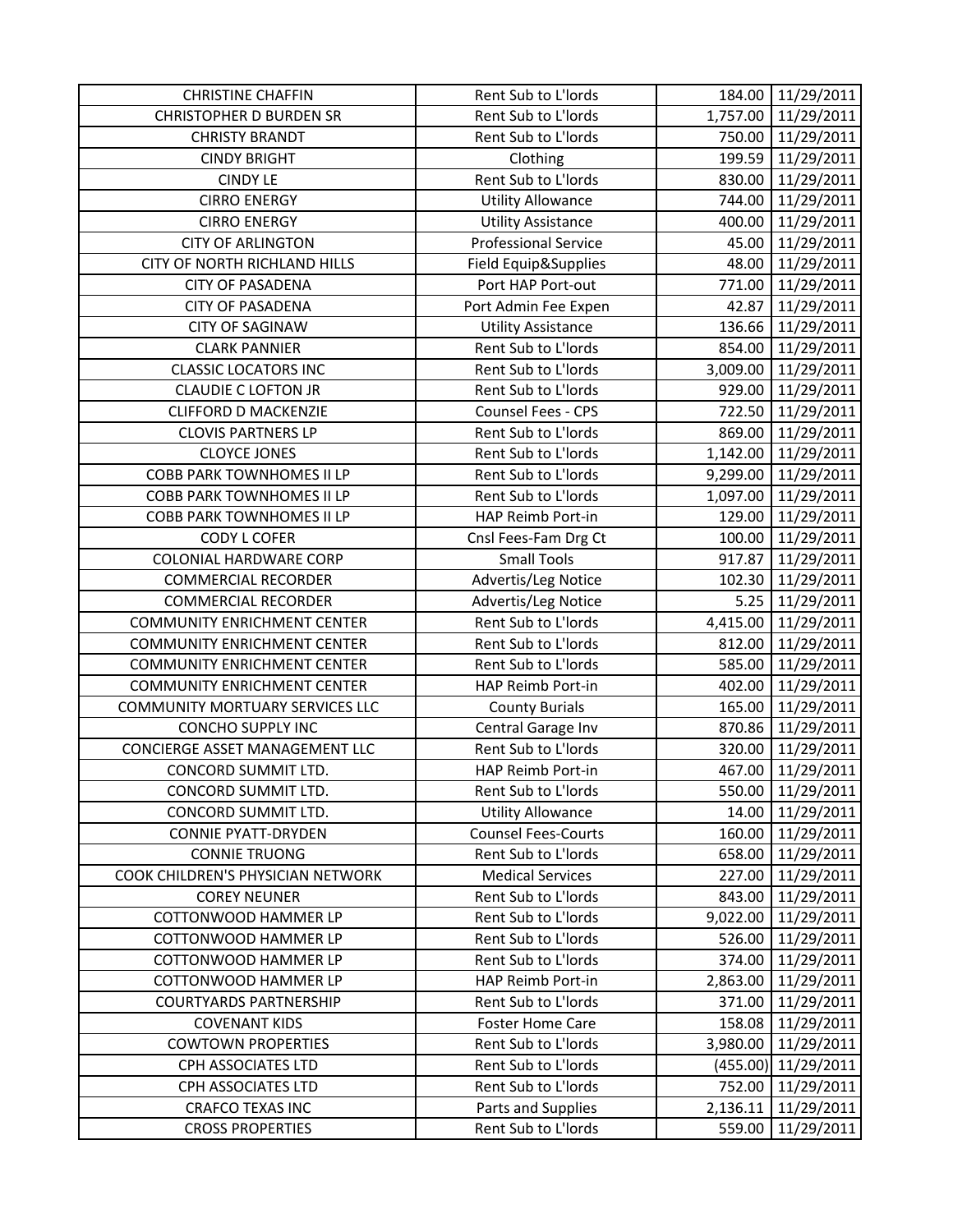| <b>CHRISTINE CHAFFIN</b>           | Rent Sub to L'Iords         | 184.00   | 11/29/2011          |
|------------------------------------|-----------------------------|----------|---------------------|
| <b>CHRISTOPHER D BURDEN SR</b>     | Rent Sub to L'Iords         | 1,757.00 | 11/29/2011          |
| <b>CHRISTY BRANDT</b>              | Rent Sub to L'Iords         |          | 750.00 11/29/2011   |
| <b>CINDY BRIGHT</b>                | Clothing                    | 199.59   | 11/29/2011          |
| <b>CINDY LE</b>                    | Rent Sub to L'Iords         | 830.00   | 11/29/2011          |
| <b>CIRRO ENERGY</b>                | <b>Utility Allowance</b>    | 744.00   | 11/29/2011          |
| <b>CIRRO ENERGY</b>                | <b>Utility Assistance</b>   | 400.00   | 11/29/2011          |
| <b>CITY OF ARLINGTON</b>           | <b>Professional Service</b> | 45.00    | 11/29/2011          |
| CITY OF NORTH RICHLAND HILLS       | Field Equip&Supplies        | 48.00    | 11/29/2011          |
| <b>CITY OF PASADENA</b>            | Port HAP Port-out           | 771.00   | 11/29/2011          |
| <b>CITY OF PASADENA</b>            | Port Admin Fee Expen        | 42.87    | 11/29/2011          |
| <b>CITY OF SAGINAW</b>             | <b>Utility Assistance</b>   | 136.66   | 11/29/2011          |
| <b>CLARK PANNIER</b>               | Rent Sub to L'Iords         | 854.00   | 11/29/2011          |
| <b>CLASSIC LOCATORS INC</b>        | Rent Sub to L'Iords         | 3,009.00 | 11/29/2011          |
| <b>CLAUDIE C LOFTON JR</b>         | Rent Sub to L'Iords         | 929.00   | 11/29/2011          |
| <b>CLIFFORD D MACKENZIE</b>        | Counsel Fees - CPS          | 722.50   | 11/29/2011          |
| <b>CLOVIS PARTNERS LP</b>          | Rent Sub to L'Iords         | 869.00   | 11/29/2011          |
| <b>CLOYCE JONES</b>                | Rent Sub to L'Iords         |          | 1,142.00 11/29/2011 |
| <b>COBB PARK TOWNHOMES II LP</b>   | Rent Sub to L'Iords         | 9,299.00 | 11/29/2011          |
| COBB PARK TOWNHOMES II LP          | Rent Sub to L'Iords         | 1,097.00 | 11/29/2011          |
| <b>COBB PARK TOWNHOMES II LP</b>   | HAP Reimb Port-in           | 129.00   | 11/29/2011          |
| <b>CODY L COFER</b>                | Cnsl Fees-Fam Drg Ct        | 100.00   | 11/29/2011          |
| <b>COLONIAL HARDWARE CORP</b>      | <b>Small Tools</b>          | 917.87   | 11/29/2011          |
| <b>COMMERCIAL RECORDER</b>         | Advertis/Leg Notice         | 102.30   | 11/29/2011          |
| <b>COMMERCIAL RECORDER</b>         | Advertis/Leg Notice         | 5.25     | 11/29/2011          |
| <b>COMMUNITY ENRICHMENT CENTER</b> | Rent Sub to L'Iords         | 4,415.00 | 11/29/2011          |
| <b>COMMUNITY ENRICHMENT CENTER</b> | Rent Sub to L'Iords         | 812.00   | 11/29/2011          |
| <b>COMMUNITY ENRICHMENT CENTER</b> | Rent Sub to L'Iords         | 585.00   | 11/29/2011          |
| <b>COMMUNITY ENRICHMENT CENTER</b> | HAP Reimb Port-in           | 402.00   | 11/29/2011          |
| COMMUNITY MORTUARY SERVICES LLC    | <b>County Burials</b>       | 165.00   | 11/29/2011          |
| <b>CONCHO SUPPLY INC</b>           | Central Garage Inv          | 870.86   | 11/29/2011          |
| CONCIERGE ASSET MANAGEMENT LLC     | Rent Sub to L'Iords         | 320.00   | 11/29/2011          |
| CONCORD SUMMIT LTD.                | HAP Reimb Port-in           | 467.00   | 11/29/2011          |
| CONCORD SUMMIT LTD.                | Rent Sub to L'Iords         | 550.00   | 11/29/2011          |
| CONCORD SUMMIT LTD.                | <b>Utility Allowance</b>    | 14.00    | 11/29/2011          |
| <b>CONNIE PYATT-DRYDEN</b>         | <b>Counsel Fees-Courts</b>  | 160.00   | 11/29/2011          |
| <b>CONNIE TRUONG</b>               | Rent Sub to L'Iords         | 658.00   | 11/29/2011          |
| COOK CHILDREN'S PHYSICIAN NETWORK  | <b>Medical Services</b>     | 227.00   | 11/29/2011          |
| <b>COREY NEUNER</b>                | Rent Sub to L'Iords         | 843.00   | 11/29/2011          |
| <b>COTTONWOOD HAMMER LP</b>        | Rent Sub to L'Iords         | 9,022.00 | 11/29/2011          |
| COTTONWOOD HAMMER LP               | Rent Sub to L'Iords         | 526.00   | 11/29/2011          |
| <b>COTTONWOOD HAMMER LP</b>        | Rent Sub to L'Iords         | 374.00   | 11/29/2011          |
| COTTONWOOD HAMMER LP               | HAP Reimb Port-in           | 2,863.00 | 11/29/2011          |
| <b>COURTYARDS PARTNERSHIP</b>      | Rent Sub to L'Iords         | 371.00   | 11/29/2011          |
| <b>COVENANT KIDS</b>               | <b>Foster Home Care</b>     | 158.08   | 11/29/2011          |
| <b>COWTOWN PROPERTIES</b>          | Rent Sub to L'Iords         | 3,980.00 | 11/29/2011          |
| CPH ASSOCIATES LTD                 | Rent Sub to L'Iords         | (455.00) | 11/29/2011          |
| CPH ASSOCIATES LTD                 | Rent Sub to L'Iords         | 752.00   | 11/29/2011          |
| <b>CRAFCO TEXAS INC</b>            | Parts and Supplies          | 2,136.11 | 11/29/2011          |
| <b>CROSS PROPERTIES</b>            | Rent Sub to L'Iords         | 559.00   | 11/29/2011          |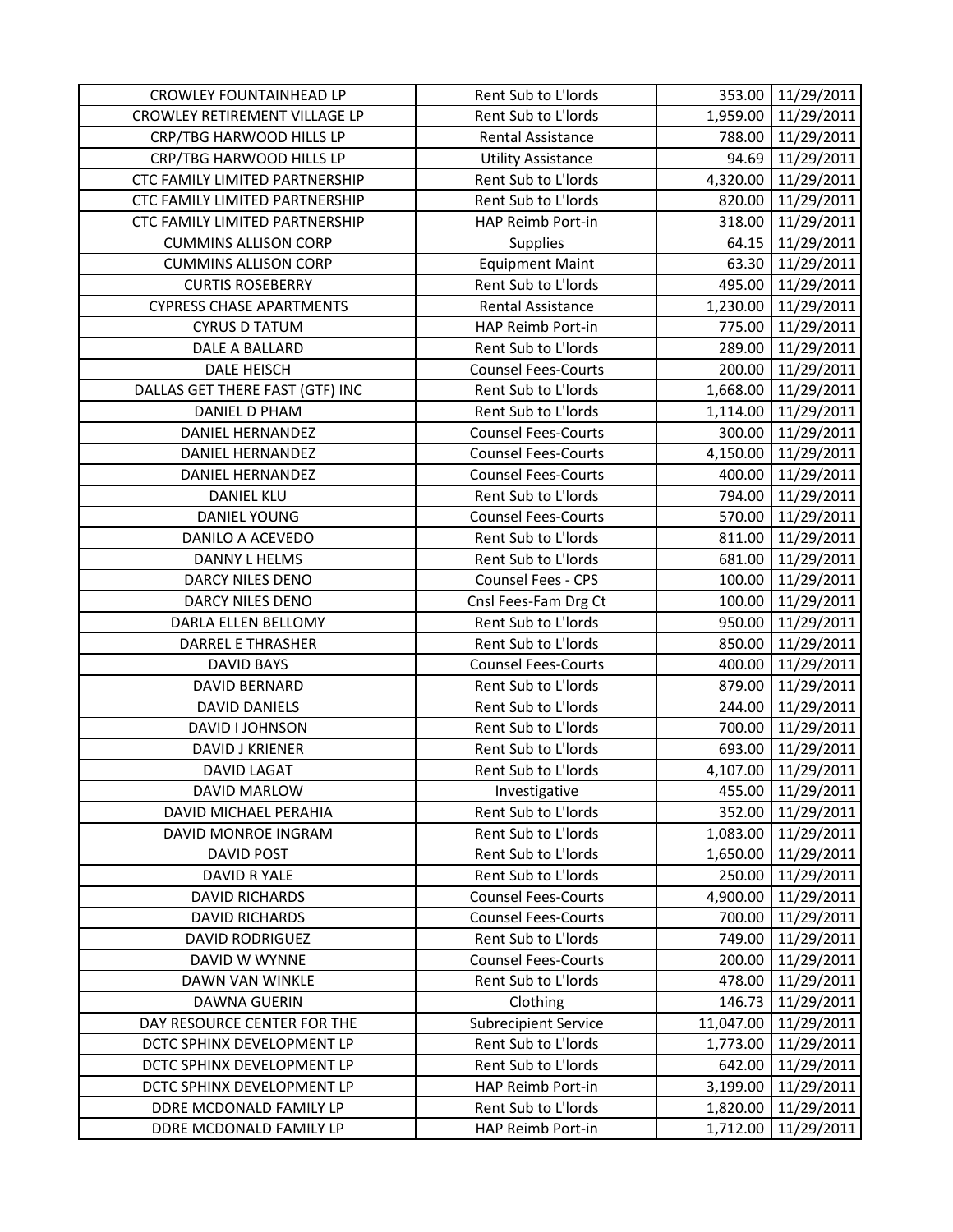| <b>CROWLEY FOUNTAINHEAD LP</b>  | Rent Sub to L'Iords        |           | 353.00 11/29/2011   |
|---------------------------------|----------------------------|-----------|---------------------|
| CROWLEY RETIREMENT VILLAGE LP   | Rent Sub to L'Iords        |           | 1,959.00 11/29/2011 |
| CRP/TBG HARWOOD HILLS LP        | <b>Rental Assistance</b>   |           | 788.00 11/29/2011   |
| CRP/TBG HARWOOD HILLS LP        | <b>Utility Assistance</b>  | 94.69     | 11/29/2011          |
| CTC FAMILY LIMITED PARTNERSHIP  | Rent Sub to L'Iords        | 4,320.00  | 11/29/2011          |
| CTC FAMILY LIMITED PARTNERSHIP  | Rent Sub to L'Iords        | 820.00    | 11/29/2011          |
| CTC FAMILY LIMITED PARTNERSHIP  | HAP Reimb Port-in          | 318.00    | 11/29/2011          |
| <b>CUMMINS ALLISON CORP</b>     | <b>Supplies</b>            | 64.15     | 11/29/2011          |
| <b>CUMMINS ALLISON CORP</b>     | <b>Equipment Maint</b>     | 63.30     | 11/29/2011          |
| <b>CURTIS ROSEBERRY</b>         | Rent Sub to L'Iords        | 495.00    | 11/29/2011          |
| <b>CYPRESS CHASE APARTMENTS</b> | Rental Assistance          | 1,230.00  | 11/29/2011          |
| <b>CYRUS D TATUM</b>            | HAP Reimb Port-in          | 775.00    | 11/29/2011          |
| DALE A BALLARD                  | Rent Sub to L'Iords        | 289.00    | 11/29/2011          |
| DALE HEISCH                     | <b>Counsel Fees-Courts</b> | 200.00    | 11/29/2011          |
| DALLAS GET THERE FAST (GTF) INC | Rent Sub to L'Iords        |           | 1,668.00 11/29/2011 |
| <b>DANIEL D PHAM</b>            | Rent Sub to L'Iords        | 1,114.00  | 11/29/2011          |
| <b>DANIEL HERNANDEZ</b>         | <b>Counsel Fees-Courts</b> |           | 300.00 11/29/2011   |
| DANIEL HERNANDEZ                | <b>Counsel Fees-Courts</b> |           | 4,150.00 11/29/2011 |
| <b>DANIEL HERNANDEZ</b>         | <b>Counsel Fees-Courts</b> | 400.00    | 11/29/2011          |
| <b>DANIEL KLU</b>               | Rent Sub to L'Iords        | 794.00    | 11/29/2011          |
| <b>DANIEL YOUNG</b>             | <b>Counsel Fees-Courts</b> | 570.00    | 11/29/2011          |
| DANILO A ACEVEDO                | Rent Sub to L'Iords        |           | 811.00 11/29/2011   |
| <b>DANNY L HELMS</b>            | Rent Sub to L'Iords        | 681.00    | 11/29/2011          |
| DARCY NILES DENO                | Counsel Fees - CPS         | 100.00    | 11/29/2011          |
| DARCY NILES DENO                | Cnsl Fees-Fam Drg Ct       | 100.00    | 11/29/2011          |
| DARLA ELLEN BELLOMY             | Rent Sub to L'Iords        | 950.00    | 11/29/2011          |
| <b>DARREL E THRASHER</b>        | Rent Sub to L'Iords        | 850.00    | 11/29/2011          |
| <b>DAVID BAYS</b>               | <b>Counsel Fees-Courts</b> | 400.00    | 11/29/2011          |
| <b>DAVID BERNARD</b>            | Rent Sub to L'Iords        | 879.00    | 11/29/2011          |
| <b>DAVID DANIELS</b>            | Rent Sub to L'Iords        | 244.00    | 11/29/2011          |
| DAVID I JOHNSON                 | Rent Sub to L'Iords        | 700.00    | 11/29/2011          |
| DAVID J KRIENER                 | Rent Sub to L'Iords        | 693.00    | 11/29/2011          |
| <b>DAVID LAGAT</b>              | Rent Sub to L'Iords        | 4,107.00  | 11/29/2011          |
| <b>DAVID MARLOW</b>             | Investigative              | 455.00    | 11/29/2011          |
| DAVID MICHAEL PERAHIA           | Rent Sub to L'Iords        | 352.00    | 11/29/2011          |
| DAVID MONROE INGRAM             | Rent Sub to L'Iords        | 1,083.00  | 11/29/2011          |
| <b>DAVID POST</b>               | Rent Sub to L'Iords        | 1,650.00  | 11/29/2011          |
| DAVID R YALE                    | Rent Sub to L'Iords        | 250.00    | 11/29/2011          |
| <b>DAVID RICHARDS</b>           | <b>Counsel Fees-Courts</b> | 4,900.00  | 11/29/2011          |
| <b>DAVID RICHARDS</b>           | <b>Counsel Fees-Courts</b> | 700.00    | 11/29/2011          |
| <b>DAVID RODRIGUEZ</b>          | Rent Sub to L'Iords        | 749.00    | 11/29/2011          |
| DAVID W WYNNE                   | <b>Counsel Fees-Courts</b> | 200.00    | 11/29/2011          |
| DAWN VAN WINKLE                 | Rent Sub to L'Iords        | 478.00    | 11/29/2011          |
| <b>DAWNA GUERIN</b>             | Clothing                   | 146.73    | 11/29/2011          |
| DAY RESOURCE CENTER FOR THE     | Subrecipient Service       | 11,047.00 | 11/29/2011          |
| DCTC SPHINX DEVELOPMENT LP      | Rent Sub to L'Iords        | 1,773.00  | 11/29/2011          |
| DCTC SPHINX DEVELOPMENT LP      | Rent Sub to L'Iords        | 642.00    | 11/29/2011          |
| DCTC SPHINX DEVELOPMENT LP      | HAP Reimb Port-in          | 3,199.00  | 11/29/2011          |
| DDRE MCDONALD FAMILY LP         | Rent Sub to L'Iords        | 1,820.00  | 11/29/2011          |
| DDRE MCDONALD FAMILY LP         | HAP Reimb Port-in          | 1,712.00  | 11/29/2011          |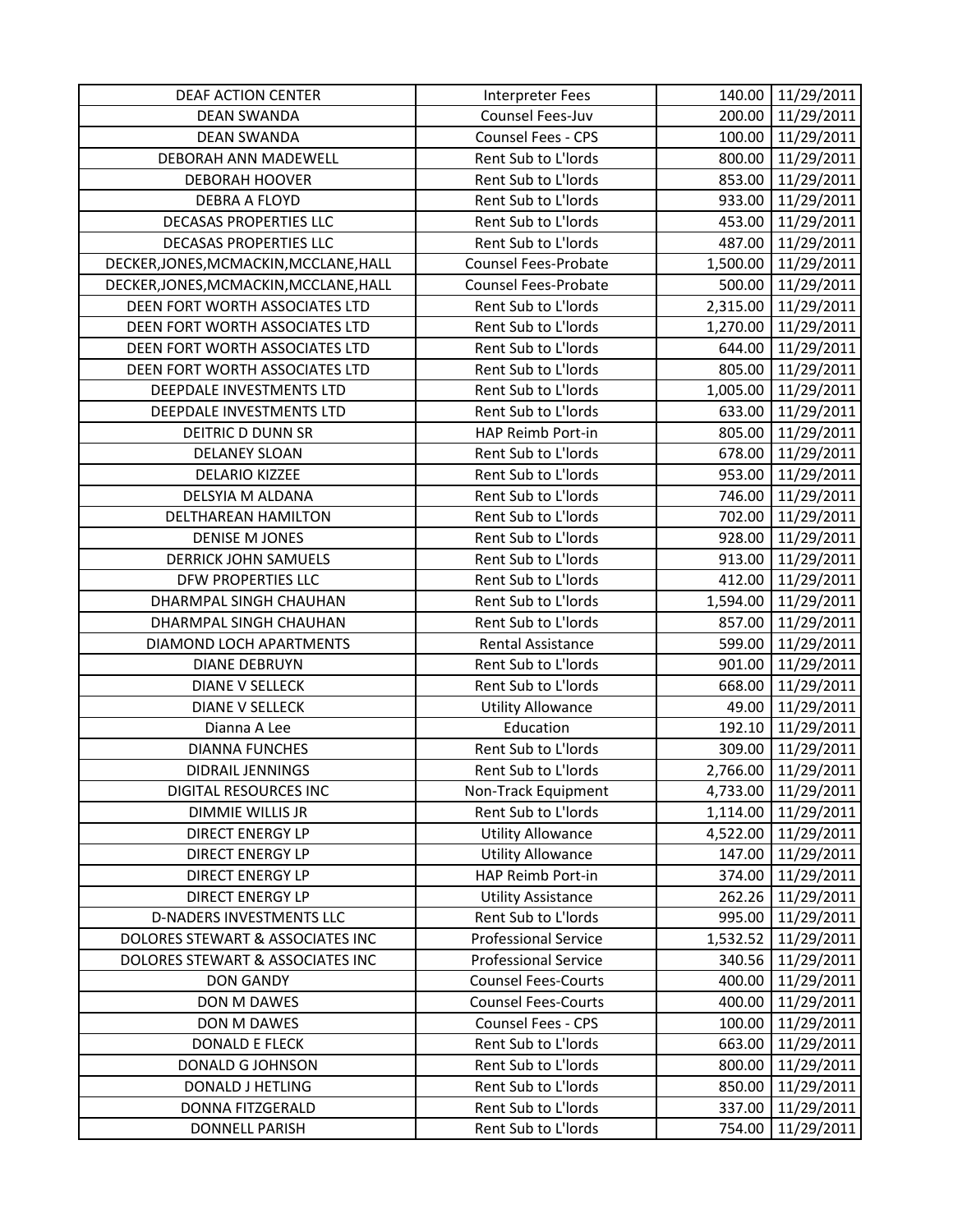| DEAF ACTION CENTER                     | <b>Interpreter Fees</b>     | 140.00   | 11/29/2011          |
|----------------------------------------|-----------------------------|----------|---------------------|
| <b>DEAN SWANDA</b>                     | Counsel Fees-Juv            | 200.00   | 11/29/2011          |
| <b>DEAN SWANDA</b>                     | Counsel Fees - CPS          |          | 100.00 11/29/2011   |
| DEBORAH ANN MADEWELL                   | Rent Sub to L'Iords         | 800.00   | 11/29/2011          |
| <b>DEBORAH HOOVER</b>                  | Rent Sub to L'Iords         | 853.00   | 11/29/2011          |
| <b>DEBRA A FLOYD</b>                   | Rent Sub to L'Iords         | 933.00   | 11/29/2011          |
| <b>DECASAS PROPERTIES LLC</b>          | Rent Sub to L'Iords         | 453.00   | 11/29/2011          |
| <b>DECASAS PROPERTIES LLC</b>          | Rent Sub to L'Iords         | 487.00   | 11/29/2011          |
| DECKER, JONES, MCMACKIN, MCCLANE, HALL | <b>Counsel Fees-Probate</b> |          | 1,500.00 11/29/2011 |
| DECKER, JONES, MCMACKIN, MCCLANE, HALL | <b>Counsel Fees-Probate</b> |          | 500.00 11/29/2011   |
| DEEN FORT WORTH ASSOCIATES LTD         | Rent Sub to L'Iords         |          | 2,315.00 11/29/2011 |
| DEEN FORT WORTH ASSOCIATES LTD         | Rent Sub to L'Iords         | 1,270.00 | 11/29/2011          |
| DEEN FORT WORTH ASSOCIATES LTD         | Rent Sub to L'Iords         | 644.00   | 11/29/2011          |
| DEEN FORT WORTH ASSOCIATES LTD         | Rent Sub to L'Iords         | 805.00   | 11/29/2011          |
| DEEPDALE INVESTMENTS LTD               | Rent Sub to L'Iords         |          | 1,005.00 11/29/2011 |
| DEEPDALE INVESTMENTS LTD               | Rent Sub to L'Iords         | 633.00   | 11/29/2011          |
| DEITRIC D DUNN SR                      | HAP Reimb Port-in           | 805.00   | 11/29/2011          |
| <b>DELANEY SLOAN</b>                   | Rent Sub to L'Iords         | 678.00   | 11/29/2011          |
| <b>DELARIO KIZZEE</b>                  | Rent Sub to L'Iords         | 953.00   | 11/29/2011          |
| DELSYIA M ALDANA                       | Rent Sub to L'Iords         | 746.00   | 11/29/2011          |
| DELTHAREAN HAMILTON                    | Rent Sub to L'Iords         | 702.00   | 11/29/2011          |
| <b>DENISE M JONES</b>                  | Rent Sub to L'Iords         | 928.00   | 11/29/2011          |
| <b>DERRICK JOHN SAMUELS</b>            | Rent Sub to L'Iords         | 913.00   | 11/29/2011          |
| DFW PROPERTIES LLC                     | Rent Sub to L'Iords         | 412.00   | 11/29/2011          |
| DHARMPAL SINGH CHAUHAN                 | Rent Sub to L'Iords         |          | 1,594.00 11/29/2011 |
| DHARMPAL SINGH CHAUHAN                 | Rent Sub to L'Iords         | 857.00   | 11/29/2011          |
| DIAMOND LOCH APARTMENTS                | Rental Assistance           | 599.00   | 11/29/2011          |
| <b>DIANE DEBRUYN</b>                   | Rent Sub to L'Iords         | 901.00   | 11/29/2011          |
| <b>DIANE V SELLECK</b>                 | Rent Sub to L'Iords         | 668.00   | 11/29/2011          |
| <b>DIANE V SELLECK</b>                 | <b>Utility Allowance</b>    | 49.00    | 11/29/2011          |
| Dianna A Lee                           | Education                   | 192.10   | 11/29/2011          |
| <b>DIANNA FUNCHES</b>                  | Rent Sub to L'Iords         | 309.00   | 11/29/2011          |
| <b>DIDRAIL JENNINGS</b>                | Rent Sub to L'Iords         | 2,766.00 | 11/29/2011          |
| DIGITAL RESOURCES INC                  | Non-Track Equipment         | 4,733.00 | 11/29/2011          |
| DIMMIE WILLIS JR                       | Rent Sub to L'Iords         | 1,114.00 | 11/29/2011          |
| <b>DIRECT ENERGY LP</b>                | <b>Utility Allowance</b>    | 4,522.00 | 11/29/2011          |
| DIRECT ENERGY LP                       | <b>Utility Allowance</b>    | 147.00   | 11/29/2011          |
| <b>DIRECT ENERGY LP</b>                | HAP Reimb Port-in           | 374.00   | 11/29/2011          |
| <b>DIRECT ENERGY LP</b>                | <b>Utility Assistance</b>   | 262.26   | 11/29/2011          |
| D-NADERS INVESTMENTS LLC               | Rent Sub to L'Iords         | 995.00   | 11/29/2011          |
| DOLORES STEWART & ASSOCIATES INC       | <b>Professional Service</b> | 1,532.52 | 11/29/2011          |
| DOLORES STEWART & ASSOCIATES INC       | <b>Professional Service</b> | 340.56   | 11/29/2011          |
| <b>DON GANDY</b>                       | <b>Counsel Fees-Courts</b>  | 400.00   | 11/29/2011          |
| DON M DAWES                            | <b>Counsel Fees-Courts</b>  | 400.00   | 11/29/2011          |
| DON M DAWES                            | Counsel Fees - CPS          | 100.00   | 11/29/2011          |
| <b>DONALD E FLECK</b>                  | Rent Sub to L'Iords         | 663.00   | 11/29/2011          |
| DONALD G JOHNSON                       | Rent Sub to L'Iords         | 800.00   | 11/29/2011          |
| DONALD J HETLING                       |                             |          |                     |
|                                        | Rent Sub to L'Iords         | 850.00   | 11/29/2011          |
| DONNA FITZGERALD                       | Rent Sub to L'Iords         | 337.00   | 11/29/2011          |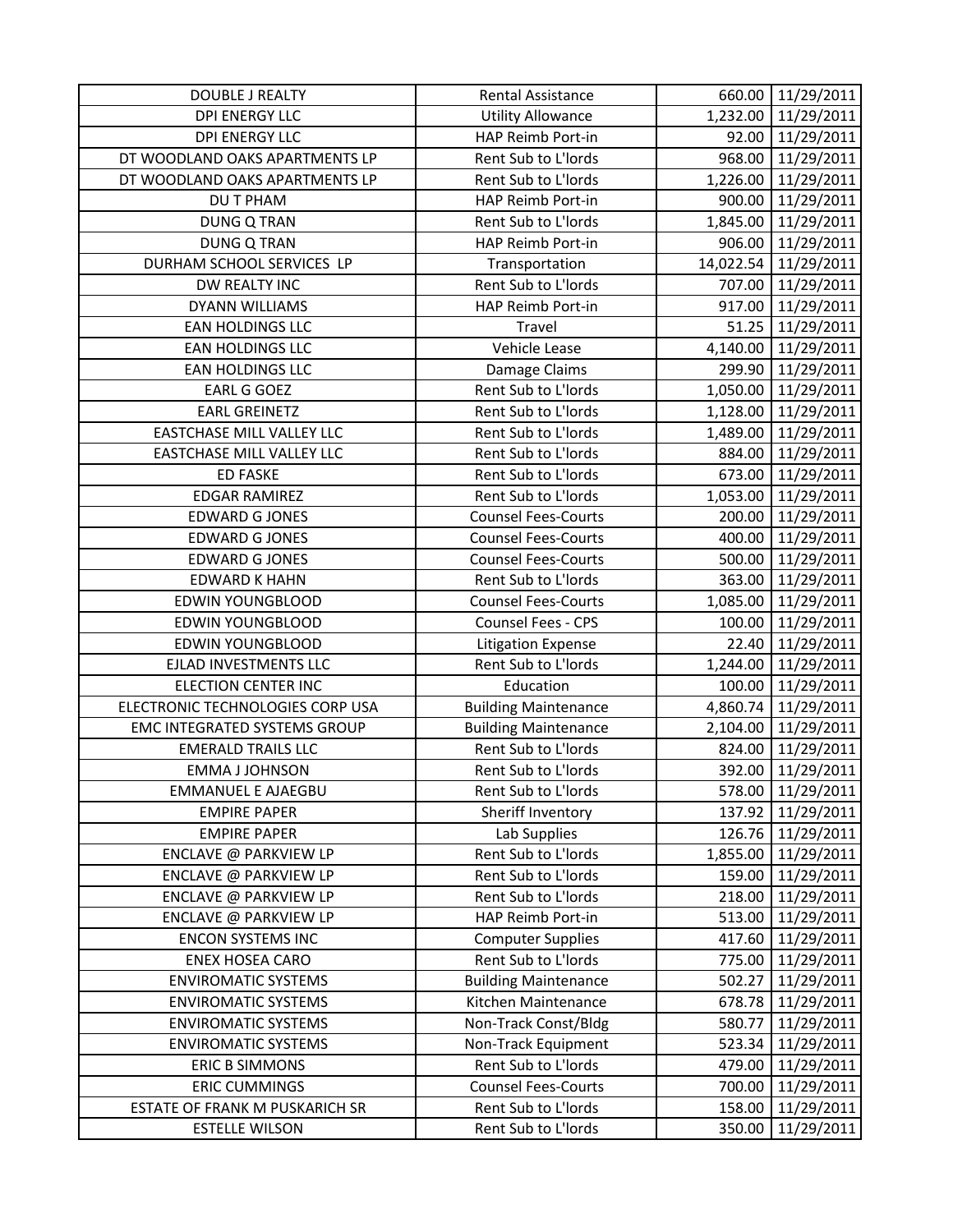| <b>DOUBLE J REALTY</b>              | Rental Assistance           | 660.00    | 11/29/2011          |
|-------------------------------------|-----------------------------|-----------|---------------------|
| <b>DPI ENERGY LLC</b>               | <b>Utility Allowance</b>    |           | 1,232.00 11/29/2011 |
| <b>DPI ENERGY LLC</b>               | HAP Reimb Port-in           |           | 92.00 11/29/2011    |
| DT WOODLAND OAKS APARTMENTS LP      | Rent Sub to L'Iords         | 968.00    | 11/29/2011          |
| DT WOODLAND OAKS APARTMENTS LP      | Rent Sub to L'Iords         | 1,226.00  | 11/29/2011          |
| <b>DU T PHAM</b>                    | HAP Reimb Port-in           | 900.00    | 11/29/2011          |
| <b>DUNG Q TRAN</b>                  | Rent Sub to L'Iords         |           | 1,845.00 11/29/2011 |
| <b>DUNG Q TRAN</b>                  | HAP Reimb Port-in           | 906.00    | 11/29/2011          |
| DURHAM SCHOOL SERVICES LP           | Transportation              | 14,022.54 | 11/29/2011          |
| DW REALTY INC                       | Rent Sub to L'Iords         |           | 707.00 11/29/2011   |
| DYANN WILLIAMS                      | HAP Reimb Port-in           | 917.00    | 11/29/2011          |
| EAN HOLDINGS LLC                    | Travel                      | 51.25     | 11/29/2011          |
| EAN HOLDINGS LLC                    | Vehicle Lease               |           | 4,140.00 11/29/2011 |
| EAN HOLDINGS LLC                    | Damage Claims               | 299.90    | 11/29/2011          |
| <b>EARL G GOEZ</b>                  | Rent Sub to L'Iords         |           | 1,050.00 11/29/2011 |
| <b>EARL GREINETZ</b>                | Rent Sub to L'Iords         | 1,128.00  | 11/29/2011          |
| <b>EASTCHASE MILL VALLEY LLC</b>    | Rent Sub to L'Iords         | 1,489.00  | 11/29/2011          |
| EASTCHASE MILL VALLEY LLC           | Rent Sub to L'Iords         | 884.00    | 11/29/2011          |
| <b>ED FASKE</b>                     | Rent Sub to L'Iords         | 673.00    | 11/29/2011          |
| <b>EDGAR RAMIREZ</b>                | Rent Sub to L'Iords         | 1,053.00  | 11/29/2011          |
| <b>EDWARD G JONES</b>               | <b>Counsel Fees-Courts</b>  | 200.00    | 11/29/2011          |
| <b>EDWARD G JONES</b>               | <b>Counsel Fees-Courts</b>  | 400.00    | 11/29/2011          |
| <b>EDWARD G JONES</b>               | <b>Counsel Fees-Courts</b>  | 500.00    | 11/29/2011          |
| <b>EDWARD K HAHN</b>                | Rent Sub to L'Iords         | 363.00    | 11/29/2011          |
| <b>EDWIN YOUNGBLOOD</b>             | <b>Counsel Fees-Courts</b>  |           | 1,085.00 11/29/2011 |
| <b>EDWIN YOUNGBLOOD</b>             | Counsel Fees - CPS          | 100.00    | 11/29/2011          |
| <b>EDWIN YOUNGBLOOD</b>             | <b>Litigation Expense</b>   | 22.40     | 11/29/2011          |
| EJLAD INVESTMENTS LLC               | Rent Sub to L'Iords         | 1,244.00  | 11/29/2011          |
| <b>ELECTION CENTER INC</b>          | Education                   | 100.00    | 11/29/2011          |
| ELECTRONIC TECHNOLOGIES CORP USA    | <b>Building Maintenance</b> | 4,860.74  | 11/29/2011          |
| <b>EMC INTEGRATED SYSTEMS GROUP</b> | <b>Building Maintenance</b> | 2,104.00  | 11/29/2011          |
| <b>EMERALD TRAILS LLC</b>           | Rent Sub to L'Iords         | 824.00    | 11/29/2011          |
| <b>EMMA J JOHNSON</b>               | Rent Sub to L'Iords         | 392.00    | 11/29/2011          |
| <b>EMMANUEL E AJAEGBU</b>           | Rent Sub to L'Iords         | 578.00    | 11/29/2011          |
| <b>EMPIRE PAPER</b>                 | Sheriff Inventory           | 137.92    | 11/29/2011          |
| <b>EMPIRE PAPER</b>                 | Lab Supplies                | 126.76    | 11/29/2011          |
| ENCLAVE @ PARKVIEW LP               | Rent Sub to L'Iords         | 1,855.00  | 11/29/2011          |
| ENCLAVE @ PARKVIEW LP               | Rent Sub to L'Iords         | 159.00    | 11/29/2011          |
| ENCLAVE @ PARKVIEW LP               | Rent Sub to L'Iords         | 218.00    | 11/29/2011          |
| ENCLAVE @ PARKVIEW LP               | HAP Reimb Port-in           | 513.00    | 11/29/2011          |
| <b>ENCON SYSTEMS INC</b>            | <b>Computer Supplies</b>    | 417.60    | 11/29/2011          |
| <b>ENEX HOSEA CARO</b>              | Rent Sub to L'Iords         | 775.00    | 11/29/2011          |
| <b>ENVIROMATIC SYSTEMS</b>          | <b>Building Maintenance</b> | 502.27    | 11/29/2011          |
| <b>ENVIROMATIC SYSTEMS</b>          | Kitchen Maintenance         | 678.78    | 11/29/2011          |
| <b>ENVIROMATIC SYSTEMS</b>          | Non-Track Const/Bldg        | 580.77    | 11/29/2011          |
| <b>ENVIROMATIC SYSTEMS</b>          | Non-Track Equipment         | 523.34    | 11/29/2011          |
| <b>ERIC B SIMMONS</b>               | Rent Sub to L'Iords         | 479.00    | 11/29/2011          |
| <b>ERIC CUMMINGS</b>                | <b>Counsel Fees-Courts</b>  | 700.00    | 11/29/2011          |
| ESTATE OF FRANK M PUSKARICH SR      | Rent Sub to L'Iords         | 158.00    | 11/29/2011          |
| <b>ESTELLE WILSON</b>               | Rent Sub to L'Iords         | 350.00    | 11/29/2011          |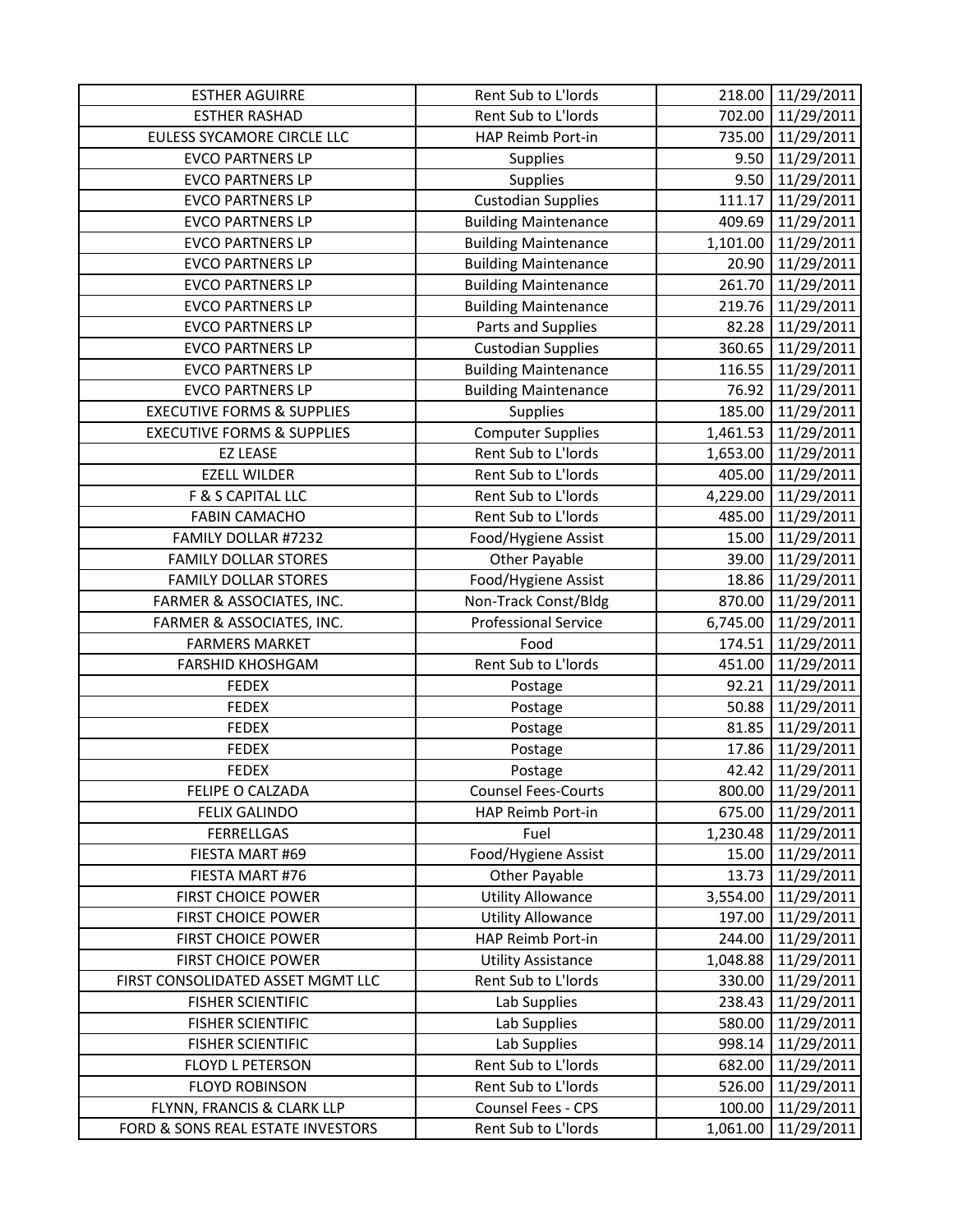| <b>ESTHER AGUIRRE</b>                                           | Rent Sub to L'Iords                       | 218.00   | 11/29/2011               |
|-----------------------------------------------------------------|-------------------------------------------|----------|--------------------------|
| <b>ESTHER RASHAD</b>                                            | Rent Sub to L'Iords                       | 702.00   | 11/29/2011               |
| <b>EULESS SYCAMORE CIRCLE LLC</b>                               | HAP Reimb Port-in                         | 735.00   | 11/29/2011               |
| <b>EVCO PARTNERS LP</b>                                         | <b>Supplies</b>                           | 9.50     | 11/29/2011               |
| <b>EVCO PARTNERS LP</b>                                         | Supplies                                  | 9.50     | 11/29/2011               |
| <b>EVCO PARTNERS LP</b>                                         | <b>Custodian Supplies</b>                 | 111.17   | 11/29/2011               |
| <b>EVCO PARTNERS LP</b>                                         | <b>Building Maintenance</b>               | 409.69   | 11/29/2011               |
| <b>EVCO PARTNERS LP</b>                                         | <b>Building Maintenance</b>               | 1,101.00 | 11/29/2011               |
| <b>EVCO PARTNERS LP</b>                                         | <b>Building Maintenance</b>               | 20.90    | 11/29/2011               |
| <b>EVCO PARTNERS LP</b>                                         | <b>Building Maintenance</b>               | 261.70   | 11/29/2011               |
| <b>EVCO PARTNERS LP</b>                                         | <b>Building Maintenance</b>               | 219.76   | 11/29/2011               |
| <b>EVCO PARTNERS LP</b>                                         | Parts and Supplies                        | 82.28    | 11/29/2011               |
| <b>EVCO PARTNERS LP</b>                                         | <b>Custodian Supplies</b>                 | 360.65   | 11/29/2011               |
| <b>EVCO PARTNERS LP</b>                                         | <b>Building Maintenance</b>               | 116.55   | 11/29/2011               |
| <b>EVCO PARTNERS LP</b>                                         | <b>Building Maintenance</b>               | 76.92    | 11/29/2011               |
| <b>EXECUTIVE FORMS &amp; SUPPLIES</b>                           | Supplies                                  | 185.00   | 11/29/2011               |
| <b>EXECUTIVE FORMS &amp; SUPPLIES</b>                           | <b>Computer Supplies</b>                  | 1,461.53 | 11/29/2011               |
| <b>EZ LEASE</b>                                                 | Rent Sub to L'Iords                       | 1,653.00 | 11/29/2011               |
| <b>EZELL WILDER</b>                                             | Rent Sub to L'Iords                       | 405.00   | 11/29/2011               |
| F & S CAPITAL LLC                                               | Rent Sub to L'Iords                       | 4,229.00 | 11/29/2011               |
| <b>FABIN CAMACHO</b>                                            | Rent Sub to L'Iords                       | 485.00   | 11/29/2011               |
| FAMILY DOLLAR #7232                                             | Food/Hygiene Assist                       | 15.00    | 11/29/2011               |
| <b>FAMILY DOLLAR STORES</b>                                     | Other Payable                             | 39.00    | 11/29/2011               |
| <b>FAMILY DOLLAR STORES</b>                                     | Food/Hygiene Assist                       | 18.86    | 11/29/2011               |
| FARMER & ASSOCIATES, INC.                                       | Non-Track Const/Bldg                      | 870.00   | 11/29/2011               |
| FARMER & ASSOCIATES, INC.                                       | <b>Professional Service</b>               | 6,745.00 | 11/29/2011               |
| <b>FARMERS MARKET</b>                                           | Food                                      | 174.51   | 11/29/2011               |
| <b>FARSHID KHOSHGAM</b>                                         | Rent Sub to L'Iords                       | 451.00   | 11/29/2011               |
| <b>FEDEX</b>                                                    | Postage                                   | 92.21    | 11/29/2011               |
| <b>FEDEX</b>                                                    | Postage                                   | 50.88    | 11/29/2011               |
| <b>FEDEX</b>                                                    | Postage                                   | 81.85    | 11/29/2011               |
| <b>FEDEX</b>                                                    | Postage                                   | 17.86    | 11/29/2011               |
| <b>FEDEX</b>                                                    | Postage                                   | 42.42    | 11/29/2011               |
| FELIPE O CALZADA                                                | <b>Counsel Fees-Courts</b>                | 800.00   | 11/29/2011               |
| <b>FELIX GALINDO</b>                                            | HAP Reimb Port-in                         | 675.00   | 11/29/2011               |
| <b>FERRELLGAS</b>                                               | Fuel                                      | 1,230.48 | 11/29/2011               |
| FIESTA MART #69                                                 | Food/Hygiene Assist                       | 15.00    | 11/29/2011               |
| FIESTA MART #76                                                 | Other Payable                             | 13.73    | 11/29/2011               |
| <b>FIRST CHOICE POWER</b>                                       | <b>Utility Allowance</b>                  | 3,554.00 | 11/29/2011               |
| <b>FIRST CHOICE POWER</b>                                       | <b>Utility Allowance</b>                  | 197.00   | 11/29/2011               |
| <b>FIRST CHOICE POWER</b>                                       | HAP Reimb Port-in                         | 244.00   | 11/29/2011               |
| <b>FIRST CHOICE POWER</b>                                       | <b>Utility Assistance</b>                 | 1,048.88 | 11/29/2011               |
| FIRST CONSOLIDATED ASSET MGMT LLC                               | Rent Sub to L'Iords                       | 330.00   | 11/29/2011               |
| <b>FISHER SCIENTIFIC</b>                                        | Lab Supplies                              | 238.43   | 11/29/2011               |
| <b>FISHER SCIENTIFIC</b>                                        | Lab Supplies                              | 580.00   | 11/29/2011               |
| <b>FISHER SCIENTIFIC</b>                                        |                                           |          |                          |
|                                                                 | Lab Supplies                              | 998.14   | 11/29/2011               |
| FLOYD L PETERSON                                                | Rent Sub to L'Iords                       | 682.00   | 11/29/2011               |
| <b>FLOYD ROBINSON</b>                                           | Rent Sub to L'Iords                       | 526.00   | 11/29/2011               |
| FLYNN, FRANCIS & CLARK LLP<br>FORD & SONS REAL ESTATE INVESTORS | Counsel Fees - CPS<br>Rent Sub to L'Iords | 100.00   | 11/29/2011<br>11/29/2011 |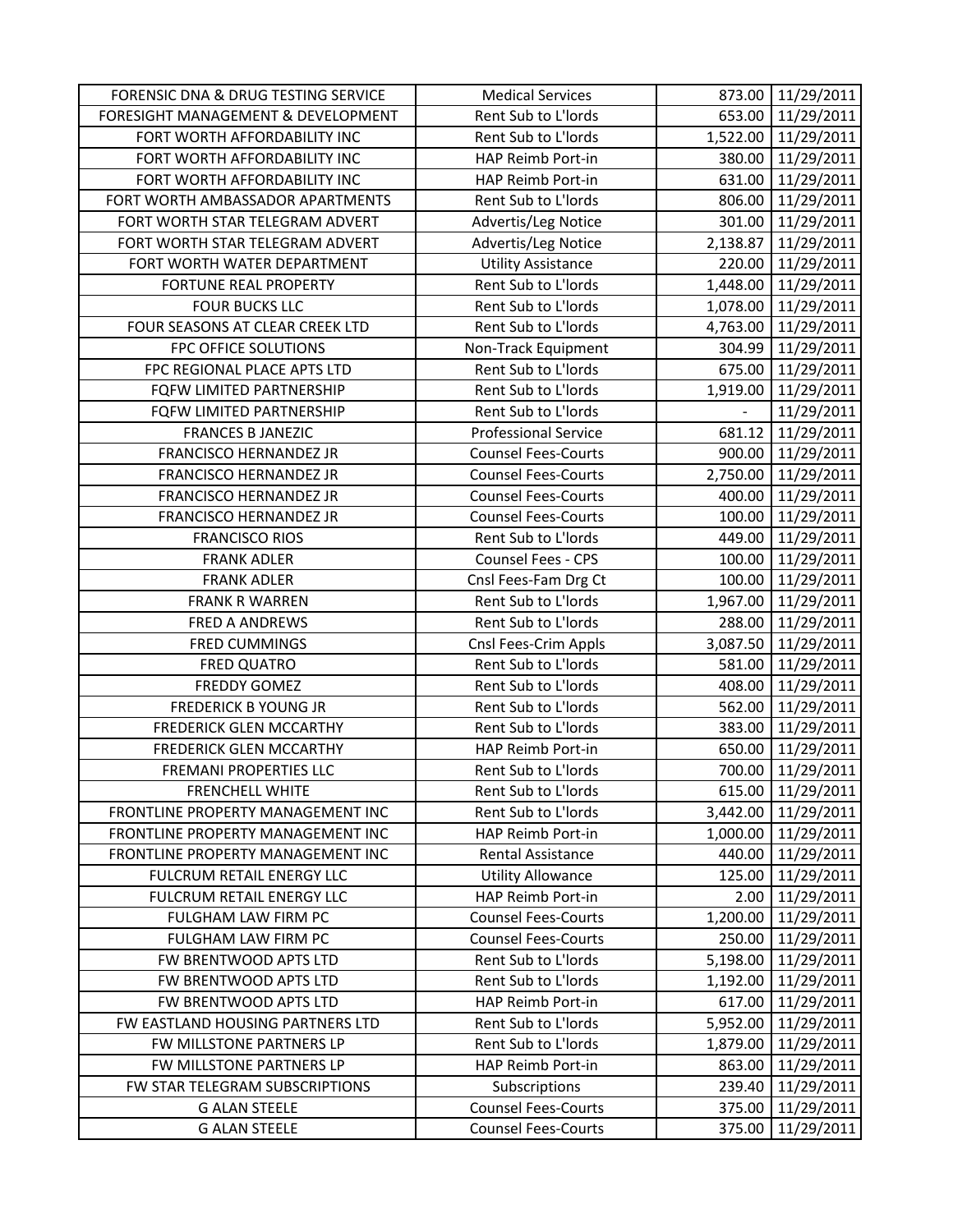| FORENSIC DNA & DRUG TESTING SERVICE          | <b>Medical Services</b>                                  |                          | 873.00   11/29/2011      |
|----------------------------------------------|----------------------------------------------------------|--------------------------|--------------------------|
| FORESIGHT MANAGEMENT & DEVELOPMENT           | Rent Sub to L'Iords                                      |                          | 653.00 11/29/2011        |
| FORT WORTH AFFORDABILITY INC                 | Rent Sub to L'Iords                                      |                          | 1,522.00 11/29/2011      |
| FORT WORTH AFFORDABILITY INC                 | HAP Reimb Port-in                                        | 380.00                   | 11/29/2011               |
| FORT WORTH AFFORDABILITY INC                 | HAP Reimb Port-in                                        | 631.00                   | 11/29/2011               |
| FORT WORTH AMBASSADOR APARTMENTS             | Rent Sub to L'Iords                                      | 806.00                   | 11/29/2011               |
| FORT WORTH STAR TELEGRAM ADVERT              | Advertis/Leg Notice                                      | 301.00                   | 11/29/2011               |
| FORT WORTH STAR TELEGRAM ADVERT              | Advertis/Leg Notice                                      | 2,138.87                 | 11/29/2011               |
| FORT WORTH WATER DEPARTMENT                  | <b>Utility Assistance</b>                                | 220.00                   | 11/29/2011               |
| FORTUNE REAL PROPERTY                        | Rent Sub to L'Iords                                      |                          | 1,448.00 11/29/2011      |
| <b>FOUR BUCKS LLC</b>                        | Rent Sub to L'Iords                                      | 1,078.00                 | 11/29/2011               |
| FOUR SEASONS AT CLEAR CREEK LTD              | Rent Sub to L'Iords                                      | 4,763.00                 | 11/29/2011               |
| FPC OFFICE SOLUTIONS                         | Non-Track Equipment                                      | 304.99                   | 11/29/2011               |
| FPC REGIONAL PLACE APTS LTD                  | Rent Sub to L'Iords                                      | 675.00                   | 11/29/2011               |
| FQFW LIMITED PARTNERSHIP                     | Rent Sub to L'Iords                                      | 1,919.00                 | 11/29/2011               |
| FQFW LIMITED PARTNERSHIP                     | Rent Sub to L'Iords                                      | $\overline{\phantom{0}}$ | 11/29/2011               |
| <b>FRANCES B JANEZIC</b>                     | <b>Professional Service</b>                              |                          | 681.12 11/29/2011        |
| FRANCISCO HERNANDEZ JR                       | <b>Counsel Fees-Courts</b>                               |                          | 900.00 11/29/2011        |
| FRANCISCO HERNANDEZ JR                       | <b>Counsel Fees-Courts</b>                               | 2,750.00                 | 11/29/2011               |
| FRANCISCO HERNANDEZ JR                       | <b>Counsel Fees-Courts</b>                               | 400.00                   | 11/29/2011               |
| FRANCISCO HERNANDEZ JR                       | <b>Counsel Fees-Courts</b>                               | 100.00                   | 11/29/2011               |
| <b>FRANCISCO RIOS</b>                        | Rent Sub to L'Iords                                      | 449.00                   | 11/29/2011               |
| <b>FRANK ADLER</b>                           | Counsel Fees - CPS                                       | 100.00                   | 11/29/2011               |
| <b>FRANK ADLER</b>                           | Cnsl Fees-Fam Drg Ct                                     | 100.00                   | 11/29/2011               |
| <b>FRANK R WARREN</b>                        | Rent Sub to L'Iords                                      | 1,967.00                 | 11/29/2011               |
|                                              |                                                          |                          |                          |
| <b>FRED A ANDREWS</b>                        | Rent Sub to L'Iords                                      | 288.00                   | 11/29/2011               |
| <b>FRED CUMMINGS</b>                         | Cnsl Fees-Crim Appls                                     | 3,087.50                 | 11/29/2011               |
| <b>FRED QUATRO</b>                           | Rent Sub to L'Iords                                      | 581.00                   | 11/29/2011               |
| <b>FREDDY GOMEZ</b>                          | Rent Sub to L'Iords                                      | 408.00                   | 11/29/2011               |
| <b>FREDERICK B YOUNG JR</b>                  | Rent Sub to L'Iords                                      | 562.00                   | 11/29/2011               |
| <b>FREDERICK GLEN MCCARTHY</b>               | Rent Sub to L'Iords                                      | 383.00                   | 11/29/2011               |
| FREDERICK GLEN MCCARTHY                      | HAP Reimb Port-in                                        | 650.00                   | 11/29/2011               |
| <b>FREMANI PROPERTIES LLC</b>                | Rent Sub to L'Iords                                      | 700.00                   | 11/29/2011               |
| <b>FRENCHELL WHITE</b>                       | Rent Sub to L'Iords                                      | 615.00                   | 11/29/2011               |
| FRONTLINE PROPERTY MANAGEMENT INC            | Rent Sub to L'Iords                                      | 3,442.00                 | 11/29/2011               |
| FRONTLINE PROPERTY MANAGEMENT INC            | HAP Reimb Port-in                                        | 1,000.00                 | 11/29/2011               |
| FRONTLINE PROPERTY MANAGEMENT INC            | Rental Assistance                                        | 440.00                   | 11/29/2011               |
| FULCRUM RETAIL ENERGY LLC                    | <b>Utility Allowance</b>                                 | 125.00                   | 11/29/2011               |
| FULCRUM RETAIL ENERGY LLC                    | HAP Reimb Port-in                                        | 2.00                     | 11/29/2011               |
| FULGHAM LAW FIRM PC                          | <b>Counsel Fees-Courts</b>                               | 1,200.00                 | 11/29/2011               |
| FULGHAM LAW FIRM PC                          | <b>Counsel Fees-Courts</b>                               | 250.00                   | 11/29/2011               |
| FW BRENTWOOD APTS LTD                        | Rent Sub to L'Iords                                      | 5,198.00                 | 11/29/2011               |
| FW BRENTWOOD APTS LTD                        | Rent Sub to L'Iords                                      | 1,192.00                 | 11/29/2011               |
| FW BRENTWOOD APTS LTD                        | HAP Reimb Port-in                                        | 617.00                   | 11/29/2011               |
| FW EASTLAND HOUSING PARTNERS LTD             | Rent Sub to L'Iords                                      | 5,952.00                 | 11/29/2011               |
| FW MILLSTONE PARTNERS LP                     | Rent Sub to L'Iords                                      | 1,879.00                 | 11/29/2011               |
| FW MILLSTONE PARTNERS LP                     | HAP Reimb Port-in                                        | 863.00                   | 11/29/2011               |
| FW STAR TELEGRAM SUBSCRIPTIONS               | Subscriptions                                            | 239.40                   | 11/29/2011               |
| <b>G ALAN STEELE</b><br><b>G ALAN STEELE</b> | <b>Counsel Fees-Courts</b><br><b>Counsel Fees-Courts</b> | 375.00<br>375.00         | 11/29/2011<br>11/29/2011 |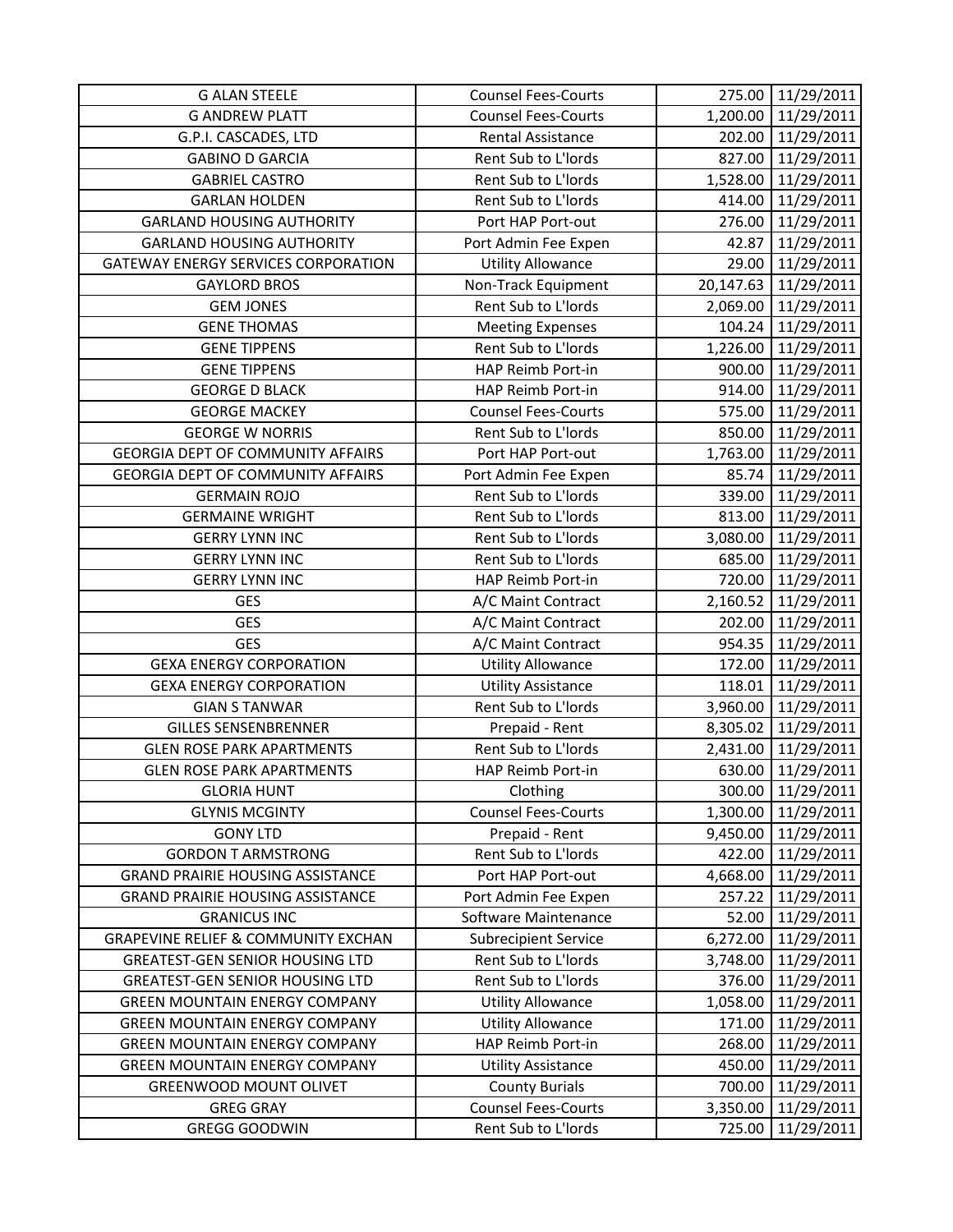| <b>G ALAN STEELE</b>                           | <b>Counsel Fees-Courts</b>                        | 275.00             | 11/29/2011               |
|------------------------------------------------|---------------------------------------------------|--------------------|--------------------------|
| <b>G ANDREW PLATT</b>                          | <b>Counsel Fees-Courts</b>                        | 1,200.00           | 11/29/2011               |
| G.P.I. CASCADES, LTD                           | <b>Rental Assistance</b>                          |                    | 202.00 11/29/2011        |
| <b>GABINO D GARCIA</b>                         | Rent Sub to L'Iords                               | 827.00             | 11/29/2011               |
| <b>GABRIEL CASTRO</b>                          | Rent Sub to L'Iords                               | 1,528.00           | 11/29/2011               |
| <b>GARLAN HOLDEN</b>                           | Rent Sub to L'Iords                               | 414.00             | 11/29/2011               |
| <b>GARLAND HOUSING AUTHORITY</b>               | Port HAP Port-out                                 | 276.00             | 11/29/2011               |
| <b>GARLAND HOUSING AUTHORITY</b>               | Port Admin Fee Expen                              | 42.87              | 11/29/2011               |
| <b>GATEWAY ENERGY SERVICES CORPORATION</b>     | <b>Utility Allowance</b>                          | 29.00              | 11/29/2011               |
| <b>GAYLORD BROS</b>                            | Non-Track Equipment                               | 20,147.63          | 11/29/2011               |
| <b>GEM JONES</b>                               | Rent Sub to L'Iords                               | 2,069.00           | 11/29/2011               |
| <b>GENE THOMAS</b>                             | <b>Meeting Expenses</b>                           | 104.24             | 11/29/2011               |
| <b>GENE TIPPENS</b>                            | Rent Sub to L'Iords                               | 1,226.00           | 11/29/2011               |
| <b>GENE TIPPENS</b>                            | HAP Reimb Port-in                                 | 900.00             | 11/29/2011               |
| <b>GEORGE D BLACK</b>                          | HAP Reimb Port-in                                 | 914.00             | 11/29/2011               |
| <b>GEORGE MACKEY</b>                           | <b>Counsel Fees-Courts</b>                        | 575.00             | 11/29/2011               |
| <b>GEORGE W NORRIS</b>                         | Rent Sub to L'Iords                               | 850.00             | 11/29/2011               |
| <b>GEORGIA DEPT OF COMMUNITY AFFAIRS</b>       | Port HAP Port-out                                 |                    | 1,763.00 11/29/2011      |
| <b>GEORGIA DEPT OF COMMUNITY AFFAIRS</b>       | Port Admin Fee Expen                              | 85.74              | 11/29/2011               |
| <b>GERMAIN ROJO</b>                            | Rent Sub to L'Iords                               | 339.00             | 11/29/2011               |
| <b>GERMAINE WRIGHT</b>                         | Rent Sub to L'Iords                               | 813.00             | 11/29/2011               |
| <b>GERRY LYNN INC</b>                          | Rent Sub to L'Iords                               |                    | 3,080.00 11/29/2011      |
| <b>GERRY LYNN INC</b>                          | Rent Sub to L'Iords                               | 685.00             | 11/29/2011               |
| <b>GERRY LYNN INC</b>                          | HAP Reimb Port-in                                 | 720.00             | 11/29/2011               |
| <b>GES</b>                                     | A/C Maint Contract                                | 2,160.52           | 11/29/2011               |
| <b>GES</b>                                     | A/C Maint Contract                                | 202.00             | 11/29/2011               |
| <b>GES</b>                                     | A/C Maint Contract                                | 954.35             | 11/29/2011               |
| <b>GEXA ENERGY CORPORATION</b>                 | <b>Utility Allowance</b>                          | 172.00             | 11/29/2011               |
| <b>GEXA ENERGY CORPORATION</b>                 | <b>Utility Assistance</b>                         | 118.01             | 11/29/2011               |
| <b>GIAN S TANWAR</b>                           | Rent Sub to L'Iords                               | 3,960.00           | 11/29/2011               |
| <b>GILLES SENSENBRENNER</b>                    | Prepaid - Rent                                    | 8,305.02           | 11/29/2011               |
| <b>GLEN ROSE PARK APARTMENTS</b>               | Rent Sub to L'Iords                               | 2,431.00           | 11/29/2011               |
| <b>GLEN ROSE PARK APARTMENTS</b>               | HAP Reimb Port-in                                 | 630.00             | 11/29/2011               |
| <b>GLORIA HUNT</b>                             | Clothing                                          | 300.00             | 11/29/2011               |
| <b>GLYNIS MCGINTY</b>                          | <b>Counsel Fees-Courts</b>                        | 1,300.00           | 11/29/2011               |
| <b>GONY LTD</b>                                | Prepaid - Rent                                    | 9,450.00           | 11/29/2011               |
| <b>GORDON T ARMSTRONG</b>                      | Rent Sub to L'Iords                               | 422.00             | 11/29/2011               |
| <b>GRAND PRAIRIE HOUSING ASSISTANCE</b>        | Port HAP Port-out                                 | 4,668.00           | 11/29/2011               |
| <b>GRAND PRAIRIE HOUSING ASSISTANCE</b>        |                                                   |                    |                          |
| <b>GRANICUS INC</b>                            | Port Admin Fee Expen                              | 257.22             | 11/29/2011               |
|                                                | Software Maintenance                              | 52.00              | 11/29/2011               |
| <b>GRAPEVINE RELIEF &amp; COMMUNITY EXCHAN</b> | <b>Subrecipient Service</b>                       | 6,272.00           | 11/29/2011               |
| <b>GREATEST-GEN SENIOR HOUSING LTD</b>         | Rent Sub to L'Iords                               | 3,748.00           | 11/29/2011               |
| <b>GREATEST-GEN SENIOR HOUSING LTD</b>         | Rent Sub to L'Iords                               | 376.00             | 11/29/2011               |
| <b>GREEN MOUNTAIN ENERGY COMPANY</b>           | <b>Utility Allowance</b>                          | 1,058.00           | 11/29/2011               |
| <b>GREEN MOUNTAIN ENERGY COMPANY</b>           | <b>Utility Allowance</b>                          | 171.00             | 11/29/2011               |
| <b>GREEN MOUNTAIN ENERGY COMPANY</b>           | HAP Reimb Port-in                                 | 268.00             | 11/29/2011               |
| <b>GREEN MOUNTAIN ENERGY COMPANY</b>           | <b>Utility Assistance</b>                         | 450.00             | 11/29/2011               |
| <b>GREENWOOD MOUNT OLIVET</b>                  | <b>County Burials</b>                             | 700.00             | 11/29/2011               |
| <b>GREG GRAY</b><br><b>GREGG GOODWIN</b>       | <b>Counsel Fees-Courts</b><br>Rent Sub to L'Iords | 3,350.00<br>725.00 | 11/29/2011<br>11/29/2011 |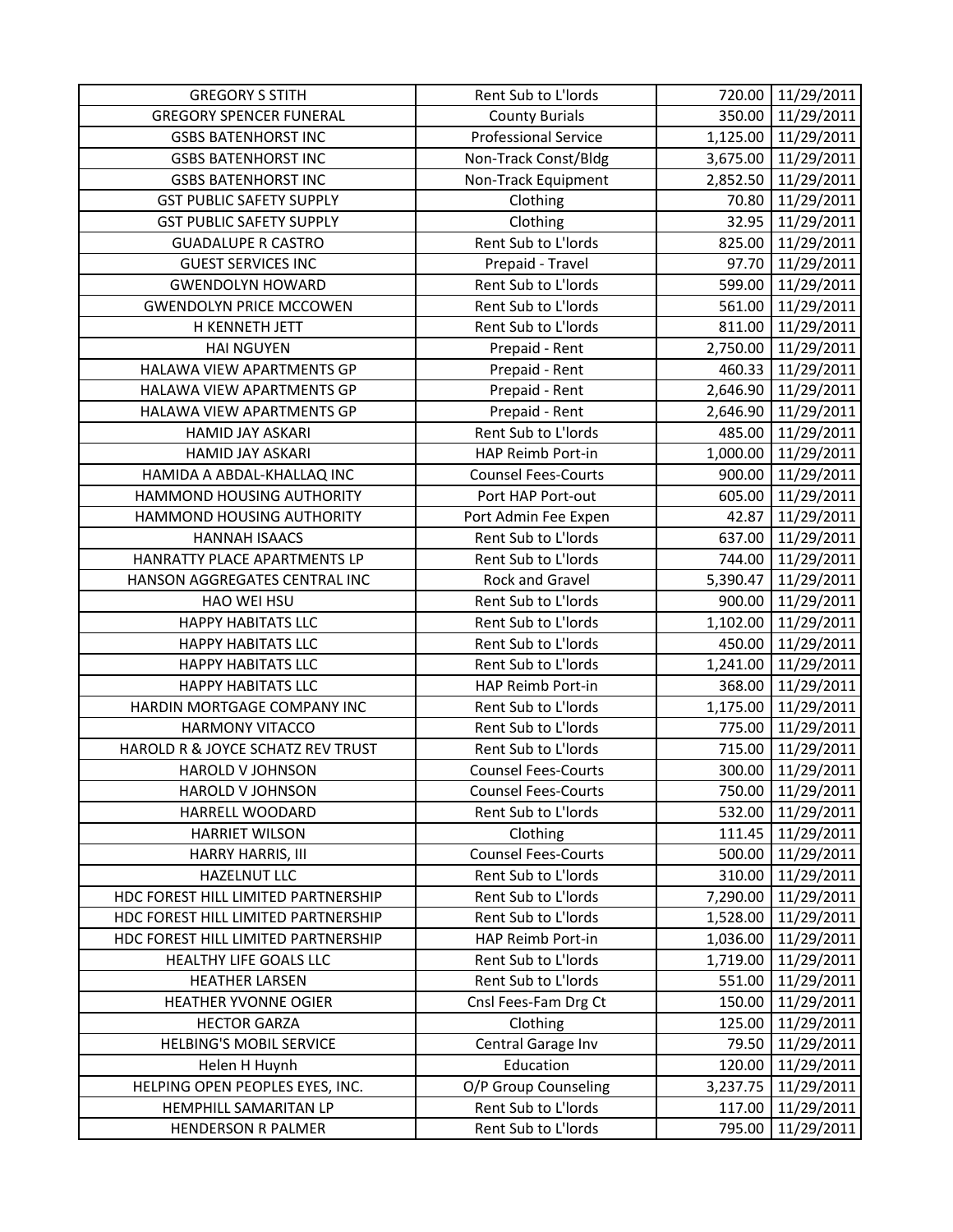| <b>GREGORY S STITH</b>              | Rent Sub to L'Iords         | 720.00   | 11/29/2011          |
|-------------------------------------|-----------------------------|----------|---------------------|
| <b>GREGORY SPENCER FUNERAL</b>      | <b>County Burials</b>       | 350.00   | 11/29/2011          |
| <b>GSBS BATENHORST INC</b>          | <b>Professional Service</b> |          | 1,125.00 11/29/2011 |
| <b>GSBS BATENHORST INC</b>          | Non-Track Const/Bldg        | 3,675.00 | 11/29/2011          |
| <b>GSBS BATENHORST INC</b>          | Non-Track Equipment         | 2,852.50 | 11/29/2011          |
| <b>GST PUBLIC SAFETY SUPPLY</b>     | Clothing                    | 70.80    | 11/29/2011          |
| <b>GST PUBLIC SAFETY SUPPLY</b>     | Clothing                    | 32.95    | 11/29/2011          |
| <b>GUADALUPE R CASTRO</b>           | Rent Sub to L'Iords         | 825.00   | 11/29/2011          |
| <b>GUEST SERVICES INC</b>           | Prepaid - Travel            | 97.70    | 11/29/2011          |
| <b>GWENDOLYN HOWARD</b>             | Rent Sub to L'Iords         | 599.00   | 11/29/2011          |
| <b>GWENDOLYN PRICE MCCOWEN</b>      | Rent Sub to L'Iords         | 561.00   | 11/29/2011          |
| H KENNETH JETT                      | Rent Sub to L'Iords         | 811.00   | 11/29/2011          |
| <b>HAI NGUYEN</b>                   | Prepaid - Rent              | 2,750.00 | 11/29/2011          |
| HALAWA VIEW APARTMENTS GP           | Prepaid - Rent              | 460.33   | 11/29/2011          |
| HALAWA VIEW APARTMENTS GP           | Prepaid - Rent              | 2,646.90 | 11/29/2011          |
| HALAWA VIEW APARTMENTS GP           | Prepaid - Rent              | 2,646.90 | 11/29/2011          |
| <b>HAMID JAY ASKARI</b>             | Rent Sub to L'Iords         | 485.00   | 11/29/2011          |
| HAMID JAY ASKARI                    | HAP Reimb Port-in           | 1,000.00 | 11/29/2011          |
| HAMIDA A ABDAL-KHALLAQ INC          | <b>Counsel Fees-Courts</b>  | 900.00   | 11/29/2011          |
| HAMMOND HOUSING AUTHORITY           | Port HAP Port-out           | 605.00   | 11/29/2011          |
| HAMMOND HOUSING AUTHORITY           | Port Admin Fee Expen        | 42.87    | 11/29/2011          |
| <b>HANNAH ISAACS</b>                | Rent Sub to L'Iords         | 637.00   | 11/29/2011          |
| HANRATTY PLACE APARTMENTS LP        | Rent Sub to L'Iords         | 744.00   | 11/29/2011          |
| HANSON AGGREGATES CENTRAL INC       | Rock and Gravel             | 5,390.47 | 11/29/2011          |
| HAO WEI HSU                         | Rent Sub to L'Iords         | 900.00   | 11/29/2011          |
| <b>HAPPY HABITATS LLC</b>           | Rent Sub to L'Iords         | 1,102.00 | 11/29/2011          |
| <b>HAPPY HABITATS LLC</b>           | Rent Sub to L'Iords         | 450.00   | 11/29/2011          |
| <b>HAPPY HABITATS LLC</b>           | Rent Sub to L'Iords         | 1,241.00 | 11/29/2011          |
| <b>HAPPY HABITATS LLC</b>           | HAP Reimb Port-in           | 368.00   | 11/29/2011          |
| HARDIN MORTGAGE COMPANY INC         | Rent Sub to L'Iords         | 1,175.00 | 11/29/2011          |
| <b>HARMONY VITACCO</b>              | Rent Sub to L'Iords         | 775.00   | 11/29/2011          |
| HAROLD R & JOYCE SCHATZ REV TRUST   | Rent Sub to L'Iords         | 715.00   | 11/29/2011          |
| <b>HAROLD V JOHNSON</b>             | <b>Counsel Fees-Courts</b>  | 300.00   | 11/29/2011          |
| <b>HAROLD V JOHNSON</b>             | <b>Counsel Fees-Courts</b>  | 750.00   | 11/29/2011          |
| HARRELL WOODARD                     | Rent Sub to L'Iords         | 532.00   | 11/29/2011          |
| <b>HARRIET WILSON</b>               | Clothing                    | 111.45   | 11/29/2011          |
| HARRY HARRIS, III                   | <b>Counsel Fees-Courts</b>  | 500.00   | 11/29/2011          |
| <b>HAZELNUT LLC</b>                 | Rent Sub to L'Iords         | 310.00   | 11/29/2011          |
| HDC FOREST HILL LIMITED PARTNERSHIP | Rent Sub to L'Iords         | 7,290.00 | 11/29/2011          |
| HDC FOREST HILL LIMITED PARTNERSHIP | Rent Sub to L'Iords         | 1,528.00 | 11/29/2011          |
| HDC FOREST HILL LIMITED PARTNERSHIP | HAP Reimb Port-in           | 1,036.00 | 11/29/2011          |
| HEALTHY LIFE GOALS LLC              | Rent Sub to L'Iords         | 1,719.00 | 11/29/2011          |
| <b>HEATHER LARSEN</b>               | Rent Sub to L'Iords         | 551.00   | 11/29/2011          |
| <b>HEATHER YVONNE OGIER</b>         | Cnsl Fees-Fam Drg Ct        | 150.00   | 11/29/2011          |
| <b>HECTOR GARZA</b>                 | Clothing                    | 125.00   | 11/29/2011          |
| <b>HELBING'S MOBIL SERVICE</b>      | Central Garage Inv          | 79.50    | 11/29/2011          |
| Helen H Huynh                       | Education                   | 120.00   | 11/29/2011          |
| HELPING OPEN PEOPLES EYES, INC.     | O/P Group Counseling        | 3,237.75 | 11/29/2011          |
| HEMPHILL SAMARITAN LP               | Rent Sub to L'Iords         | 117.00   | 11/29/2011          |
| <b>HENDERSON R PALMER</b>           | Rent Sub to L'Iords         | 795.00   | 11/29/2011          |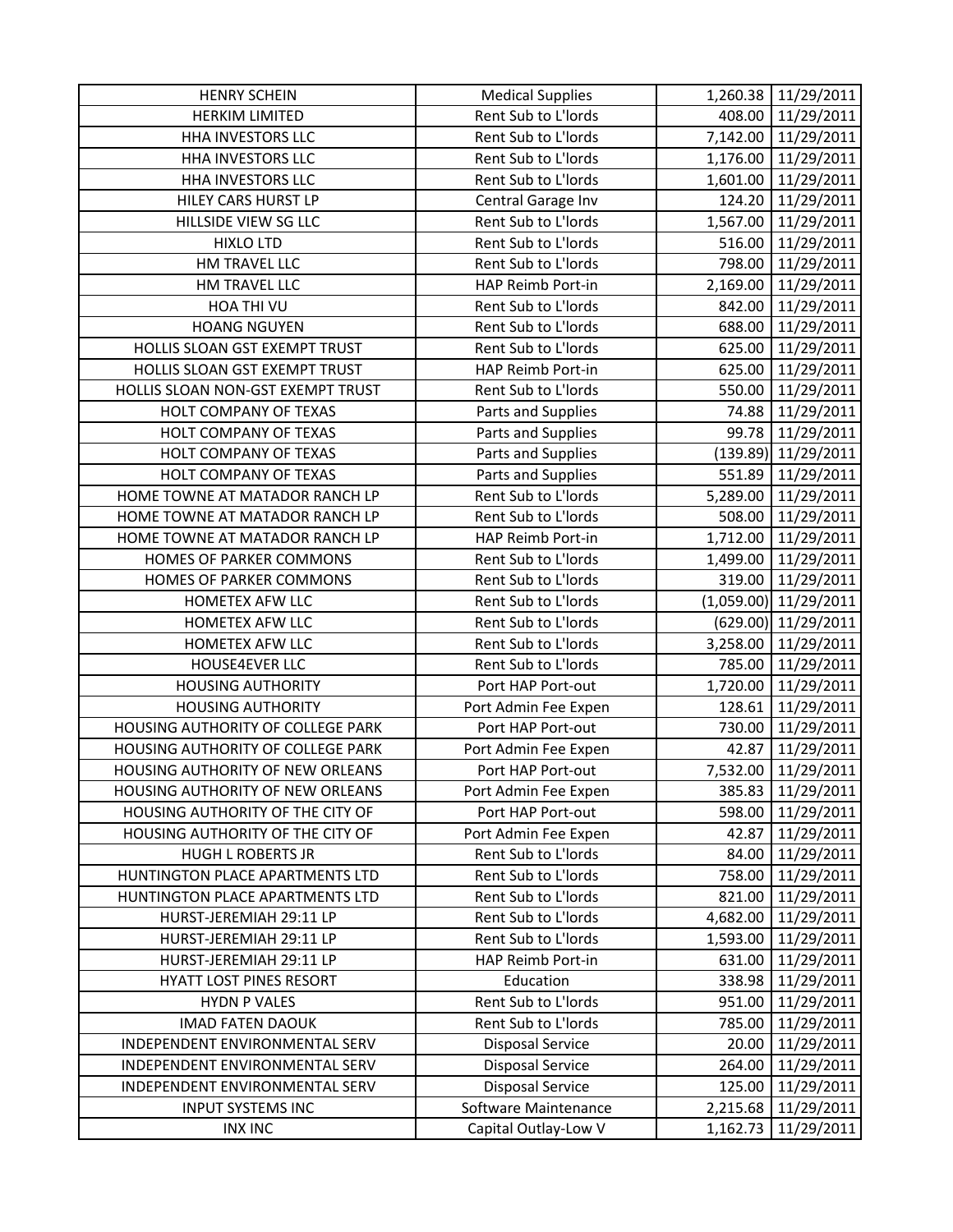| <b>HENRY SCHEIN</b>               | <b>Medical Supplies</b> |          | 1,260.38 11/29/2011     |
|-----------------------------------|-------------------------|----------|-------------------------|
| <b>HERKIM LIMITED</b>             | Rent Sub to L'Iords     |          | 408.00 11/29/2011       |
| HHA INVESTORS LLC                 | Rent Sub to L'Iords     |          | 7,142.00 11/29/2011     |
| HHA INVESTORS LLC                 | Rent Sub to L'Iords     | 1,176.00 | 11/29/2011              |
| HHA INVESTORS LLC                 | Rent Sub to L'Iords     |          | 1,601.00 11/29/2011     |
| HILEY CARS HURST LP               | Central Garage Inv      | 124.20   | 11/29/2011              |
| HILLSIDE VIEW SG LLC              | Rent Sub to L'Iords     |          | 1,567.00 11/29/2011     |
| <b>HIXLO LTD</b>                  | Rent Sub to L'Iords     | 516.00   | 11/29/2011              |
| HM TRAVEL LLC                     | Rent Sub to L'Iords     | 798.00   | 11/29/2011              |
| <b>HM TRAVEL LLC</b>              | HAP Reimb Port-in       |          | 2,169.00 11/29/2011     |
| HOA THI VU                        | Rent Sub to L'Iords     | 842.00   | 11/29/2011              |
| <b>HOANG NGUYEN</b>               | Rent Sub to L'Iords     | 688.00   | 11/29/2011              |
| HOLLIS SLOAN GST EXEMPT TRUST     | Rent Sub to L'Iords     | 625.00   | 11/29/2011              |
| HOLLIS SLOAN GST EXEMPT TRUST     | HAP Reimb Port-in       | 625.00   | 11/29/2011              |
| HOLLIS SLOAN NON-GST EXEMPT TRUST | Rent Sub to L'Iords     | 550.00   | 11/29/2011              |
| HOLT COMPANY OF TEXAS             | Parts and Supplies      | 74.88    | 11/29/2011              |
| HOLT COMPANY OF TEXAS             | Parts and Supplies      |          | 99.78 11/29/2011        |
| HOLT COMPANY OF TEXAS             | Parts and Supplies      |          | (139.89) 11/29/2011     |
| HOLT COMPANY OF TEXAS             | Parts and Supplies      | 551.89   | 11/29/2011              |
| HOME TOWNE AT MATADOR RANCH LP    | Rent Sub to L'Iords     |          | 5,289.00 11/29/2011     |
| HOME TOWNE AT MATADOR RANCH LP    | Rent Sub to L'Iords     |          | 508.00 11/29/2011       |
| HOME TOWNE AT MATADOR RANCH LP    | HAP Reimb Port-in       |          | 1,712.00 11/29/2011     |
| HOMES OF PARKER COMMONS           | Rent Sub to L'Iords     | 1,499.00 | 11/29/2011              |
| HOMES OF PARKER COMMONS           | Rent Sub to L'Iords     | 319.00   | 11/29/2011              |
| HOMETEX AFW LLC                   | Rent Sub to L'Iords     |          | $(1,059.00)$ 11/29/2011 |
| HOMETEX AFW LLC                   | Rent Sub to L'Iords     |          | (629.00) 11/29/2011     |
| HOMETEX AFW LLC                   | Rent Sub to L'Iords     | 3,258.00 | 11/29/2011              |
| HOUSE4EVER LLC                    | Rent Sub to L'Iords     | 785.00   | 11/29/2011              |
| <b>HOUSING AUTHORITY</b>          | Port HAP Port-out       |          | 1,720.00 11/29/2011     |
| <b>HOUSING AUTHORITY</b>          | Port Admin Fee Expen    | 128.61   | 11/29/2011              |
| HOUSING AUTHORITY OF COLLEGE PARK | Port HAP Port-out       | 730.00   | 11/29/2011              |
| HOUSING AUTHORITY OF COLLEGE PARK | Port Admin Fee Expen    | 42.87    | 11/29/2011              |
| HOUSING AUTHORITY OF NEW ORLEANS  | Port HAP Port-out       | 7,532.00 | 11/29/2011              |
| HOUSING AUTHORITY OF NEW ORLEANS  | Port Admin Fee Expen    | 385.83   | 11/29/2011              |
| HOUSING AUTHORITY OF THE CITY OF  | Port HAP Port-out       | 598.00   | 11/29/2011              |
| HOUSING AUTHORITY OF THE CITY OF  | Port Admin Fee Expen    | 42.87    | 11/29/2011              |
| <b>HUGH L ROBERTS JR</b>          | Rent Sub to L'Iords     | 84.00    | 11/29/2011              |
| HUNTINGTON PLACE APARTMENTS LTD   | Rent Sub to L'Iords     | 758.00   | 11/29/2011              |
| HUNTINGTON PLACE APARTMENTS LTD   | Rent Sub to L'Iords     | 821.00   | 11/29/2011              |
| HURST-JEREMIAH 29:11 LP           | Rent Sub to L'Iords     | 4,682.00 | 11/29/2011              |
| HURST-JEREMIAH 29:11 LP           | Rent Sub to L'Iords     | 1,593.00 | 11/29/2011              |
| HURST-JEREMIAH 29:11 LP           | HAP Reimb Port-in       | 631.00   | 11/29/2011              |
| HYATT LOST PINES RESORT           | Education               | 338.98   | 11/29/2011              |
| <b>HYDN P VALES</b>               | Rent Sub to L'Iords     | 951.00   | 11/29/2011              |
| <b>IMAD FATEN DAOUK</b>           | Rent Sub to L'Iords     | 785.00   | 11/29/2011              |
| INDEPENDENT ENVIRONMENTAL SERV    | <b>Disposal Service</b> | 20.00    | 11/29/2011              |
| INDEPENDENT ENVIRONMENTAL SERV    | <b>Disposal Service</b> | 264.00   | 11/29/2011              |
| INDEPENDENT ENVIRONMENTAL SERV    | <b>Disposal Service</b> | 125.00   | 11/29/2011              |
| <b>INPUT SYSTEMS INC</b>          | Software Maintenance    | 2,215.68 | 11/29/2011              |
| <b>INX INC</b>                    | Capital Outlay-Low V    | 1,162.73 | 11/29/2011              |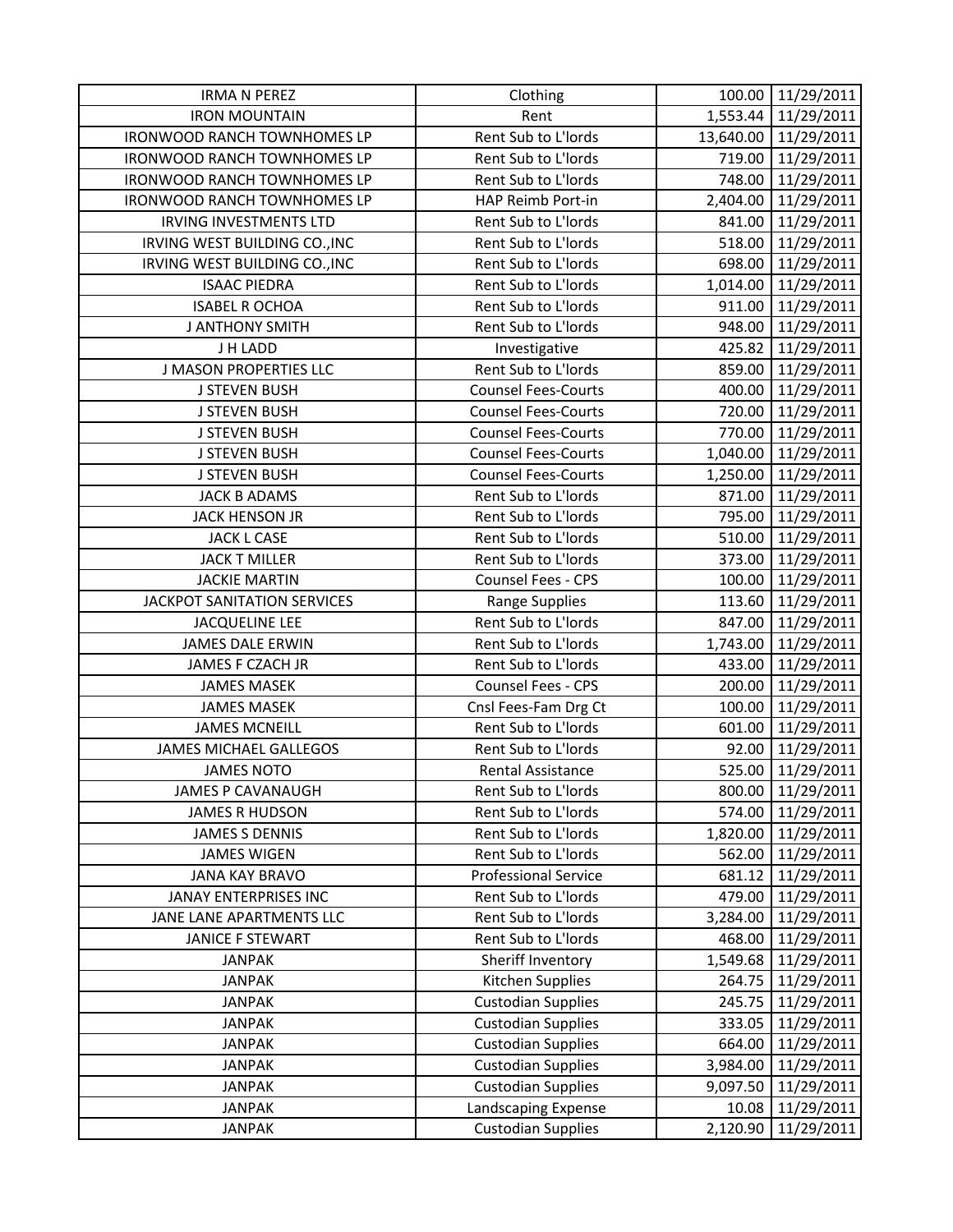| <b>IRMA N PEREZ</b>                | Clothing                    |          | 100.00 11/29/2011    |
|------------------------------------|-----------------------------|----------|----------------------|
| <b>IRON MOUNTAIN</b>               | Rent                        |          | 1,553.44 11/29/2011  |
| <b>IRONWOOD RANCH TOWNHOMES LP</b> | Rent Sub to L'Iords         |          | 13,640.00 11/29/2011 |
| <b>IRONWOOD RANCH TOWNHOMES LP</b> | Rent Sub to L'Iords         | 719.00   | 11/29/2011           |
| <b>IRONWOOD RANCH TOWNHOMES LP</b> | Rent Sub to L'Iords         | 748.00   | 11/29/2011           |
| <b>IRONWOOD RANCH TOWNHOMES LP</b> | HAP Reimb Port-in           | 2,404.00 | 11/29/2011           |
| <b>IRVING INVESTMENTS LTD</b>      | Rent Sub to L'Iords         | 841.00   | 11/29/2011           |
| IRVING WEST BUILDING CO., INC      | Rent Sub to L'Iords         | 518.00   | 11/29/2011           |
| IRVING WEST BUILDING CO., INC      | Rent Sub to L'Iords         | 698.00   | 11/29/2011           |
| <b>ISAAC PIEDRA</b>                | Rent Sub to L'Iords         |          | 1,014.00 11/29/2011  |
| <b>ISABEL R OCHOA</b>              | Rent Sub to L'Iords         | 911.00   | 11/29/2011           |
| <b>J ANTHONY SMITH</b>             | Rent Sub to L'Iords         | 948.00   | 11/29/2011           |
| J H LADD                           | Investigative               |          | 425.82 11/29/2011    |
| <b>J MASON PROPERTIES LLC</b>      | Rent Sub to L'Iords         | 859.00   | 11/29/2011           |
| <b>J STEVEN BUSH</b>               | <b>Counsel Fees-Courts</b>  | 400.00   | 11/29/2011           |
| <b>J STEVEN BUSH</b>               | <b>Counsel Fees-Courts</b>  | 720.00   | 11/29/2011           |
| <b>J STEVEN BUSH</b>               | <b>Counsel Fees-Courts</b>  |          | 770.00 11/29/2011    |
| <b>J STEVEN BUSH</b>               | <b>Counsel Fees-Courts</b>  |          | 1,040.00 11/29/2011  |
| <b>J STEVEN BUSH</b>               | <b>Counsel Fees-Courts</b>  | 1,250.00 | 11/29/2011           |
| <b>JACK B ADAMS</b>                | Rent Sub to L'Iords         | 871.00   | 11/29/2011           |
| <b>JACK HENSON JR</b>              | Rent Sub to L'Iords         |          | 795.00 11/29/2011    |
| <b>JACK L CASE</b>                 | Rent Sub to L'Iords         | 510.00   | 11/29/2011           |
| <b>JACK T MILLER</b>               | Rent Sub to L'Iords         | 373.00   | 11/29/2011           |
| <b>JACKIE MARTIN</b>               | Counsel Fees - CPS          | 100.00   | 11/29/2011           |
| JACKPOT SANITATION SERVICES        | <b>Range Supplies</b>       |          | 113.60 11/29/2011    |
| <b>JACQUELINE LEE</b>              | Rent Sub to L'Iords         | 847.00   | 11/29/2011           |
| JAMES DALE ERWIN                   | Rent Sub to L'Iords         | 1,743.00 | 11/29/2011           |
| JAMES F CZACH JR                   | Rent Sub to L'Iords         | 433.00   | 11/29/2011           |
| <b>JAMES MASEK</b>                 | Counsel Fees - CPS          | 200.00   | 11/29/2011           |
| <b>JAMES MASEK</b>                 | Cnsl Fees-Fam Drg Ct        | 100.00   | 11/29/2011           |
| <b>JAMES MCNEILL</b>               | Rent Sub to L'Iords         | 601.00   | 11/29/2011           |
| <b>JAMES MICHAEL GALLEGOS</b>      | Rent Sub to L'Iords         | 92.00    | 11/29/2011           |
| <b>JAMES NOTO</b>                  | Rental Assistance           | 525.00   | 11/29/2011           |
| <b>JAMES P CAVANAUGH</b>           | Rent Sub to L'Iords         | 800.00   | 11/29/2011           |
| JAMES R HUDSON                     | Rent Sub to L'Iords         | 574.00   | 11/29/2011           |
| <b>JAMES S DENNIS</b>              | Rent Sub to L'Iords         | 1,820.00 | 11/29/2011           |
| <b>JAMES WIGEN</b>                 | Rent Sub to L'Iords         | 562.00   | 11/29/2011           |
| <b>JANA KAY BRAVO</b>              | <b>Professional Service</b> | 681.12   | 11/29/2011           |
| <b>JANAY ENTERPRISES INC</b>       | Rent Sub to L'Iords         | 479.00   | 11/29/2011           |
| JANE LANE APARTMENTS LLC           | Rent Sub to L'Iords         | 3,284.00 | 11/29/2011           |
| JANICE F STEWART                   | Rent Sub to L'Iords         | 468.00   | 11/29/2011           |
| <b>JANPAK</b>                      | Sheriff Inventory           | 1,549.68 | 11/29/2011           |
| <b>JANPAK</b>                      | Kitchen Supplies            | 264.75   | 11/29/2011           |
| <b>JANPAK</b>                      | <b>Custodian Supplies</b>   | 245.75   | 11/29/2011           |
| <b>JANPAK</b>                      | <b>Custodian Supplies</b>   | 333.05   | 11/29/2011           |
| <b>JANPAK</b>                      | <b>Custodian Supplies</b>   | 664.00   | 11/29/2011           |
| <b>JANPAK</b>                      | <b>Custodian Supplies</b>   | 3,984.00 | 11/29/2011           |
| <b>JANPAK</b>                      | <b>Custodian Supplies</b>   | 9,097.50 | 11/29/2011           |
| <b>JANPAK</b>                      | Landscaping Expense         | 10.08    | 11/29/2011           |
| <b>JANPAK</b>                      | <b>Custodian Supplies</b>   | 2,120.90 | 11/29/2011           |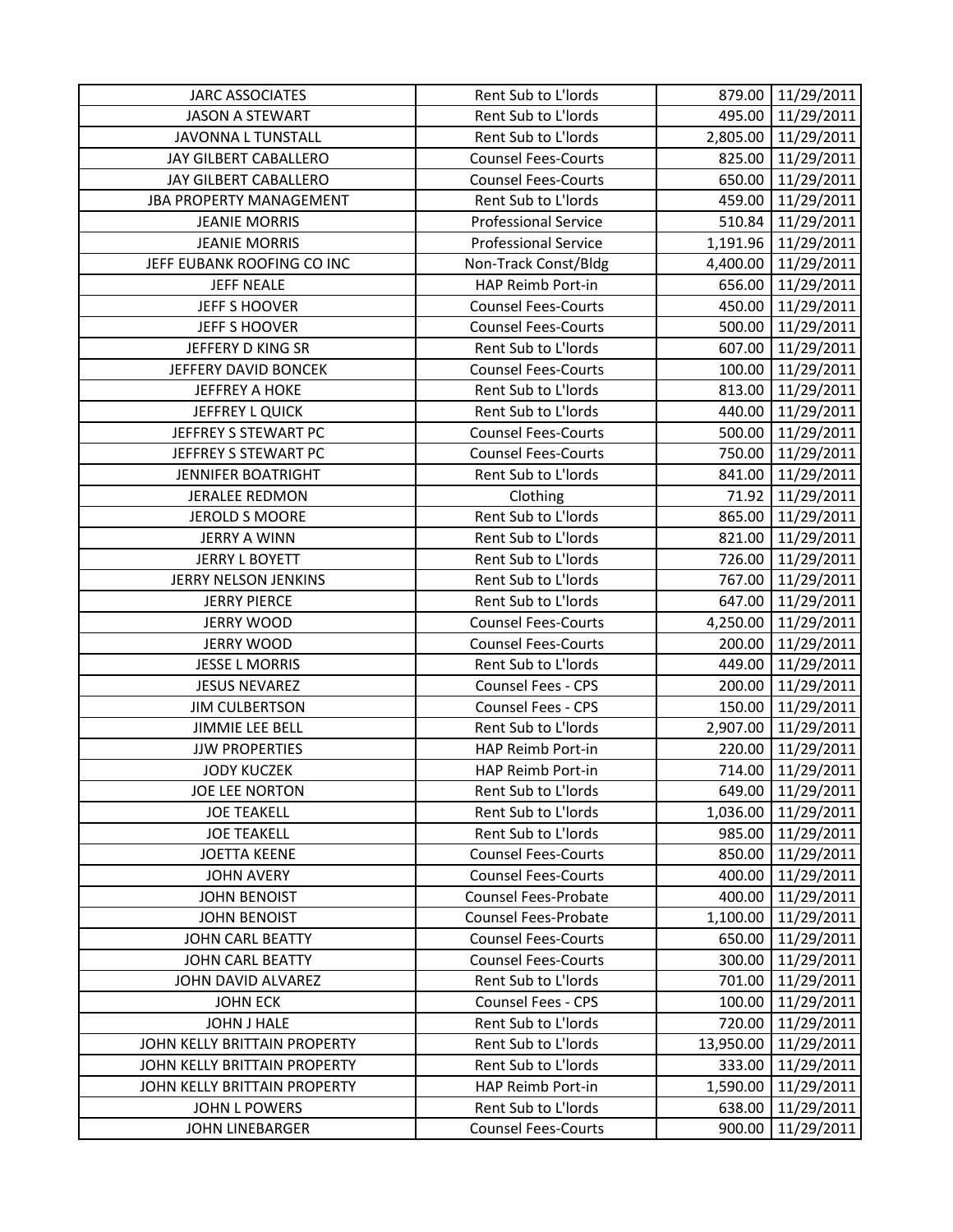| <b>JARC ASSOCIATES</b>         | Rent Sub to L'Iords         | 879.00    | 11/29/2011          |
|--------------------------------|-----------------------------|-----------|---------------------|
| <b>JASON A STEWART</b>         | Rent Sub to L'Iords         |           | 495.00 11/29/2011   |
| JAVONNA L TUNSTALL             | Rent Sub to L'Iords         |           | 2,805.00 11/29/2011 |
| JAY GILBERT CABALLERO          | <b>Counsel Fees-Courts</b>  | 825.00    | 11/29/2011          |
| JAY GILBERT CABALLERO          | <b>Counsel Fees-Courts</b>  | 650.00    | 11/29/2011          |
| <b>JBA PROPERTY MANAGEMENT</b> | Rent Sub to L'Iords         | 459.00    | 11/29/2011          |
| <b>JEANIE MORRIS</b>           | <b>Professional Service</b> | 510.84    | 11/29/2011          |
| <b>JEANIE MORRIS</b>           | <b>Professional Service</b> | 1,191.96  | 11/29/2011          |
| JEFF EUBANK ROOFING CO INC     | Non-Track Const/Bldg        | 4,400.00  | 11/29/2011          |
| <b>JEFF NEALE</b>              | HAP Reimb Port-in           | 656.00    | 11/29/2011          |
| <b>JEFF S HOOVER</b>           | <b>Counsel Fees-Courts</b>  | 450.00    | 11/29/2011          |
| <b>JEFF S HOOVER</b>           | <b>Counsel Fees-Courts</b>  | 500.00    | 11/29/2011          |
| JEFFERY D KING SR              | Rent Sub to L'Iords         | 607.00    | 11/29/2011          |
| JEFFERY DAVID BONCEK           | <b>Counsel Fees-Courts</b>  | 100.00    | 11/29/2011          |
| <b>JEFFREY A HOKE</b>          | Rent Sub to L'Iords         | 813.00    | 11/29/2011          |
| JEFFREY L QUICK                | Rent Sub to L'Iords         | 440.00    | 11/29/2011          |
| JEFFREY S STEWART PC           | <b>Counsel Fees-Courts</b>  | 500.00    | 11/29/2011          |
| JEFFREY S STEWART PC           | <b>Counsel Fees-Courts</b>  |           | 750.00 11/29/2011   |
| <b>JENNIFER BOATRIGHT</b>      | Rent Sub to L'Iords         | 841.00    | 11/29/2011          |
| JERALEE REDMON                 | Clothing                    | 71.92     | 11/29/2011          |
| <b>JEROLD S MOORE</b>          | Rent Sub to L'Iords         | 865.00    | 11/29/2011          |
| <b>JERRY A WINN</b>            | Rent Sub to L'Iords         |           | 821.00 11/29/2011   |
| <b>JERRY L BOYETT</b>          | Rent Sub to L'Iords         | 726.00    | 11/29/2011          |
| JERRY NELSON JENKINS           | Rent Sub to L'Iords         | 767.00    | 11/29/2011          |
| <b>JERRY PIERCE</b>            | Rent Sub to L'Iords         | 647.00    | 11/29/2011          |
| <b>JERRY WOOD</b>              | <b>Counsel Fees-Courts</b>  |           | 4,250.00 11/29/2011 |
| <b>JERRY WOOD</b>              | <b>Counsel Fees-Courts</b>  | 200.00    | 11/29/2011          |
| <b>JESSE L MORRIS</b>          | Rent Sub to L'Iords         | 449.00    | 11/29/2011          |
| <b>JESUS NEVAREZ</b>           | Counsel Fees - CPS          | 200.00    | 11/29/2011          |
| <b>JIM CULBERTSON</b>          | Counsel Fees - CPS          | 150.00    | 11/29/2011          |
| <b>JIMMIE LEE BELL</b>         | Rent Sub to L'Iords         | 2,907.00  | 11/29/2011          |
| <b>JJW PROPERTIES</b>          | HAP Reimb Port-in           | 220.00    | 11/29/2011          |
| <b>JODY KUCZEK</b>             | HAP Reimb Port-in           | 714.00    | 11/29/2011          |
| JOE LEE NORTON                 | Rent Sub to L'Iords         | 649.00    | 11/29/2011          |
| <b>JOE TEAKELL</b>             | Rent Sub to L'Iords         | 1,036.00  | 11/29/2011          |
| <b>JOE TEAKELL</b>             | Rent Sub to L'Iords         | 985.00    | 11/29/2011          |
| <b>JOETTA KEENE</b>            | <b>Counsel Fees-Courts</b>  | 850.00    | 11/29/2011          |
| <b>JOHN AVERY</b>              | <b>Counsel Fees-Courts</b>  | 400.00    | 11/29/2011          |
| <b>JOHN BENOIST</b>            | <b>Counsel Fees-Probate</b> | 400.00    | 11/29/2011          |
| <b>JOHN BENOIST</b>            | <b>Counsel Fees-Probate</b> | 1,100.00  | 11/29/2011          |
| <b>JOHN CARL BEATTY</b>        | <b>Counsel Fees-Courts</b>  | 650.00    | 11/29/2011          |
| <b>JOHN CARL BEATTY</b>        | <b>Counsel Fees-Courts</b>  | 300.00    | 11/29/2011          |
| JOHN DAVID ALVAREZ             | Rent Sub to L'Iords         | 701.00    | 11/29/2011          |
| <b>JOHN ECK</b>                | <b>Counsel Fees - CPS</b>   | 100.00    | 11/29/2011          |
| JOHN J HALE                    | Rent Sub to L'Iords         | 720.00    | 11/29/2011          |
| JOHN KELLY BRITTAIN PROPERTY   | Rent Sub to L'Iords         | 13,950.00 | 11/29/2011          |
| JOHN KELLY BRITTAIN PROPERTY   | Rent Sub to L'Iords         | 333.00    | 11/29/2011          |
| JOHN KELLY BRITTAIN PROPERTY   | HAP Reimb Port-in           | 1,590.00  | 11/29/2011          |
| <b>JOHN L POWERS</b>           | Rent Sub to L'Iords         | 638.00    | 11/29/2011          |
| <b>JOHN LINEBARGER</b>         | <b>Counsel Fees-Courts</b>  | 900.00    | 11/29/2011          |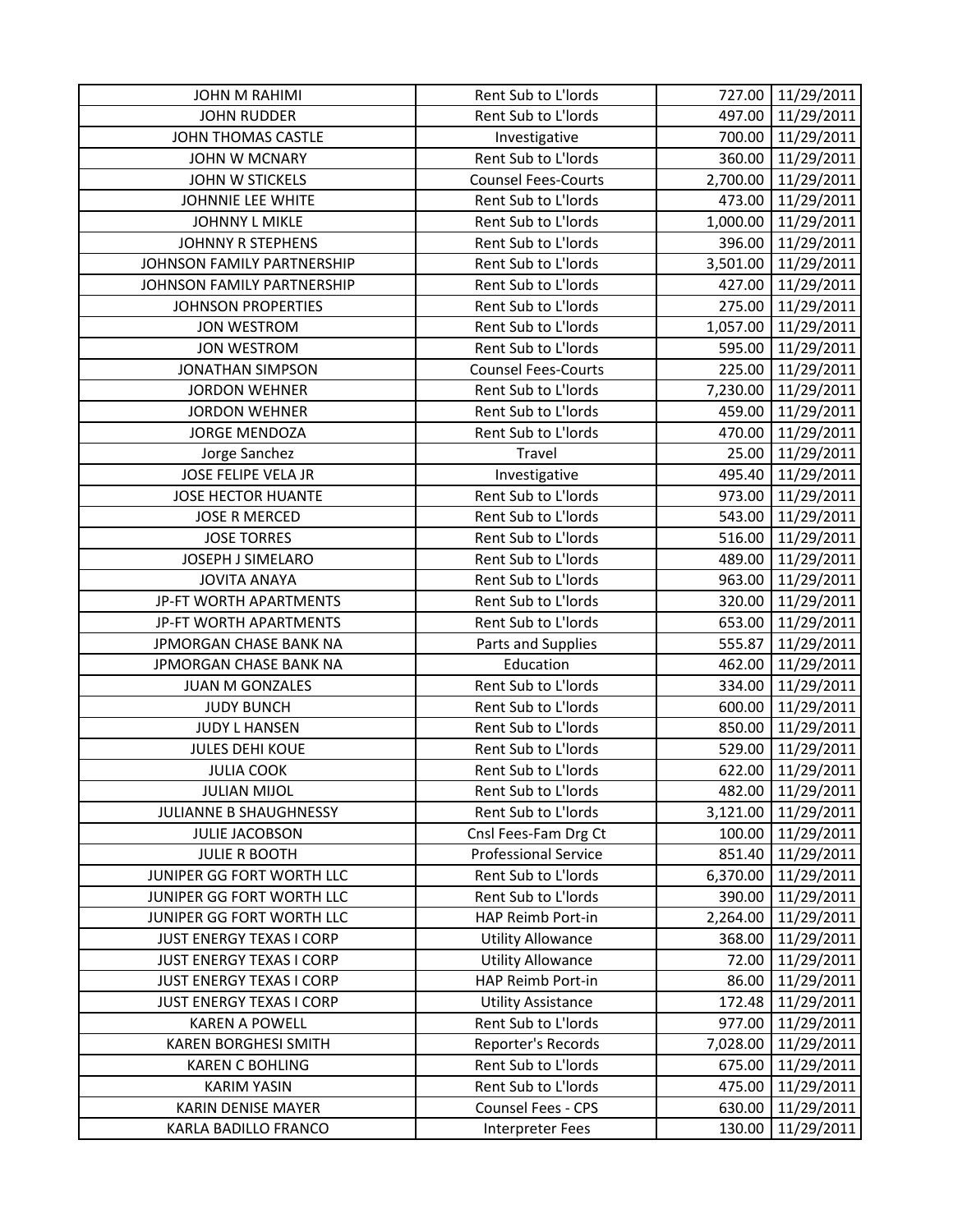| <b>JOHN M RAHIMI</b>            | Rent Sub to L'Iords         | 727.00   | 11/29/2011          |
|---------------------------------|-----------------------------|----------|---------------------|
| <b>JOHN RUDDER</b>              | Rent Sub to L'Iords         | 497.00   | 11/29/2011          |
| <b>JOHN THOMAS CASTLE</b>       | Investigative               |          | 700.00 11/29/2011   |
| JOHN W MCNARY                   | Rent Sub to L'Iords         | 360.00   | 11/29/2011          |
| <b>JOHN W STICKELS</b>          | <b>Counsel Fees-Courts</b>  | 2,700.00 | 11/29/2011          |
| JOHNNIE LEE WHITE               | Rent Sub to L'Iords         | 473.00   | 11/29/2011          |
| <b>JOHNNY L MIKLE</b>           | Rent Sub to L'Iords         |          | 1,000.00 11/29/2011 |
| <b>JOHNNY R STEPHENS</b>        | Rent Sub to L'Iords         | 396.00   | 11/29/2011          |
| JOHNSON FAMILY PARTNERSHIP      | Rent Sub to L'Iords         | 3,501.00 | 11/29/2011          |
| JOHNSON FAMILY PARTNERSHIP      | Rent Sub to L'Iords         | 427.00   | 11/29/2011          |
| <b>JOHNSON PROPERTIES</b>       | Rent Sub to L'Iords         | 275.00   | 11/29/2011          |
| <b>JON WESTROM</b>              | Rent Sub to L'Iords         | 1,057.00 | 11/29/2011          |
| <b>JON WESTROM</b>              | Rent Sub to L'Iords         | 595.00   | 11/29/2011          |
| <b>JONATHAN SIMPSON</b>         | <b>Counsel Fees-Courts</b>  | 225.00   | 11/29/2011          |
| <b>JORDON WEHNER</b>            | Rent Sub to L'Iords         |          | 7,230.00 11/29/2011 |
| <b>JORDON WEHNER</b>            | Rent Sub to L'Iords         | 459.00   | 11/29/2011          |
| <b>JORGE MENDOZA</b>            | Rent Sub to L'Iords         | 470.00   | 11/29/2011          |
| Jorge Sanchez                   | Travel                      |          | 25.00 11/29/2011    |
| JOSE FELIPE VELA JR             | Investigative               | 495.40   | 11/29/2011          |
| <b>JOSE HECTOR HUANTE</b>       | Rent Sub to L'Iords         | 973.00   | 11/29/2011          |
| <b>JOSE R MERCED</b>            | Rent Sub to L'Iords         | 543.00   | 11/29/2011          |
| <b>JOSE TORRES</b>              | Rent Sub to L'Iords         |          | 516.00 11/29/2011   |
| JOSEPH J SIMELARO               | Rent Sub to L'Iords         | 489.00   | 11/29/2011          |
| <b>JOVITA ANAYA</b>             | Rent Sub to L'Iords         | 963.00   | 11/29/2011          |
| JP-FT WORTH APARTMENTS          | Rent Sub to L'Iords         | 320.00   | 11/29/2011          |
| JP-FT WORTH APARTMENTS          | Rent Sub to L'Iords         | 653.00   | 11/29/2011          |
| JPMORGAN CHASE BANK NA          | Parts and Supplies          | 555.87   | 11/29/2011          |
| JPMORGAN CHASE BANK NA          | Education                   | 462.00   | 11/29/2011          |
| <b>JUAN M GONZALES</b>          | Rent Sub to L'Iords         | 334.00   | 11/29/2011          |
| <b>JUDY BUNCH</b>               | Rent Sub to L'Iords         | 600.00   | 11/29/2011          |
| <b>JUDY L HANSEN</b>            | Rent Sub to L'Iords         | 850.00   | 11/29/2011          |
| <b>JULES DEHI KOUE</b>          | Rent Sub to L'Iords         | 529.00   | 11/29/2011          |
| <b>JULIA COOK</b>               | Rent Sub to L'Iords         | 622.00   | 11/29/2011          |
| <b>JULIAN MIJOL</b>             | Rent Sub to L'Iords         | 482.00   | 11/29/2011          |
| JULIANNE B SHAUGHNESSY          | Rent Sub to L'Iords         | 3,121.00 | 11/29/2011          |
| <b>JULIE JACOBSON</b>           | Cnsl Fees-Fam Drg Ct        | 100.00   | 11/29/2011          |
| <b>JULIE R BOOTH</b>            | <b>Professional Service</b> | 851.40   | 11/29/2011          |
| JUNIPER GG FORT WORTH LLC       | Rent Sub to L'Iords         | 6,370.00 | 11/29/2011          |
| JUNIPER GG FORT WORTH LLC       | Rent Sub to L'Iords         | 390.00   | 11/29/2011          |
| JUNIPER GG FORT WORTH LLC       | HAP Reimb Port-in           | 2,264.00 | 11/29/2011          |
| <b>JUST ENERGY TEXAS I CORP</b> | <b>Utility Allowance</b>    | 368.00   | 11/29/2011          |
| <b>JUST ENERGY TEXAS I CORP</b> | <b>Utility Allowance</b>    | 72.00    | 11/29/2011          |
| <b>JUST ENERGY TEXAS I CORP</b> | HAP Reimb Port-in           | 86.00    | 11/29/2011          |
| <b>JUST ENERGY TEXAS I CORP</b> | <b>Utility Assistance</b>   | 172.48   | 11/29/2011          |
| <b>KAREN A POWELL</b>           | Rent Sub to L'Iords         | 977.00   | 11/29/2011          |
| <b>KAREN BORGHESI SMITH</b>     | Reporter's Records          | 7,028.00 | 11/29/2011          |
| <b>KAREN C BOHLING</b>          | Rent Sub to L'Iords         | 675.00   | 11/29/2011          |
| <b>KARIM YASIN</b>              | Rent Sub to L'Iords         | 475.00   | 11/29/2011          |
| KARIN DENISE MAYER              | Counsel Fees - CPS          | 630.00   | 11/29/2011          |
| KARLA BADILLO FRANCO            | <b>Interpreter Fees</b>     | 130.00   | 11/29/2011          |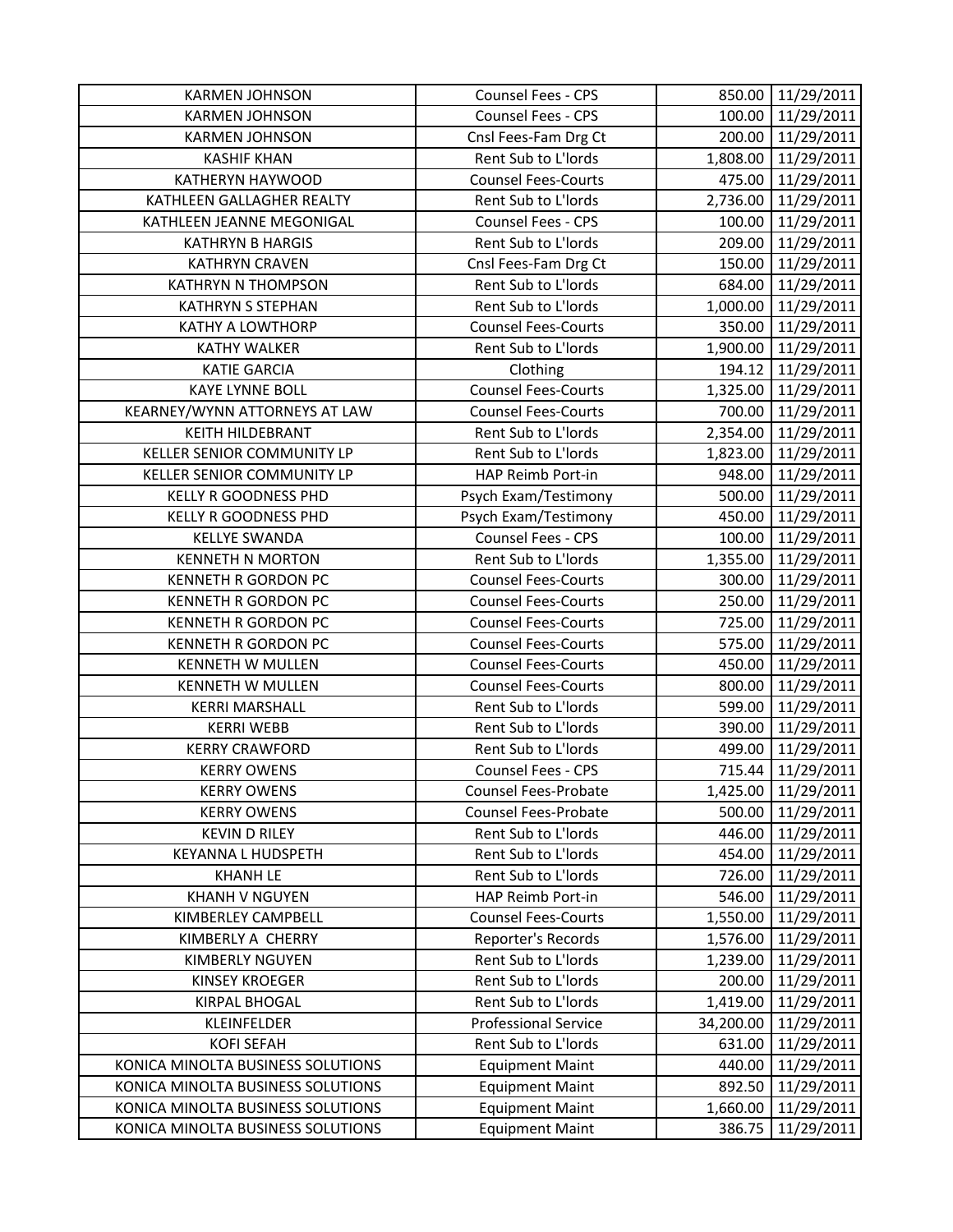| <b>KARMEN JOHNSON</b>             | Counsel Fees - CPS          |           | 850.00 11/29/2011   |
|-----------------------------------|-----------------------------|-----------|---------------------|
| <b>KARMEN JOHNSON</b>             | Counsel Fees - CPS          | 100.00    | 11/29/2011          |
| <b>KARMEN JOHNSON</b>             | Cnsl Fees-Fam Drg Ct        |           | 200.00 11/29/2011   |
| <b>KASHIF KHAN</b>                | Rent Sub to L'Iords         | 1,808.00  | 11/29/2011          |
| KATHERYN HAYWOOD                  | <b>Counsel Fees-Courts</b>  | 475.00    | 11/29/2011          |
| KATHLEEN GALLAGHER REALTY         | Rent Sub to L'Iords         | 2,736.00  | 11/29/2011          |
| KATHLEEN JEANNE MEGONIGAL         | <b>Counsel Fees - CPS</b>   | 100.00    | 11/29/2011          |
| <b>KATHRYN B HARGIS</b>           | Rent Sub to L'Iords         |           | 209.00 11/29/2011   |
| <b>KATHRYN CRAVEN</b>             | Cnsl Fees-Fam Drg Ct        | 150.00    | 11/29/2011          |
| KATHRYN N THOMPSON                | Rent Sub to L'Iords         |           | 684.00 11/29/2011   |
| <b>KATHRYN S STEPHAN</b>          | Rent Sub to L'Iords         |           | 1,000.00 11/29/2011 |
| KATHY A LOWTHORP                  | <b>Counsel Fees-Courts</b>  |           | 350.00 11/29/2011   |
| <b>KATHY WALKER</b>               | Rent Sub to L'Iords         |           | 1,900.00 11/29/2011 |
| <b>KATIE GARCIA</b>               | Clothing                    | 194.12    | 11/29/2011          |
| <b>KAYE LYNNE BOLL</b>            | <b>Counsel Fees-Courts</b>  |           | 1,325.00 11/29/2011 |
| KEARNEY/WYNN ATTORNEYS AT LAW     | <b>Counsel Fees-Courts</b>  | 700.00    | 11/29/2011          |
| <b>KEITH HILDEBRANT</b>           | Rent Sub to L'Iords         |           | 2,354.00 11/29/2011 |
| KELLER SENIOR COMMUNITY LP        | Rent Sub to L'Iords         | 1,823.00  | 11/29/2011          |
| KELLER SENIOR COMMUNITY LP        | HAP Reimb Port-in           | 948.00    | 11/29/2011          |
| <b>KELLY R GOODNESS PHD</b>       | Psych Exam/Testimony        | 500.00    | 11/29/2011          |
| KELLY R GOODNESS PHD              | Psych Exam/Testimony        | 450.00    | 11/29/2011          |
| <b>KELLYE SWANDA</b>              | Counsel Fees - CPS          | 100.00    | 11/29/2011          |
| <b>KENNETH N MORTON</b>           | Rent Sub to L'Iords         |           | 1,355.00 11/29/2011 |
| <b>KENNETH R GORDON PC</b>        | <b>Counsel Fees-Courts</b>  | 300.00    | 11/29/2011          |
| KENNETH R GORDON PC               | <b>Counsel Fees-Courts</b>  | 250.00    | 11/29/2011          |
| KENNETH R GORDON PC               | <b>Counsel Fees-Courts</b>  |           | 725.00 11/29/2011   |
| <b>KENNETH R GORDON PC</b>        | <b>Counsel Fees-Courts</b>  | 575.00    | 11/29/2011          |
| <b>KENNETH W MULLEN</b>           | <b>Counsel Fees-Courts</b>  | 450.00    | 11/29/2011          |
| <b>KENNETH W MULLEN</b>           | <b>Counsel Fees-Courts</b>  | 800.00    | 11/29/2011          |
| <b>KERRI MARSHALL</b>             | Rent Sub to L'Iords         | 599.00    | 11/29/2011          |
| <b>KERRI WEBB</b>                 | Rent Sub to L'Iords         | 390.00    | 11/29/2011          |
| <b>KERRY CRAWFORD</b>             | Rent Sub to L'Iords         | 499.00    | 11/29/2011          |
| <b>KERRY OWENS</b>                | Counsel Fees - CPS          | 715.44    | 11/29/2011          |
| <b>KERRY OWENS</b>                | Counsel Fees-Probate        | 1,425.00  | 11/29/2011          |
| <b>KERRY OWENS</b>                | <b>Counsel Fees-Probate</b> | 500.00    | 11/29/2011          |
| <b>KEVIN D RILEY</b>              | Rent Sub to L'Iords         | 446.00    | 11/29/2011          |
| KEYANNA L HUDSPETH                | Rent Sub to L'Iords         | 454.00    | 11/29/2011          |
| <b>KHANH LE</b>                   | Rent Sub to L'Iords         | 726.00    | 11/29/2011          |
| <b>KHANH V NGUYEN</b>             | HAP Reimb Port-in           | 546.00    | 11/29/2011          |
| KIMBERLEY CAMPBELL                | <b>Counsel Fees-Courts</b>  | 1,550.00  | 11/29/2011          |
| KIMBERLY A CHERRY                 | Reporter's Records          | 1,576.00  | 11/29/2011          |
| <b>KIMBERLY NGUYEN</b>            | Rent Sub to L'Iords         | 1,239.00  | 11/29/2011          |
| <b>KINSEY KROEGER</b>             | Rent Sub to L'Iords         | 200.00    | 11/29/2011          |
| <b>KIRPAL BHOGAL</b>              | Rent Sub to L'Iords         | 1,419.00  | 11/29/2011          |
| KLEINFELDER                       | <b>Professional Service</b> | 34,200.00 | 11/29/2011          |
| <b>KOFI SEFAH</b>                 | Rent Sub to L'Iords         | 631.00    | 11/29/2011          |
| KONICA MINOLTA BUSINESS SOLUTIONS | <b>Equipment Maint</b>      | 440.00    | 11/29/2011          |
| KONICA MINOLTA BUSINESS SOLUTIONS | <b>Equipment Maint</b>      | 892.50    | 11/29/2011          |
| KONICA MINOLTA BUSINESS SOLUTIONS | <b>Equipment Maint</b>      | 1,660.00  | 11/29/2011          |
| KONICA MINOLTA BUSINESS SOLUTIONS | <b>Equipment Maint</b>      | 386.75    | 11/29/2011          |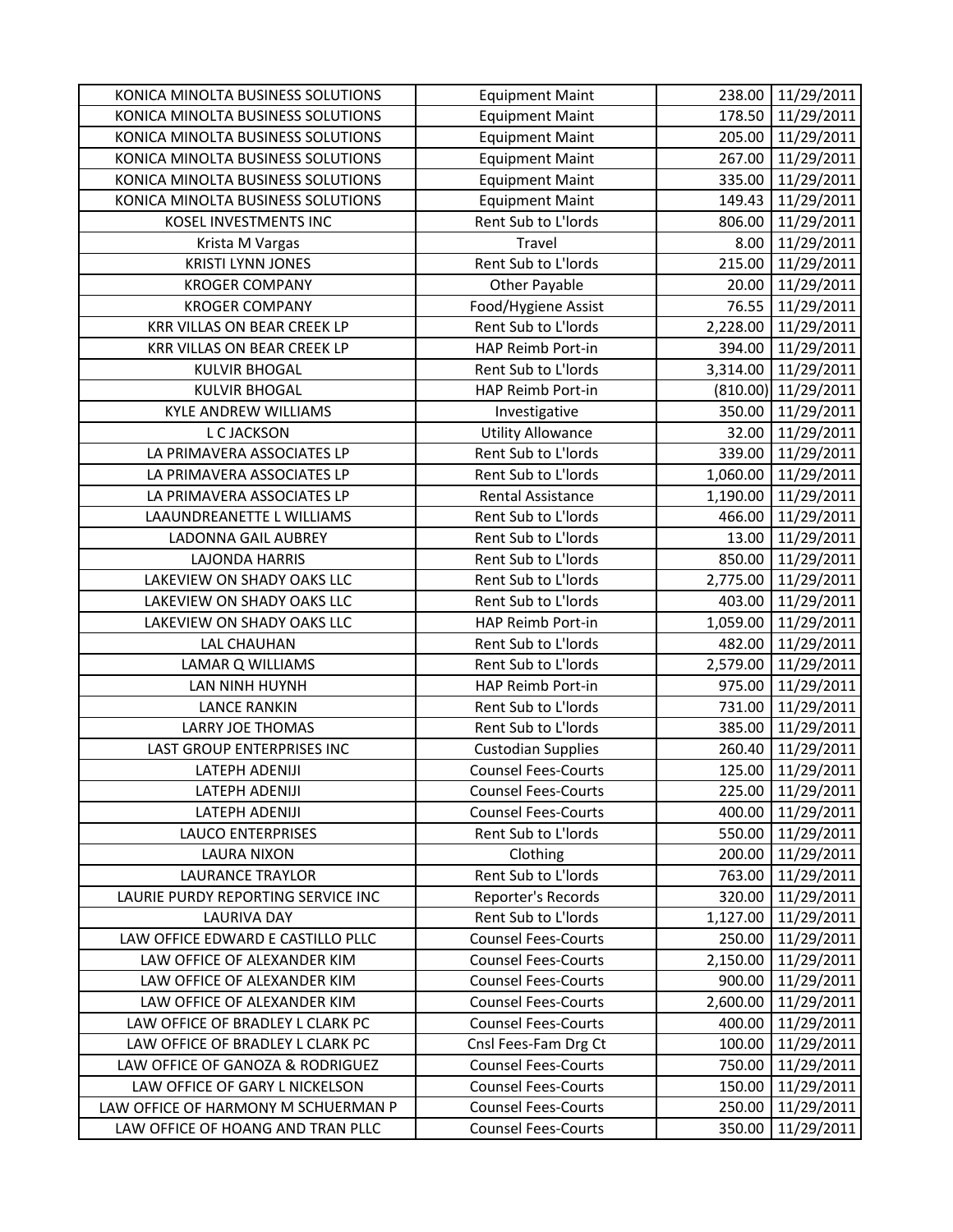| KONICA MINOLTA BUSINESS SOLUTIONS   | <b>Equipment Maint</b>     | 238.00   | 11/29/2011          |
|-------------------------------------|----------------------------|----------|---------------------|
| KONICA MINOLTA BUSINESS SOLUTIONS   | <b>Equipment Maint</b>     |          | 178.50 11/29/2011   |
| KONICA MINOLTA BUSINESS SOLUTIONS   | <b>Equipment Maint</b>     |          | 205.00 11/29/2011   |
| KONICA MINOLTA BUSINESS SOLUTIONS   | <b>Equipment Maint</b>     | 267.00   | 11/29/2011          |
| KONICA MINOLTA BUSINESS SOLUTIONS   | <b>Equipment Maint</b>     | 335.00   | 11/29/2011          |
| KONICA MINOLTA BUSINESS SOLUTIONS   | <b>Equipment Maint</b>     | 149.43   | 11/29/2011          |
| KOSEL INVESTMENTS INC               | Rent Sub to L'Iords        | 806.00   | 11/29/2011          |
| Krista M Vargas                     | Travel                     | 8.00     | 11/29/2011          |
| <b>KRISTI LYNN JONES</b>            | Rent Sub to L'Iords        | 215.00   | 11/29/2011          |
| <b>KROGER COMPANY</b>               | <b>Other Payable</b>       | 20.00    | 11/29/2011          |
| <b>KROGER COMPANY</b>               | Food/Hygiene Assist        | 76.55    | 11/29/2011          |
| KRR VILLAS ON BEAR CREEK LP         | Rent Sub to L'Iords        | 2,228.00 | 11/29/2011          |
| <b>KRR VILLAS ON BEAR CREEK LP</b>  | HAP Reimb Port-in          | 394.00   | 11/29/2011          |
| <b>KULVIR BHOGAL</b>                | Rent Sub to L'Iords        | 3,314.00 | 11/29/2011          |
| <b>KULVIR BHOGAL</b>                | HAP Reimb Port-in          |          | (810.00) 11/29/2011 |
| <b>KYLE ANDREW WILLIAMS</b>         | Investigative              | 350.00   | 11/29/2011          |
| L C JACKSON                         | <b>Utility Allowance</b>   |          | 32.00 11/29/2011    |
| LA PRIMAVERA ASSOCIATES LP          | Rent Sub to L'Iords        |          | 339.00 11/29/2011   |
| LA PRIMAVERA ASSOCIATES LP          | Rent Sub to L'Iords        | 1,060.00 | 11/29/2011          |
| LA PRIMAVERA ASSOCIATES LP          | Rental Assistance          | 1,190.00 | 11/29/2011          |
| LAAUNDREANETTE L WILLIAMS           | Rent Sub to L'Iords        | 466.00   | 11/29/2011          |
| <b>LADONNA GAIL AUBREY</b>          | Rent Sub to L'Iords        | 13.00    | 11/29/2011          |
| <b>LAJONDA HARRIS</b>               | Rent Sub to L'Iords        | 850.00   | 11/29/2011          |
| LAKEVIEW ON SHADY OAKS LLC          | Rent Sub to L'Iords        | 2,775.00 | 11/29/2011          |
| LAKEVIEW ON SHADY OAKS LLC          | Rent Sub to L'Iords        | 403.00   | 11/29/2011          |
| LAKEVIEW ON SHADY OAKS LLC          | HAP Reimb Port-in          | 1,059.00 | 11/29/2011          |
| <b>LAL CHAUHAN</b>                  | Rent Sub to L'Iords        | 482.00   | 11/29/2011          |
| LAMAR Q WILLIAMS                    | Rent Sub to L'Iords        | 2,579.00 | 11/29/2011          |
| LAN NINH HUYNH                      | HAP Reimb Port-in          | 975.00   | 11/29/2011          |
| <b>LANCE RANKIN</b>                 | Rent Sub to L'Iords        | 731.00   | 11/29/2011          |
| <b>LARRY JOE THOMAS</b>             | Rent Sub to L'Iords        | 385.00   | 11/29/2011          |
| LAST GROUP ENTERPRISES INC          | <b>Custodian Supplies</b>  | 260.40   | 11/29/2011          |
| <b>LATEPH ADENIJI</b>               | <b>Counsel Fees-Courts</b> | 125.00   | 11/29/2011          |
| LATEPH ADENIJI                      | <b>Counsel Fees-Courts</b> | 225.00   | 11/29/2011          |
| LATEPH ADENIJI                      | <b>Counsel Fees-Courts</b> | 400.00   | 11/29/2011          |
| <b>LAUCO ENTERPRISES</b>            | Rent Sub to L'Iords        | 550.00   | 11/29/2011          |
| <b>LAURA NIXON</b>                  | Clothing                   | 200.00   | 11/29/2011          |
| <b>LAURANCE TRAYLOR</b>             | Rent Sub to L'Iords        | 763.00   | 11/29/2011          |
| LAURIE PURDY REPORTING SERVICE INC  | Reporter's Records         | 320.00   | 11/29/2011          |
| <b>LAURIVA DAY</b>                  | Rent Sub to L'Iords        | 1,127.00 | 11/29/2011          |
| LAW OFFICE EDWARD E CASTILLO PLLC   | <b>Counsel Fees-Courts</b> | 250.00   | 11/29/2011          |
| LAW OFFICE OF ALEXANDER KIM         | <b>Counsel Fees-Courts</b> | 2,150.00 | 11/29/2011          |
| LAW OFFICE OF ALEXANDER KIM         | <b>Counsel Fees-Courts</b> | 900.00   | 11/29/2011          |
| LAW OFFICE OF ALEXANDER KIM         | <b>Counsel Fees-Courts</b> | 2,600.00 | 11/29/2011          |
| LAW OFFICE OF BRADLEY L CLARK PC    | <b>Counsel Fees-Courts</b> | 400.00   | 11/29/2011          |
| LAW OFFICE OF BRADLEY L CLARK PC    | Cnsl Fees-Fam Drg Ct       | 100.00   | 11/29/2011          |
| LAW OFFICE OF GANOZA & RODRIGUEZ    | <b>Counsel Fees-Courts</b> | 750.00   | 11/29/2011          |
| LAW OFFICE OF GARY L NICKELSON      | <b>Counsel Fees-Courts</b> | 150.00   | 11/29/2011          |
| LAW OFFICE OF HARMONY M SCHUERMAN P | <b>Counsel Fees-Courts</b> | 250.00   | 11/29/2011          |
| LAW OFFICE OF HOANG AND TRAN PLLC   | <b>Counsel Fees-Courts</b> | 350.00   | 11/29/2011          |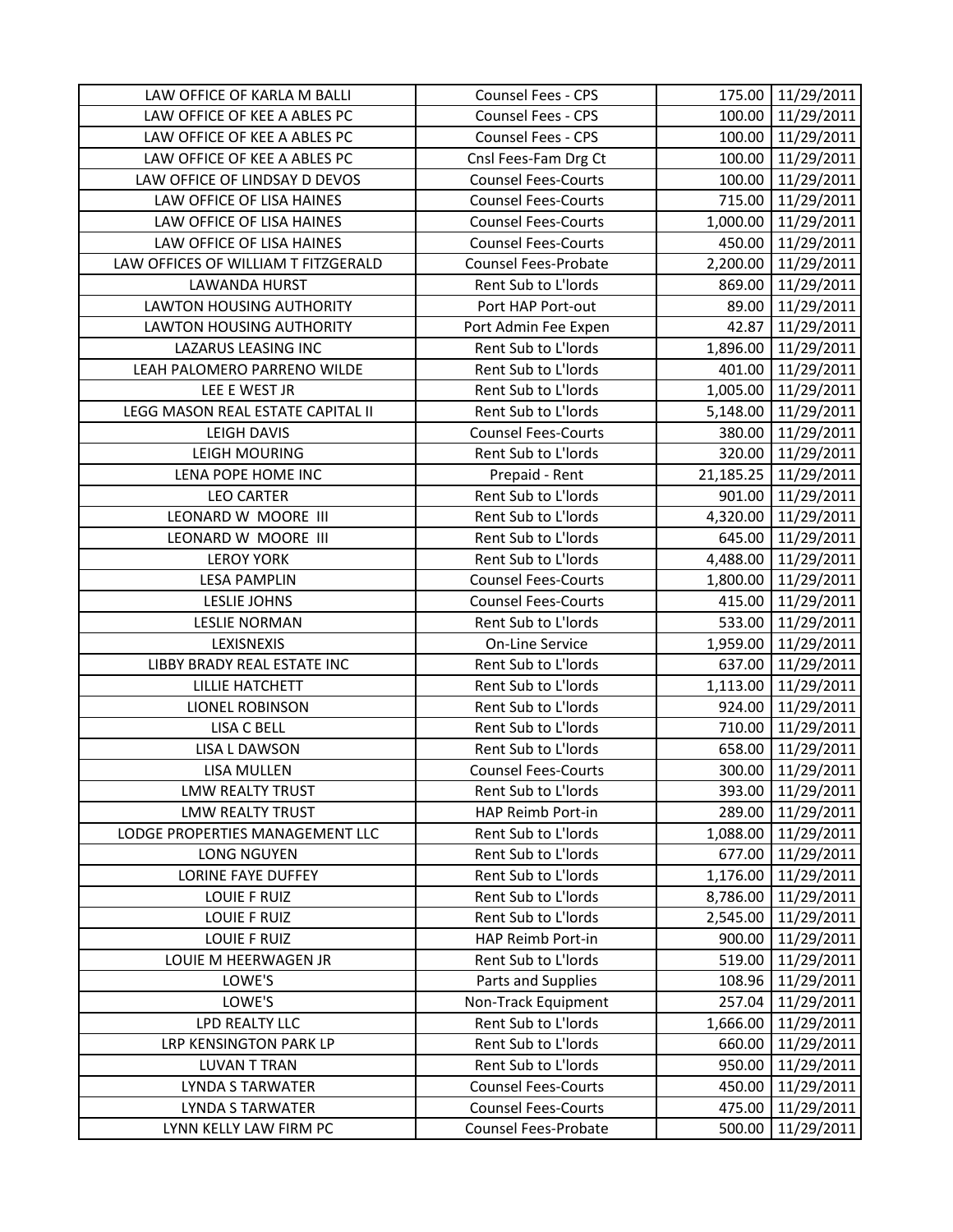| LAW OFFICE OF KARLA M BALLI                       | Counsel Fees - CPS                                 |                  | 175.00 11/29/2011        |
|---------------------------------------------------|----------------------------------------------------|------------------|--------------------------|
| LAW OFFICE OF KEE A ABLES PC                      | Counsel Fees - CPS                                 |                  | 100.00 11/29/2011        |
| LAW OFFICE OF KEE A ABLES PC                      | Counsel Fees - CPS                                 |                  | 100.00 11/29/2011        |
| LAW OFFICE OF KEE A ABLES PC                      | Cnsl Fees-Fam Drg Ct                               | 100.00           | 11/29/2011               |
| LAW OFFICE OF LINDSAY D DEVOS                     | <b>Counsel Fees-Courts</b>                         | 100.00           | 11/29/2011               |
| LAW OFFICE OF LISA HAINES                         | <b>Counsel Fees-Courts</b>                         | 715.00           | 11/29/2011               |
| LAW OFFICE OF LISA HAINES                         | <b>Counsel Fees-Courts</b>                         |                  | 1,000.00 11/29/2011      |
| LAW OFFICE OF LISA HAINES                         | <b>Counsel Fees-Courts</b>                         | 450.00           | 11/29/2011               |
| LAW OFFICES OF WILLIAM T FITZGERALD               | Counsel Fees-Probate                               | 2,200.00         | 11/29/2011               |
| <b>LAWANDA HURST</b>                              | Rent Sub to L'Iords                                |                  | 869.00 11/29/2011        |
| <b>LAWTON HOUSING AUTHORITY</b>                   | Port HAP Port-out                                  | 89.00            | 11/29/2011               |
| <b>LAWTON HOUSING AUTHORITY</b>                   | Port Admin Fee Expen                               | 42.87            | 11/29/2011               |
| LAZARUS LEASING INC                               | Rent Sub to L'Iords                                |                  | 1,896.00 11/29/2011      |
| LEAH PALOMERO PARRENO WILDE                       | Rent Sub to L'Iords                                |                  | 401.00 11/29/2011        |
| LEE E WEST JR                                     | Rent Sub to L'Iords                                |                  | 1,005.00 11/29/2011      |
| LEGG MASON REAL ESTATE CAPITAL II                 | Rent Sub to L'Iords                                | 5,148.00         | 11/29/2011               |
| <b>LEIGH DAVIS</b>                                | <b>Counsel Fees-Courts</b>                         | 380.00           | 11/29/2011               |
| <b>LEIGH MOURING</b>                              | Rent Sub to L'Iords                                |                  | 320.00 11/29/2011        |
| LENA POPE HOME INC                                | Prepaid - Rent                                     |                  | 21,185.25 11/29/2011     |
| <b>LEO CARTER</b>                                 | Rent Sub to L'Iords                                |                  | 901.00 11/29/2011        |
| LEONARD W MOORE III                               | Rent Sub to L'Iords                                |                  | 4,320.00 11/29/2011      |
| LEONARD W MOORE III                               | Rent Sub to L'Iords                                |                  | 645.00 11/29/2011        |
| <b>LEROY YORK</b>                                 | Rent Sub to L'Iords                                |                  | 4,488.00 11/29/2011      |
| <b>LESA PAMPLIN</b>                               | <b>Counsel Fees-Courts</b>                         | 1,800.00         | 11/29/2011               |
| LESLIE JOHNS                                      | <b>Counsel Fees-Courts</b>                         | 415.00           | 11/29/2011               |
|                                                   |                                                    |                  |                          |
| <b>LESLIE NORMAN</b>                              | Rent Sub to L'Iords                                |                  | 533.00 11/29/2011        |
| LEXISNEXIS                                        | <b>On-Line Service</b>                             | 1,959.00         | 11/29/2011               |
| LIBBY BRADY REAL ESTATE INC                       | Rent Sub to L'Iords                                | 637.00           | 11/29/2011               |
| <b>LILLIE HATCHETT</b>                            | Rent Sub to L'Iords                                | 1,113.00         | 11/29/2011               |
| <b>LIONEL ROBINSON</b>                            | Rent Sub to L'Iords                                |                  | 924.00 11/29/2011        |
| <b>LISA C BELL</b>                                | Rent Sub to L'Iords                                | 710.00           | 11/29/2011               |
| LISA L DAWSON                                     | Rent Sub to L'Iords                                | 658.00           | 11/29/2011               |
| LISA MULLEN                                       | <b>Counsel Fees-Courts</b>                         | 300.00           | 11/29/2011               |
| LMW REALTY TRUST                                  | Rent Sub to L'Iords                                | 393.00           | 11/29/2011               |
| LMW REALTY TRUST                                  | HAP Reimb Port-in                                  | 289.00           | 11/29/2011               |
| LODGE PROPERTIES MANAGEMENT LLC                   | Rent Sub to L'Iords                                | 1,088.00         | 11/29/2011               |
| <b>LONG NGUYEN</b>                                | Rent Sub to L'Iords                                | 677.00           | 11/29/2011               |
| LORINE FAYE DUFFEY                                | Rent Sub to L'Iords                                | 1,176.00         | 11/29/2011               |
| <b>LOUIE F RUIZ</b>                               | Rent Sub to L'Iords                                | 8,786.00         | 11/29/2011               |
| LOUIE F RUIZ                                      | Rent Sub to L'Iords                                | 2,545.00         | 11/29/2011               |
| <b>LOUIE F RUIZ</b>                               | HAP Reimb Port-in                                  | 900.00           | 11/29/2011               |
| LOUIE M HEERWAGEN JR                              | Rent Sub to L'Iords                                | 519.00           | 11/29/2011               |
| LOWE'S                                            | Parts and Supplies                                 | 108.96           | 11/29/2011               |
| LOWE'S                                            | Non-Track Equipment                                | 257.04           | 11/29/2011               |
| LPD REALTY LLC                                    | Rent Sub to L'Iords                                | 1,666.00         | 11/29/2011               |
| LRP KENSINGTON PARK LP                            | Rent Sub to L'Iords                                | 660.00           | 11/29/2011               |
| <b>LUVAN T TRAN</b>                               | Rent Sub to L'Iords                                | 950.00           | 11/29/2011               |
| <b>LYNDA S TARWATER</b>                           | <b>Counsel Fees-Courts</b>                         | 450.00           | 11/29/2011               |
| <b>LYNDA S TARWATER</b><br>LYNN KELLY LAW FIRM PC | <b>Counsel Fees-Courts</b><br>Counsel Fees-Probate | 475.00<br>500.00 | 11/29/2011<br>11/29/2011 |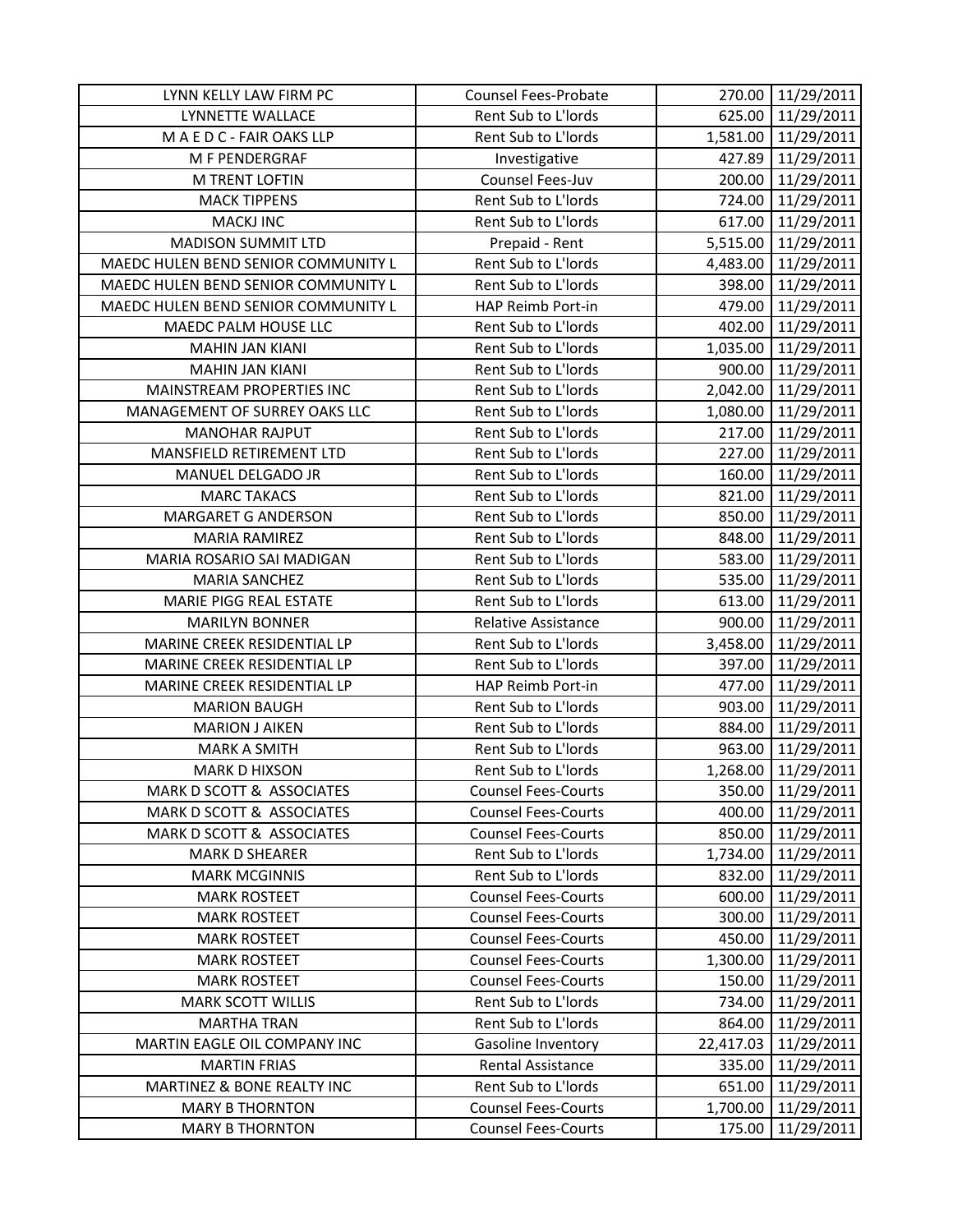| LYNN KELLY LAW FIRM PC              | Counsel Fees-Probate       |           | 270.00 11/29/2011   |
|-------------------------------------|----------------------------|-----------|---------------------|
| LYNNETTE WALLACE                    | Rent Sub to L'Iords        |           | 625.00 11/29/2011   |
| M A E D C - FAIR OAKS LLP           | Rent Sub to L'Iords        |           | 1,581.00 11/29/2011 |
| M F PENDERGRAF                      | Investigative              | 427.89    | 11/29/2011          |
| M TRENT LOFTIN                      | Counsel Fees-Juv           | 200.00    | 11/29/2011          |
| <b>MACK TIPPENS</b>                 | Rent Sub to L'Iords        | 724.00    | 11/29/2011          |
| <b>MACKJ INC</b>                    | Rent Sub to L'Iords        | 617.00    | 11/29/2011          |
| <b>MADISON SUMMIT LTD</b>           | Prepaid - Rent             |           | 5,515.00 11/29/2011 |
| MAEDC HULEN BEND SENIOR COMMUNITY L | Rent Sub to L'Iords        | 4,483.00  | 11/29/2011          |
| MAEDC HULEN BEND SENIOR COMMUNITY L | Rent Sub to L'Iords        | 398.00    | 11/29/2011          |
| MAEDC HULEN BEND SENIOR COMMUNITY L | HAP Reimb Port-in          | 479.00    | 11/29/2011          |
| MAEDC PALM HOUSE LLC                | Rent Sub to L'Iords        | 402.00    | 11/29/2011          |
| <b>MAHIN JAN KIANI</b>              | Rent Sub to L'Iords        | 1,035.00  | 11/29/2011          |
| <b>MAHIN JAN KIANI</b>              | Rent Sub to L'Iords        | 900.00    | 11/29/2011          |
| MAINSTREAM PROPERTIES INC           | Rent Sub to L'Iords        |           | 2,042.00 11/29/2011 |
| MANAGEMENT OF SURREY OAKS LLC       | Rent Sub to L'Iords        | 1,080.00  | 11/29/2011          |
| <b>MANOHAR RAJPUT</b>               | Rent Sub to L'Iords        | 217.00    | 11/29/2011          |
| MANSFIELD RETIREMENT LTD            | Rent Sub to L'Iords        |           | 227.00 11/29/2011   |
| MANUEL DELGADO JR                   | Rent Sub to L'Iords        | 160.00    | 11/29/2011          |
| <b>MARC TAKACS</b>                  | Rent Sub to L'Iords        | 821.00    | 11/29/2011          |
| <b>MARGARET G ANDERSON</b>          | Rent Sub to L'Iords        | 850.00    | 11/29/2011          |
| <b>MARIA RAMIREZ</b>                | Rent Sub to L'Iords        | 848.00    | 11/29/2011          |
| MARIA ROSARIO SAI MADIGAN           | Rent Sub to L'Iords        | 583.00    | 11/29/2011          |
| <b>MARIA SANCHEZ</b>                | Rent Sub to L'Iords        | 535.00    | 11/29/2011          |
| <b>MARIE PIGG REAL ESTATE</b>       | Rent Sub to L'Iords        | 613.00    | 11/29/2011          |
| <b>MARILYN BONNER</b>               | <b>Relative Assistance</b> |           | 900.00 11/29/2011   |
| MARINE CREEK RESIDENTIAL LP         | Rent Sub to L'Iords        | 3,458.00  | 11/29/2011          |
| MARINE CREEK RESIDENTIAL LP         | Rent Sub to L'Iords        | 397.00    | 11/29/2011          |
| MARINE CREEK RESIDENTIAL LP         | HAP Reimb Port-in          | 477.00    | 11/29/2011          |
| <b>MARION BAUGH</b>                 | Rent Sub to L'Iords        | 903.00    | 11/29/2011          |
| <b>MARION J AIKEN</b>               | Rent Sub to L'Iords        | 884.00    | 11/29/2011          |
| <b>MARK A SMITH</b>                 | Rent Sub to L'Iords        | 963.00    | 11/29/2011          |
| <b>MARK D HIXSON</b>                | Rent Sub to L'Iords        | 1,268.00  | 11/29/2011          |
| MARK D SCOTT & ASSOCIATES           | <b>Counsel Fees-Courts</b> | 350.00    | 11/29/2011          |
| MARK D SCOTT & ASSOCIATES           | <b>Counsel Fees-Courts</b> | 400.00    | 11/29/2011          |
| MARK D SCOTT & ASSOCIATES           | <b>Counsel Fees-Courts</b> | 850.00    | 11/29/2011          |
| <b>MARK D SHEARER</b>               | Rent Sub to L'Iords        | 1,734.00  | 11/29/2011          |
| <b>MARK MCGINNIS</b>                | Rent Sub to L'Iords        | 832.00    | 11/29/2011          |
| <b>MARK ROSTEET</b>                 | <b>Counsel Fees-Courts</b> | 600.00    | 11/29/2011          |
| <b>MARK ROSTEET</b>                 | <b>Counsel Fees-Courts</b> | 300.00    | 11/29/2011          |
| <b>MARK ROSTEET</b>                 | <b>Counsel Fees-Courts</b> | 450.00    | 11/29/2011          |
| <b>MARK ROSTEET</b>                 | <b>Counsel Fees-Courts</b> | 1,300.00  | 11/29/2011          |
| <b>MARK ROSTEET</b>                 | <b>Counsel Fees-Courts</b> | 150.00    | 11/29/2011          |
| <b>MARK SCOTT WILLIS</b>            | Rent Sub to L'Iords        | 734.00    | 11/29/2011          |
| <b>MARTHA TRAN</b>                  | Rent Sub to L'Iords        | 864.00    | 11/29/2011          |
| MARTIN EAGLE OIL COMPANY INC        | Gasoline Inventory         | 22,417.03 | 11/29/2011          |
| <b>MARTIN FRIAS</b>                 | Rental Assistance          | 335.00    | 11/29/2011          |
| MARTINEZ & BONE REALTY INC          | Rent Sub to L'Iords        | 651.00    | 11/29/2011          |
| <b>MARY B THORNTON</b>              | <b>Counsel Fees-Courts</b> | 1,700.00  | 11/29/2011          |
| <b>MARY B THORNTON</b>              | <b>Counsel Fees-Courts</b> | 175.00    | 11/29/2011          |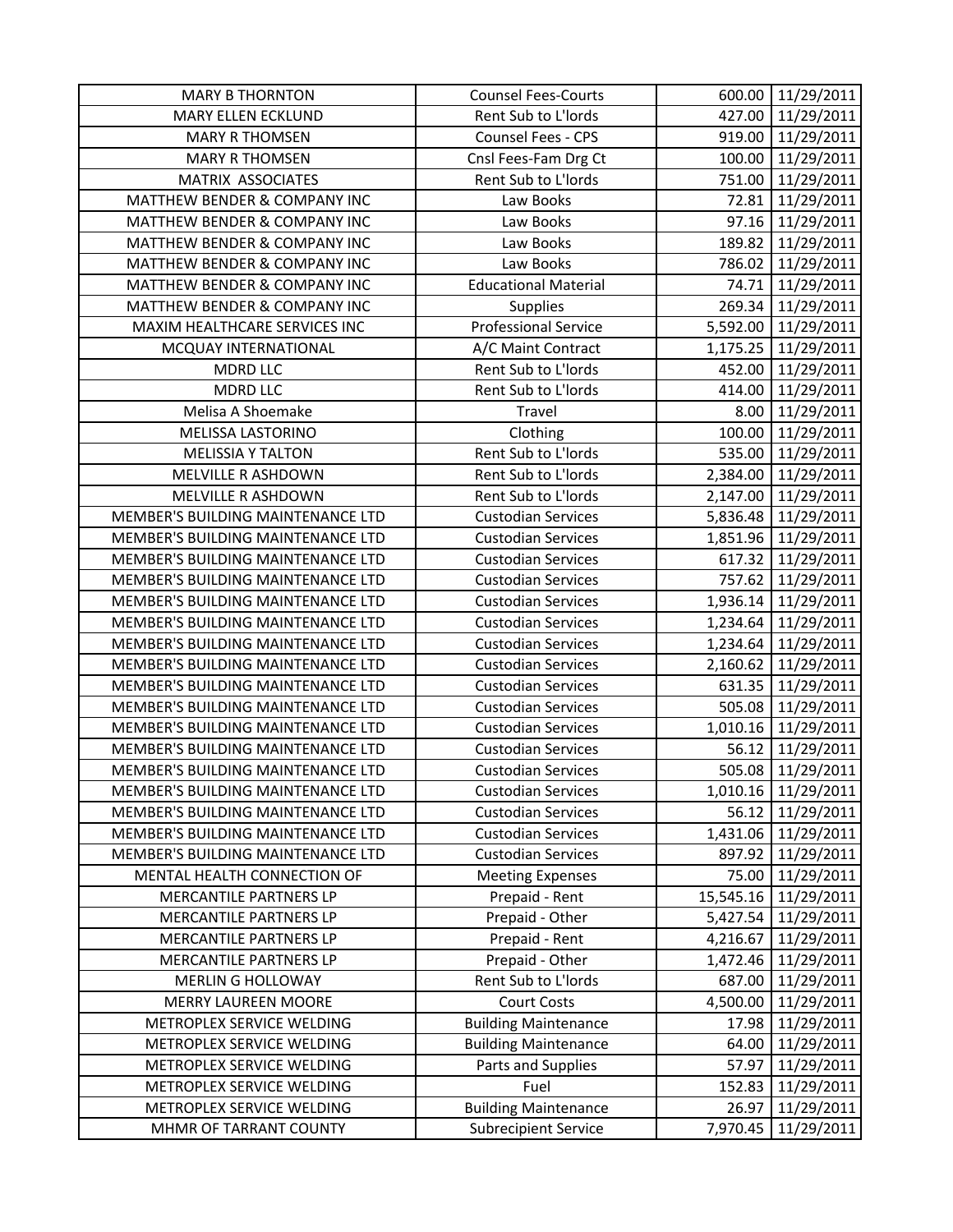| <b>MARY B THORNTON</b>                  | <b>Counsel Fees-Courts</b>  | 600.00    | 11/29/2011          |
|-----------------------------------------|-----------------------------|-----------|---------------------|
| <b>MARY ELLEN ECKLUND</b>               | Rent Sub to L'Iords         | 427.00    | 11/29/2011          |
| <b>MARY R THOMSEN</b>                   | <b>Counsel Fees - CPS</b>   |           | 919.00 11/29/2011   |
| <b>MARY R THOMSEN</b>                   | Cnsl Fees-Fam Drg Ct        | 100.00    | 11/29/2011          |
| MATRIX ASSOCIATES                       | Rent Sub to L'Iords         | 751.00    | 11/29/2011          |
| MATTHEW BENDER & COMPANY INC            | Law Books                   | 72.81     | 11/29/2011          |
| MATTHEW BENDER & COMPANY INC            | Law Books                   | 97.16     | 11/29/2011          |
| <b>MATTHEW BENDER &amp; COMPANY INC</b> | Law Books                   | 189.82    | 11/29/2011          |
| MATTHEW BENDER & COMPANY INC            | Law Books                   | 786.02    | 11/29/2011          |
| MATTHEW BENDER & COMPANY INC            | <b>Educational Material</b> | 74.71     | 11/29/2011          |
| MATTHEW BENDER & COMPANY INC            | Supplies                    | 269.34    | 11/29/2011          |
| MAXIM HEALTHCARE SERVICES INC           | <b>Professional Service</b> | 5,592.00  | 11/29/2011          |
| MCQUAY INTERNATIONAL                    | A/C Maint Contract          | 1,175.25  | 11/29/2011          |
| <b>MDRD LLC</b>                         | Rent Sub to L'Iords         | 452.00    | 11/29/2011          |
| <b>MDRD LLC</b>                         | Rent Sub to L'Iords         | 414.00    | 11/29/2011          |
| Melisa A Shoemake                       | Travel                      | 8.00      | 11/29/2011          |
| MELISSA LASTORINO                       | Clothing                    | 100.00    | 11/29/2011          |
| <b>MELISSIA Y TALTON</b>                | Rent Sub to L'Iords         |           | 535.00 11/29/2011   |
| MELVILLE R ASHDOWN                      | Rent Sub to L'Iords         |           | 2,384.00 11/29/2011 |
| MELVILLE R ASHDOWN                      | Rent Sub to L'Iords         | 2,147.00  | 11/29/2011          |
| MEMBER'S BUILDING MAINTENANCE LTD       | <b>Custodian Services</b>   | 5,836.48  | 11/29/2011          |
| MEMBER'S BUILDING MAINTENANCE LTD       | <b>Custodian Services</b>   |           | 1,851.96 11/29/2011 |
| MEMBER'S BUILDING MAINTENANCE LTD       | <b>Custodian Services</b>   | 617.32    | 11/29/2011          |
| MEMBER'S BUILDING MAINTENANCE LTD       | <b>Custodian Services</b>   | 757.62    | 11/29/2011          |
| MEMBER'S BUILDING MAINTENANCE LTD       | <b>Custodian Services</b>   | 1,936.14  | 11/29/2011          |
| MEMBER'S BUILDING MAINTENANCE LTD       | <b>Custodian Services</b>   | 1,234.64  | 11/29/2011          |
| MEMBER'S BUILDING MAINTENANCE LTD       | <b>Custodian Services</b>   | 1,234.64  | 11/29/2011          |
| MEMBER'S BUILDING MAINTENANCE LTD       | <b>Custodian Services</b>   | 2,160.62  | 11/29/2011          |
| MEMBER'S BUILDING MAINTENANCE LTD       | <b>Custodian Services</b>   | 631.35    | 11/29/2011          |
| MEMBER'S BUILDING MAINTENANCE LTD       | <b>Custodian Services</b>   | 505.08    | 11/29/2011          |
| MEMBER'S BUILDING MAINTENANCE LTD       | <b>Custodian Services</b>   | 1,010.16  | 11/29/2011          |
| MEMBER'S BUILDING MAINTENANCE LTD       | <b>Custodian Services</b>   | 56.12     | 11/29/2011          |
| MEMBER'S BUILDING MAINTENANCE LTD       | <b>Custodian Services</b>   | 505.08    | 11/29/2011          |
| MEMBER'S BUILDING MAINTENANCE LTD       | <b>Custodian Services</b>   | 1,010.16  | 11/29/2011          |
| MEMBER'S BUILDING MAINTENANCE LTD       | <b>Custodian Services</b>   | 56.12     | 11/29/2011          |
| MEMBER'S BUILDING MAINTENANCE LTD       | <b>Custodian Services</b>   | 1,431.06  | 11/29/2011          |
| MEMBER'S BUILDING MAINTENANCE LTD       | <b>Custodian Services</b>   | 897.92    | 11/29/2011          |
| MENTAL HEALTH CONNECTION OF             | <b>Meeting Expenses</b>     | 75.00     | 11/29/2011          |
| MERCANTILE PARTNERS LP                  | Prepaid - Rent              | 15,545.16 | 11/29/2011          |
| MERCANTILE PARTNERS LP                  | Prepaid - Other             | 5,427.54  | 11/29/2011          |
| MERCANTILE PARTNERS LP                  | Prepaid - Rent              | 4,216.67  | 11/29/2011          |
| MERCANTILE PARTNERS LP                  | Prepaid - Other             | 1,472.46  | 11/29/2011          |
| <b>MERLIN G HOLLOWAY</b>                | Rent Sub to L'Iords         | 687.00    | 11/29/2011          |
| <b>MERRY LAUREEN MOORE</b>              | <b>Court Costs</b>          | 4,500.00  | 11/29/2011          |
| METROPLEX SERVICE WELDING               | <b>Building Maintenance</b> | 17.98     | 11/29/2011          |
| METROPLEX SERVICE WELDING               | <b>Building Maintenance</b> | 64.00     | 11/29/2011          |
| METROPLEX SERVICE WELDING               | Parts and Supplies          | 57.97     | 11/29/2011          |
| METROPLEX SERVICE WELDING               | Fuel                        | 152.83    | 11/29/2011          |
| METROPLEX SERVICE WELDING               | <b>Building Maintenance</b> | 26.97     | 11/29/2011          |
| MHMR OF TARRANT COUNTY                  | <b>Subrecipient Service</b> | 7,970.45  | 11/29/2011          |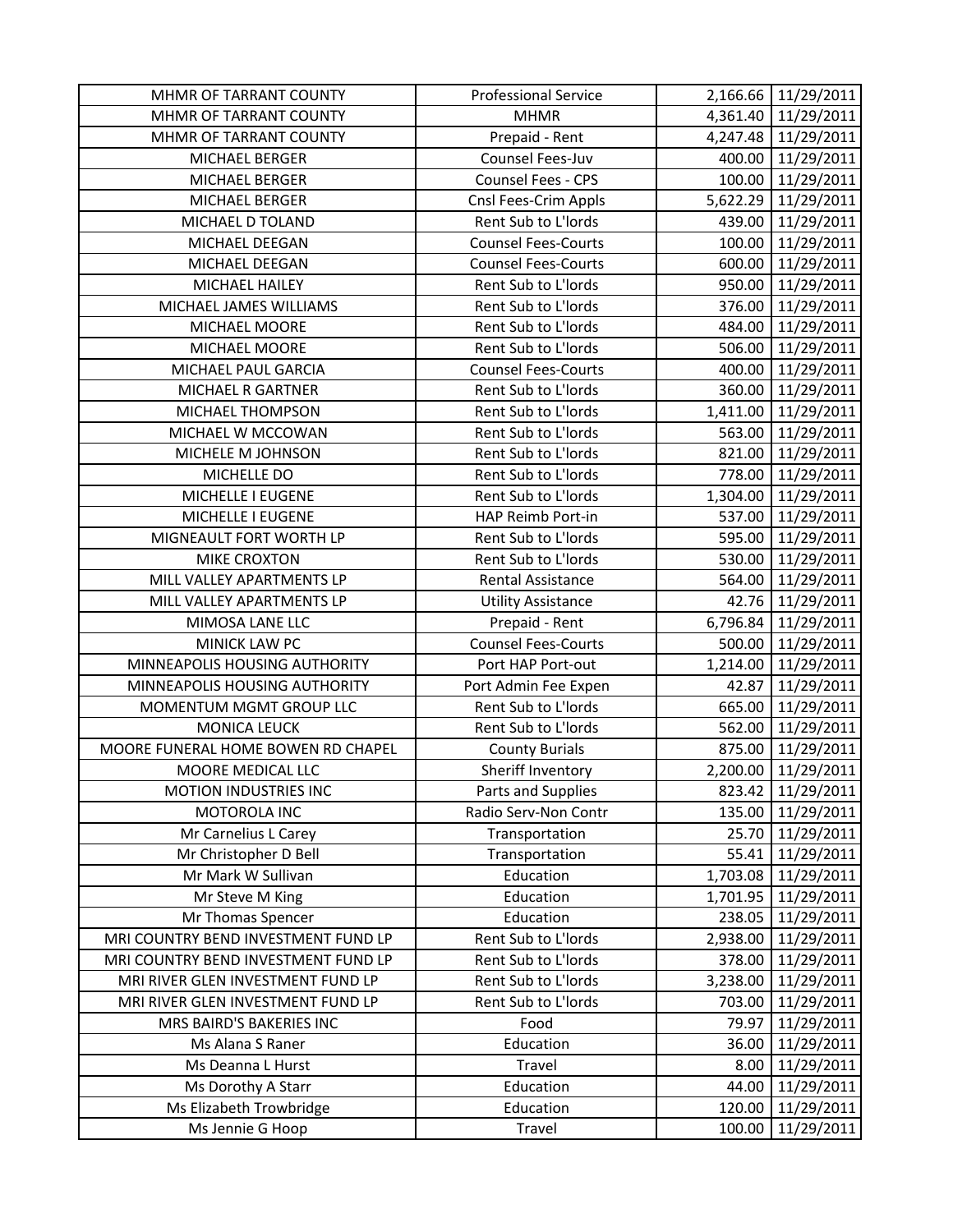| MHMR OF TARRANT COUNTY                      | <b>Professional Service</b> |          | 2,166.66 11/29/2011      |
|---------------------------------------------|-----------------------------|----------|--------------------------|
| MHMR OF TARRANT COUNTY                      | <b>MHMR</b>                 |          | 4,361.40 11/29/2011      |
| MHMR OF TARRANT COUNTY                      | Prepaid - Rent              |          | 4,247.48 11/29/2011      |
| MICHAEL BERGER                              | Counsel Fees-Juv            | 400.00   | 11/29/2011               |
| MICHAEL BERGER                              | Counsel Fees - CPS          | 100.00   | 11/29/2011               |
| MICHAEL BERGER                              | Cnsl Fees-Crim Appls        | 5,622.29 | 11/29/2011               |
| MICHAEL D TOLAND                            | Rent Sub to L'Iords         | 439.00   | 11/29/2011               |
| MICHAEL DEEGAN                              | <b>Counsel Fees-Courts</b>  | 100.00   | 11/29/2011               |
| MICHAEL DEEGAN                              | <b>Counsel Fees-Courts</b>  | 600.00   | 11/29/2011               |
| MICHAEL HAILEY                              | Rent Sub to L'Iords         | 950.00   | 11/29/2011               |
| MICHAEL JAMES WILLIAMS                      | Rent Sub to L'Iords         | 376.00   | 11/29/2011               |
| MICHAEL MOORE                               | Rent Sub to L'Iords         | 484.00   | 11/29/2011               |
| MICHAEL MOORE                               | Rent Sub to L'Iords         | 506.00   | 11/29/2011               |
| MICHAEL PAUL GARCIA                         | <b>Counsel Fees-Courts</b>  | 400.00   | 11/29/2011               |
| MICHAEL R GARTNER                           | Rent Sub to L'Iords         |          | 360.00 11/29/2011        |
| MICHAEL THOMPSON                            | Rent Sub to L'Iords         | 1,411.00 | 11/29/2011               |
| MICHAEL W MCCOWAN                           | Rent Sub to L'Iords         | 563.00   | 11/29/2011               |
| MICHELE M JOHNSON                           | Rent Sub to L'Iords         | 821.00   | 11/29/2011               |
| MICHELLE DO                                 | Rent Sub to L'Iords         | 778.00   | 11/29/2011               |
| MICHELLE I EUGENE                           | Rent Sub to L'Iords         | 1,304.00 | 11/29/2011               |
| MICHELLE I EUGENE                           | HAP Reimb Port-in           | 537.00   | 11/29/2011               |
| MIGNEAULT FORT WORTH LP                     | Rent Sub to L'Iords         | 595.00   | 11/29/2011               |
| MIKE CROXTON                                | Rent Sub to L'Iords         | 530.00   | 11/29/2011               |
| MILL VALLEY APARTMENTS LP                   | Rental Assistance           | 564.00   | 11/29/2011               |
| MILL VALLEY APARTMENTS LP                   | <b>Utility Assistance</b>   |          | 42.76 11/29/2011         |
|                                             |                             |          |                          |
| MIMOSA LANE LLC                             | Prepaid - Rent              | 6,796.84 | 11/29/2011               |
| MINICK LAW PC                               | <b>Counsel Fees-Courts</b>  | 500.00   | 11/29/2011               |
| MINNEAPOLIS HOUSING AUTHORITY               | Port HAP Port-out           | 1,214.00 | 11/29/2011               |
| MINNEAPOLIS HOUSING AUTHORITY               | Port Admin Fee Expen        | 42.87    | 11/29/2011               |
| MOMENTUM MGMT GROUP LLC                     | Rent Sub to L'Iords         | 665.00   | 11/29/2011               |
| <b>MONICA LEUCK</b>                         | Rent Sub to L'Iords         | 562.00   | 11/29/2011               |
| MOORE FUNERAL HOME BOWEN RD CHAPEL          | <b>County Burials</b>       | 875.00   | 11/29/2011               |
| MOORE MEDICAL LLC                           | Sheriff Inventory           | 2,200.00 | 11/29/2011               |
| MOTION INDUSTRIES INC                       | Parts and Supplies          | 823.42   | 11/29/2011               |
| MOTOROLA INC                                | Radio Serv-Non Contr        | 135.00   | 11/29/2011               |
| Mr Carnelius L Carey                        | Transportation              | 25.70    | 11/29/2011               |
| Mr Christopher D Bell                       | Transportation              | 55.41    | 11/29/2011               |
| Mr Mark W Sullivan                          | Education                   | 1,703.08 | 11/29/2011               |
| Mr Steve M King                             | Education                   | 1,701.95 | 11/29/2011               |
| Mr Thomas Spencer                           | Education                   | 238.05   | 11/29/2011               |
| MRI COUNTRY BEND INVESTMENT FUND LP         | Rent Sub to L'Iords         | 2,938.00 | 11/29/2011               |
| MRI COUNTRY BEND INVESTMENT FUND LP         | Rent Sub to L'Iords         | 378.00   | 11/29/2011               |
| MRI RIVER GLEN INVESTMENT FUND LP           | Rent Sub to L'Iords         | 3,238.00 | 11/29/2011               |
| MRI RIVER GLEN INVESTMENT FUND LP           | Rent Sub to L'Iords         | 703.00   | 11/29/2011               |
| MRS BAIRD'S BAKERIES INC                    | Food                        | 79.97    | 11/29/2011               |
| Ms Alana S Raner                            | Education                   | 36.00    | 11/29/2011               |
| Ms Deanna L Hurst                           | Travel                      | 8.00     | 11/29/2011               |
| Ms Dorothy A Starr                          | Education                   | 44.00    | 11/29/2011               |
| Ms Elizabeth Trowbridge<br>Ms Jennie G Hoop | Education<br>Travel         | 120.00   | 11/29/2011<br>11/29/2011 |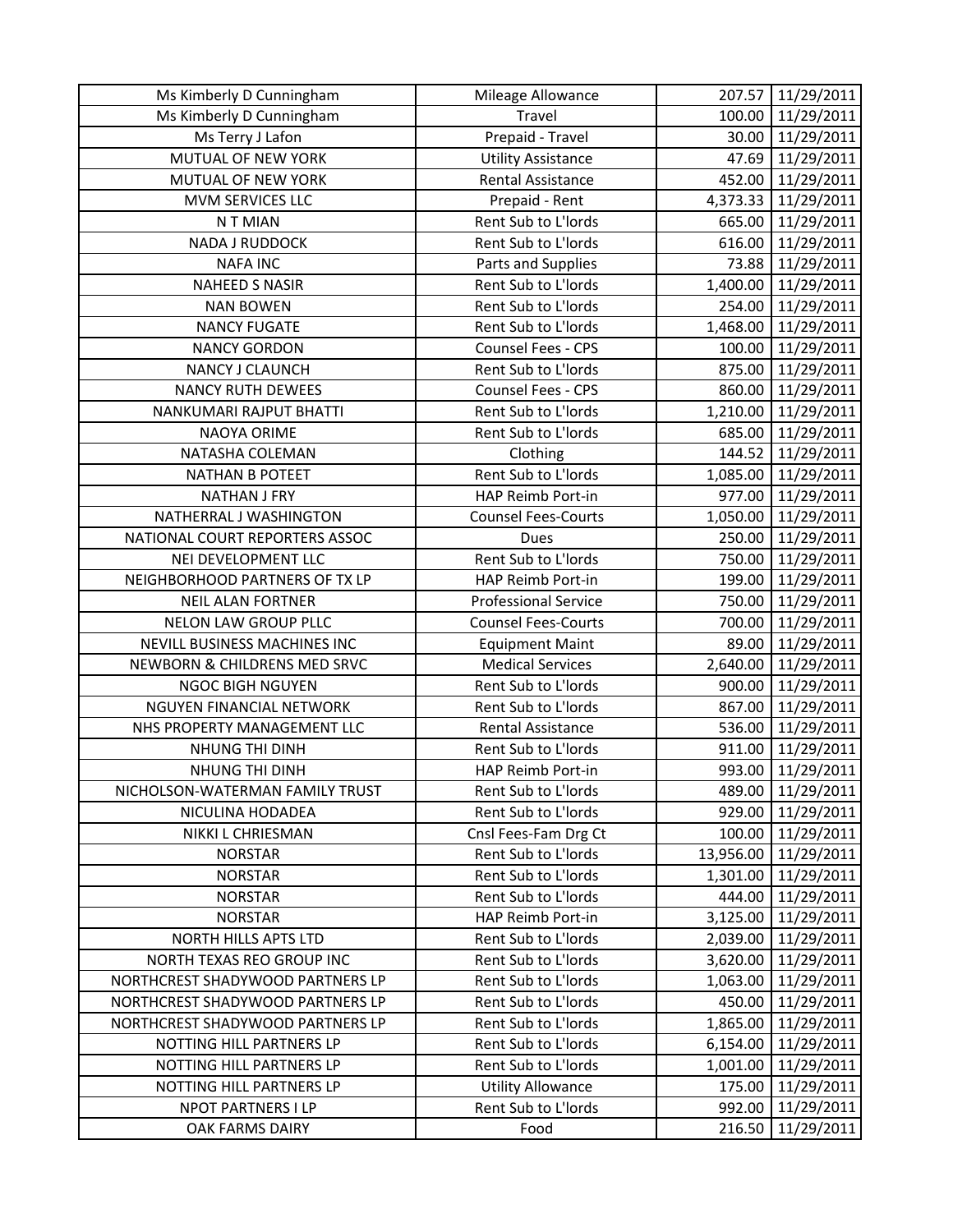| Ms Kimberly D Cunningham         | Mileage Allowance           | 207.57    | 11/29/2011 |
|----------------------------------|-----------------------------|-----------|------------|
| Ms Kimberly D Cunningham         | Travel                      | 100.00    | 11/29/2011 |
| Ms Terry J Lafon                 | Prepaid - Travel            | 30.00     | 11/29/2011 |
| MUTUAL OF NEW YORK               | <b>Utility Assistance</b>   | 47.69     | 11/29/2011 |
| MUTUAL OF NEW YORK               | <b>Rental Assistance</b>    | 452.00    | 11/29/2011 |
| MVM SERVICES LLC                 | Prepaid - Rent              | 4,373.33  | 11/29/2011 |
| N T MIAN                         | Rent Sub to L'Iords         | 665.00    | 11/29/2011 |
| <b>NADA J RUDDOCK</b>            | Rent Sub to L'Iords         | 616.00    | 11/29/2011 |
| <b>NAFA INC</b>                  | Parts and Supplies          | 73.88     | 11/29/2011 |
| <b>NAHEED S NASIR</b>            | Rent Sub to L'Iords         | 1,400.00  | 11/29/2011 |
| <b>NAN BOWEN</b>                 | Rent Sub to L'Iords         | 254.00    | 11/29/2011 |
| <b>NANCY FUGATE</b>              | Rent Sub to L'Iords         | 1,468.00  | 11/29/2011 |
| <b>NANCY GORDON</b>              | Counsel Fees - CPS          | 100.00    | 11/29/2011 |
| NANCY J CLAUNCH                  | Rent Sub to L'Iords         | 875.00    | 11/29/2011 |
| <b>NANCY RUTH DEWEES</b>         | Counsel Fees - CPS          | 860.00    | 11/29/2011 |
| NANKUMARI RAJPUT BHATTI          | Rent Sub to L'Iords         | 1,210.00  | 11/29/2011 |
| <b>NAOYA ORIME</b>               | Rent Sub to L'Iords         | 685.00    | 11/29/2011 |
| NATASHA COLEMAN                  | Clothing                    | 144.52    | 11/29/2011 |
| NATHAN B POTEET                  | Rent Sub to L'Iords         | 1,085.00  | 11/29/2011 |
| <b>NATHAN J FRY</b>              | HAP Reimb Port-in           | 977.00    | 11/29/2011 |
| NATHERRAL J WASHINGTON           | <b>Counsel Fees-Courts</b>  | 1,050.00  | 11/29/2011 |
| NATIONAL COURT REPORTERS ASSOC   | <b>Dues</b>                 | 250.00    | 11/29/2011 |
| NEI DEVELOPMENT LLC              | Rent Sub to L'Iords         | 750.00    | 11/29/2011 |
| NEIGHBORHOOD PARTNERS OF TX LP   | HAP Reimb Port-in           | 199.00    | 11/29/2011 |
| <b>NEIL ALAN FORTNER</b>         | <b>Professional Service</b> | 750.00    | 11/29/2011 |
| NELON LAW GROUP PLLC             | <b>Counsel Fees-Courts</b>  | 700.00    | 11/29/2011 |
| NEVILL BUSINESS MACHINES INC     | <b>Equipment Maint</b>      | 89.00     | 11/29/2011 |
| NEWBORN & CHILDRENS MED SRVC     | <b>Medical Services</b>     | 2,640.00  | 11/29/2011 |
| NGOC BIGH NGUYEN                 | Rent Sub to L'Iords         | 900.00    | 11/29/2011 |
| <b>NGUYEN FINANCIAL NETWORK</b>  | Rent Sub to L'Iords         | 867.00    | 11/29/2011 |
| NHS PROPERTY MANAGEMENT LLC      | Rental Assistance           | 536.00    | 11/29/2011 |
| NHUNG THI DINH                   | Rent Sub to L'Iords         | 911.00    | 11/29/2011 |
| NHUNG THI DINH                   | HAP Reimb Port-in           | 993.00    | 11/29/2011 |
| NICHOLSON-WATERMAN FAMILY TRUST  | Rent Sub to L'Iords         | 489.00    | 11/29/2011 |
| NICULINA HODADEA                 | Rent Sub to L'Iords         | 929.00    | 11/29/2011 |
| NIKKI L CHRIESMAN                | Cnsl Fees-Fam Drg Ct        | 100.00    | 11/29/2011 |
| <b>NORSTAR</b>                   | Rent Sub to L'Iords         | 13,956.00 | 11/29/2011 |
| <b>NORSTAR</b>                   | Rent Sub to L'Iords         | 1,301.00  | 11/29/2011 |
| <b>NORSTAR</b>                   | Rent Sub to L'Iords         | 444.00    | 11/29/2011 |
| <b>NORSTAR</b>                   | HAP Reimb Port-in           | 3,125.00  | 11/29/2011 |
| NORTH HILLS APTS LTD             | Rent Sub to L'Iords         | 2,039.00  | 11/29/2011 |
| NORTH TEXAS REO GROUP INC        | Rent Sub to L'Iords         | 3,620.00  | 11/29/2011 |
| NORTHCREST SHADYWOOD PARTNERS LP | Rent Sub to L'Iords         | 1,063.00  | 11/29/2011 |
| NORTHCREST SHADYWOOD PARTNERS LP | Rent Sub to L'Iords         | 450.00    | 11/29/2011 |
| NORTHCREST SHADYWOOD PARTNERS LP | Rent Sub to L'Iords         | 1,865.00  | 11/29/2011 |
| NOTTING HILL PARTNERS LP         | Rent Sub to L'Iords         | 6,154.00  | 11/29/2011 |
| NOTTING HILL PARTNERS LP         | Rent Sub to L'Iords         | 1,001.00  | 11/29/2011 |
| NOTTING HILL PARTNERS LP         | <b>Utility Allowance</b>    | 175.00    | 11/29/2011 |
| NPOT PARTNERS I LP               | Rent Sub to L'Iords         | 992.00    | 11/29/2011 |
| OAK FARMS DAIRY                  | Food                        | 216.50    | 11/29/2011 |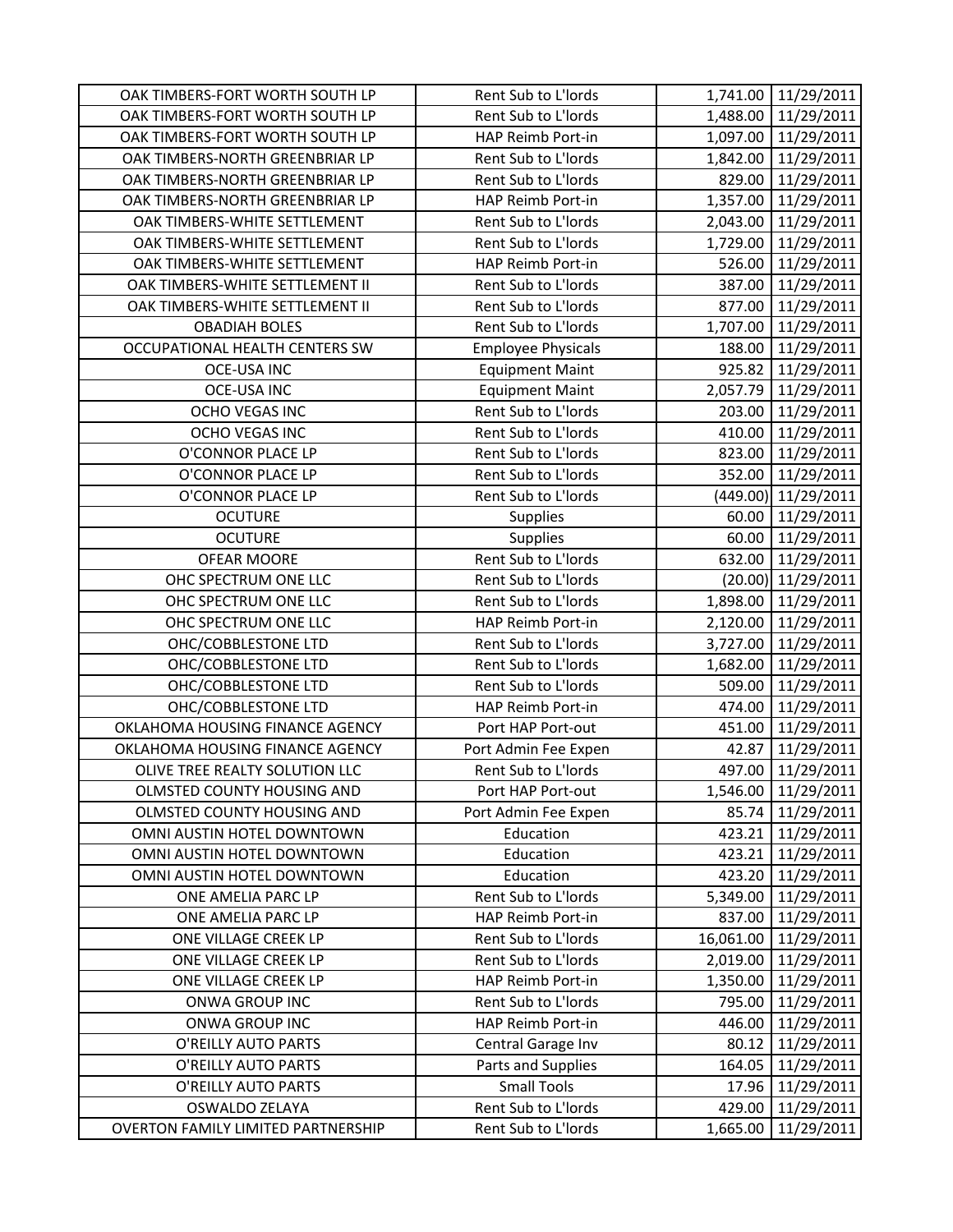| OAK TIMBERS-FORT WORTH SOUTH LP           | Rent Sub to L'Iords       |           | 1,741.00 11/29/2011  |
|-------------------------------------------|---------------------------|-----------|----------------------|
| OAK TIMBERS-FORT WORTH SOUTH LP           | Rent Sub to L'Iords       |           | 1,488.00 11/29/2011  |
| OAK TIMBERS-FORT WORTH SOUTH LP           | HAP Reimb Port-in         |           | 1,097.00 11/29/2011  |
| OAK TIMBERS-NORTH GREENBRIAR LP           | Rent Sub to L'Iords       | 1,842.00  | 11/29/2011           |
| OAK TIMBERS-NORTH GREENBRIAR LP           | Rent Sub to L'Iords       | 829.00    | 11/29/2011           |
| OAK TIMBERS-NORTH GREENBRIAR LP           | HAP Reimb Port-in         | 1,357.00  | 11/29/2011           |
| OAK TIMBERS-WHITE SETTLEMENT              | Rent Sub to L'Iords       | 2,043.00  | 11/29/2011           |
| OAK TIMBERS-WHITE SETTLEMENT              | Rent Sub to L'Iords       | 1,729.00  | 11/29/2011           |
| OAK TIMBERS-WHITE SETTLEMENT              | HAP Reimb Port-in         | 526.00    | 11/29/2011           |
| OAK TIMBERS-WHITE SETTLEMENT II           | Rent Sub to L'Iords       |           | 387.00 11/29/2011    |
| OAK TIMBERS-WHITE SETTLEMENT II           | Rent Sub to L'Iords       | 877.00    | 11/29/2011           |
| <b>OBADIAH BOLES</b>                      | Rent Sub to L'Iords       | 1,707.00  | 11/29/2011           |
| OCCUPATIONAL HEALTH CENTERS SW            | <b>Employee Physicals</b> | 188.00    | 11/29/2011           |
| <b>OCE-USA INC</b>                        | <b>Equipment Maint</b>    | 925.82    | 11/29/2011           |
| <b>OCE-USA INC</b>                        | <b>Equipment Maint</b>    |           | 2,057.79 11/29/2011  |
| <b>OCHO VEGAS INC</b>                     | Rent Sub to L'Iords       | 203.00    | 11/29/2011           |
| OCHO VEGAS INC                            | Rent Sub to L'Iords       | 410.00    | 11/29/2011           |
| O'CONNOR PLACE LP                         | Rent Sub to L'Iords       |           | 823.00 11/29/2011    |
| O'CONNOR PLACE LP                         | Rent Sub to L'Iords       | 352.00    | 11/29/2011           |
| O'CONNOR PLACE LP                         | Rent Sub to L'Iords       |           | (449.00) 11/29/2011  |
| <b>OCUTURE</b>                            | <b>Supplies</b>           | 60.00     | 11/29/2011           |
| <b>OCUTURE</b>                            | Supplies                  | 60.00     | 11/29/2011           |
| OFEAR MOORE                               | Rent Sub to L'Iords       | 632.00    | 11/29/2011           |
| OHC SPECTRUM ONE LLC                      | Rent Sub to L'Iords       |           | $(20.00)$ 11/29/2011 |
| OHC SPECTRUM ONE LLC                      | Rent Sub to L'Iords       |           | 1,898.00 11/29/2011  |
| OHC SPECTRUM ONE LLC                      | HAP Reimb Port-in         |           | 2,120.00 11/29/2011  |
| OHC/COBBLESTONE LTD                       | Rent Sub to L'Iords       | 3,727.00  | 11/29/2011           |
| OHC/COBBLESTONE LTD                       | Rent Sub to L'Iords       | 1,682.00  | 11/29/2011           |
| OHC/COBBLESTONE LTD                       | Rent Sub to L'Iords       | 509.00    | 11/29/2011           |
| OHC/COBBLESTONE LTD                       | HAP Reimb Port-in         | 474.00    | 11/29/2011           |
| OKLAHOMA HOUSING FINANCE AGENCY           | Port HAP Port-out         | 451.00    | 11/29/2011           |
| OKLAHOMA HOUSING FINANCE AGENCY           | Port Admin Fee Expen      | 42.87     | 11/29/2011           |
| OLIVE TREE REALTY SOLUTION LLC            | Rent Sub to L'Iords       | 497.00    | 11/29/2011           |
| OLMSTED COUNTY HOUSING AND                | Port HAP Port-out         |           | 1,546.00 11/29/2011  |
| OLMSTED COUNTY HOUSING AND                | Port Admin Fee Expen      | 85.74     | 11/29/2011           |
| OMNI AUSTIN HOTEL DOWNTOWN                | Education                 | 423.21    | 11/29/2011           |
| OMNI AUSTIN HOTEL DOWNTOWN                | Education                 |           | 423.21 11/29/2011    |
| OMNI AUSTIN HOTEL DOWNTOWN                | Education                 | 423.20    | 11/29/2011           |
| ONE AMELIA PARC LP                        | Rent Sub to L'Iords       | 5,349.00  | 11/29/2011           |
| ONE AMELIA PARC LP                        | HAP Reimb Port-in         | 837.00    | 11/29/2011           |
| ONE VILLAGE CREEK LP                      | Rent Sub to L'Iords       | 16,061.00 | 11/29/2011           |
| ONE VILLAGE CREEK LP                      | Rent Sub to L'Iords       | 2,019.00  | 11/29/2011           |
| ONE VILLAGE CREEK LP                      | HAP Reimb Port-in         | 1,350.00  | 11/29/2011           |
| ONWA GROUP INC                            | Rent Sub to L'Iords       | 795.00    | 11/29/2011           |
| ONWA GROUP INC                            | HAP Reimb Port-in         | 446.00    | 11/29/2011           |
| O'REILLY AUTO PARTS                       | Central Garage Inv        | 80.12     | 11/29/2011           |
| O'REILLY AUTO PARTS                       | Parts and Supplies        | 164.05    | 11/29/2011           |
| O'REILLY AUTO PARTS                       | <b>Small Tools</b>        | 17.96     | 11/29/2011           |
| <b>OSWALDO ZELAYA</b>                     | Rent Sub to L'Iords       | 429.00    | 11/29/2011           |
| <b>OVERTON FAMILY LIMITED PARTNERSHIP</b> | Rent Sub to L'Iords       | 1,665.00  | 11/29/2011           |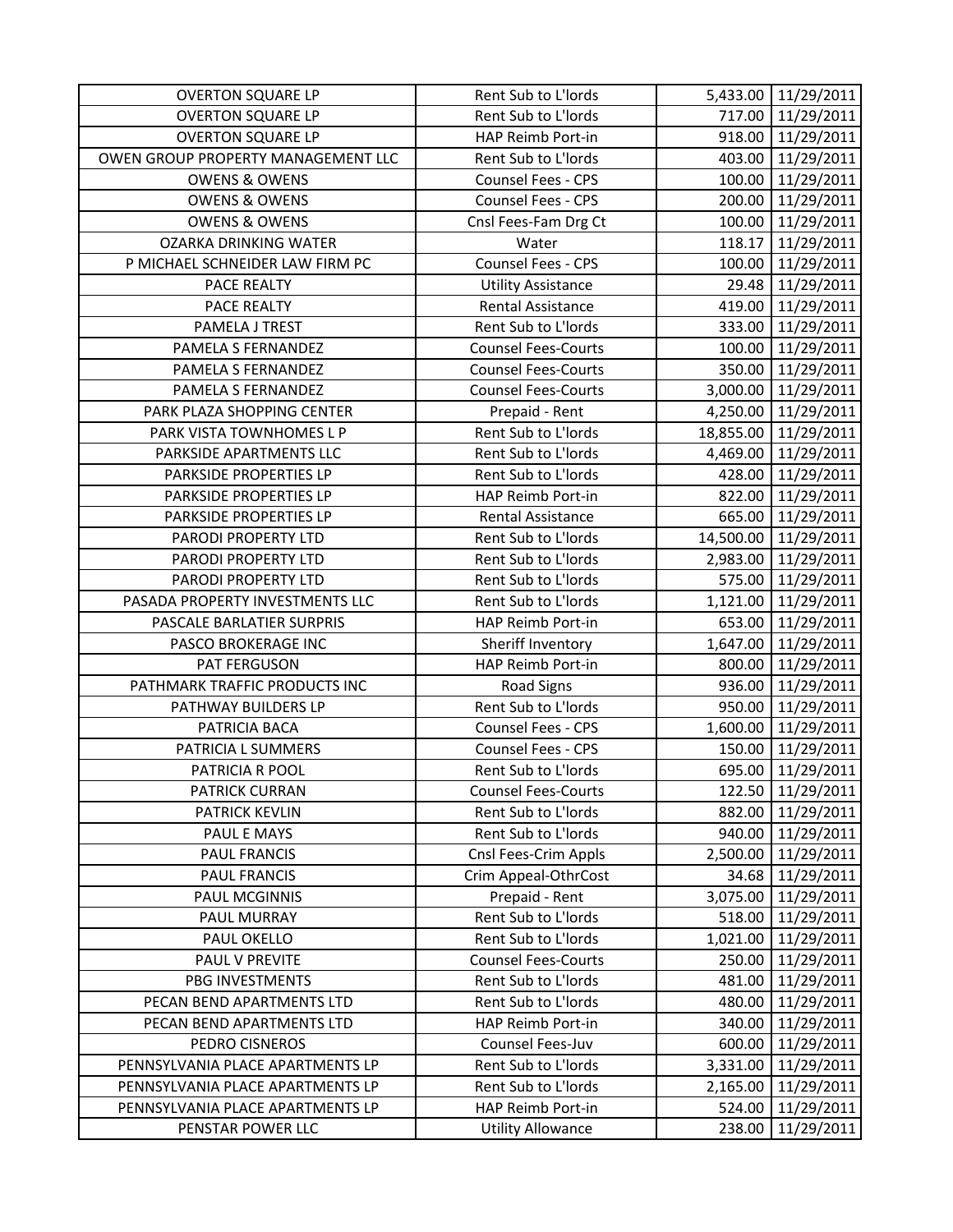| <b>OVERTON SQUARE LP</b>           | Rent Sub to L'Iords        |           | 5,433.00 11/29/2011  |
|------------------------------------|----------------------------|-----------|----------------------|
| <b>OVERTON SQUARE LP</b>           | Rent Sub to L'Iords        |           | 717.00 11/29/2011    |
| <b>OVERTON SQUARE LP</b>           | HAP Reimb Port-in          |           | 918.00 11/29/2011    |
| OWEN GROUP PROPERTY MANAGEMENT LLC | Rent Sub to L'Iords        | 403.00    | 11/29/2011           |
| <b>OWENS &amp; OWENS</b>           | Counsel Fees - CPS         | 100.00    | 11/29/2011           |
| <b>OWENS &amp; OWENS</b>           | Counsel Fees - CPS         | 200.00    | 11/29/2011           |
| <b>OWENS &amp; OWENS</b>           | Cnsl Fees-Fam Drg Ct       | 100.00    | 11/29/2011           |
| <b>OZARKA DRINKING WATER</b>       | Water                      | 118.17    | 11/29/2011           |
| P MICHAEL SCHNEIDER LAW FIRM PC    | Counsel Fees - CPS         | 100.00    | 11/29/2011           |
| PACE REALTY                        | <b>Utility Assistance</b>  |           | 29.48 11/29/2011     |
| PACE REALTY                        | <b>Rental Assistance</b>   |           | 419.00 11/29/2011    |
| PAMELA J TREST                     | Rent Sub to L'Iords        | 333.00    | 11/29/2011           |
| PAMELA S FERNANDEZ                 | <b>Counsel Fees-Courts</b> | 100.00    | 11/29/2011           |
| PAMELA S FERNANDEZ                 | <b>Counsel Fees-Courts</b> | 350.00    | 11/29/2011           |
| PAMELA S FERNANDEZ                 | <b>Counsel Fees-Courts</b> |           | 3,000.00 11/29/2011  |
| PARK PLAZA SHOPPING CENTER         | Prepaid - Rent             | 4,250.00  | 11/29/2011           |
| PARK VISTA TOWNHOMES L P           | Rent Sub to L'Iords        |           | 18,855.00 11/29/2011 |
| PARKSIDE APARTMENTS LLC            | Rent Sub to L'Iords        |           | 4,469.00 11/29/2011  |
| PARKSIDE PROPERTIES LP             | Rent Sub to L'Iords        | 428.00    | 11/29/2011           |
| PARKSIDE PROPERTIES LP             | HAP Reimb Port-in          | 822.00    | 11/29/2011           |
| PARKSIDE PROPERTIES LP             | Rental Assistance          | 665.00    | 11/29/2011           |
| PARODI PROPERTY LTD                | Rent Sub to L'Iords        | 14,500.00 | 11/29/2011           |
| PARODI PROPERTY LTD                | Rent Sub to L'Iords        | 2,983.00  | 11/29/2011           |
| PARODI PROPERTY LTD                | Rent Sub to L'Iords        | 575.00    | 11/29/2011           |
| PASADA PROPERTY INVESTMENTS LLC    | Rent Sub to L'Iords        | 1,121.00  | 11/29/2011           |
| PASCALE BARLATIER SURPRIS          | HAP Reimb Port-in          | 653.00    | 11/29/2011           |
| PASCO BROKERAGE INC                | Sheriff Inventory          | 1,647.00  | 11/29/2011           |
| PAT FERGUSON                       | HAP Reimb Port-in          | 800.00    | 11/29/2011           |
| PATHMARK TRAFFIC PRODUCTS INC      | <b>Road Signs</b>          | 936.00    | 11/29/2011           |
| PATHWAY BUILDERS LP                | Rent Sub to L'Iords        | 950.00    | 11/29/2011           |
| PATRICIA BACA                      | Counsel Fees - CPS         | 1,600.00  | 11/29/2011           |
| PATRICIA L SUMMERS                 | Counsel Fees - CPS         | 150.00    | 11/29/2011           |
| PATRICIA R POOL                    | Rent Sub to L'Iords        | 695.00    | 11/29/2011           |
| <b>PATRICK CURRAN</b>              | <b>Counsel Fees-Courts</b> | 122.50    | 11/29/2011           |
| <b>PATRICK KEVLIN</b>              | Rent Sub to L'Iords        | 882.00    | 11/29/2011           |
| PAUL E MAYS                        | Rent Sub to L'Iords        |           | 940.00 11/29/2011    |
| PAUL FRANCIS                       | Cnsl Fees-Crim Appls       |           | 2,500.00 11/29/2011  |
| PAUL FRANCIS                       | Crim Appeal-OthrCost       | 34.68     | 11/29/2011           |
| PAUL MCGINNIS                      | Prepaid - Rent             | 3,075.00  | 11/29/2011           |
| PAUL MURRAY                        | Rent Sub to L'Iords        | 518.00    | 11/29/2011           |
| PAUL OKELLO                        | Rent Sub to L'Iords        | 1,021.00  | 11/29/2011           |
| PAUL V PREVITE                     | <b>Counsel Fees-Courts</b> | 250.00    | 11/29/2011           |
| PBG INVESTMENTS                    | Rent Sub to L'Iords        | 481.00    | 11/29/2011           |
| PECAN BEND APARTMENTS LTD          | Rent Sub to L'Iords        | 480.00    | 11/29/2011           |
| PECAN BEND APARTMENTS LTD          | HAP Reimb Port-in          | 340.00    | 11/29/2011           |
| PEDRO CISNEROS                     | Counsel Fees-Juv           | 600.00    | 11/29/2011           |
| PENNSYLVANIA PLACE APARTMENTS LP   | Rent Sub to L'Iords        | 3,331.00  | 11/29/2011           |
| PENNSYLVANIA PLACE APARTMENTS LP   | Rent Sub to L'Iords        | 2,165.00  | 11/29/2011           |
| PENNSYLVANIA PLACE APARTMENTS LP   | HAP Reimb Port-in          | 524.00    | 11/29/2011           |
| PENSTAR POWER LLC                  | <b>Utility Allowance</b>   | 238.00    | 11/29/2011           |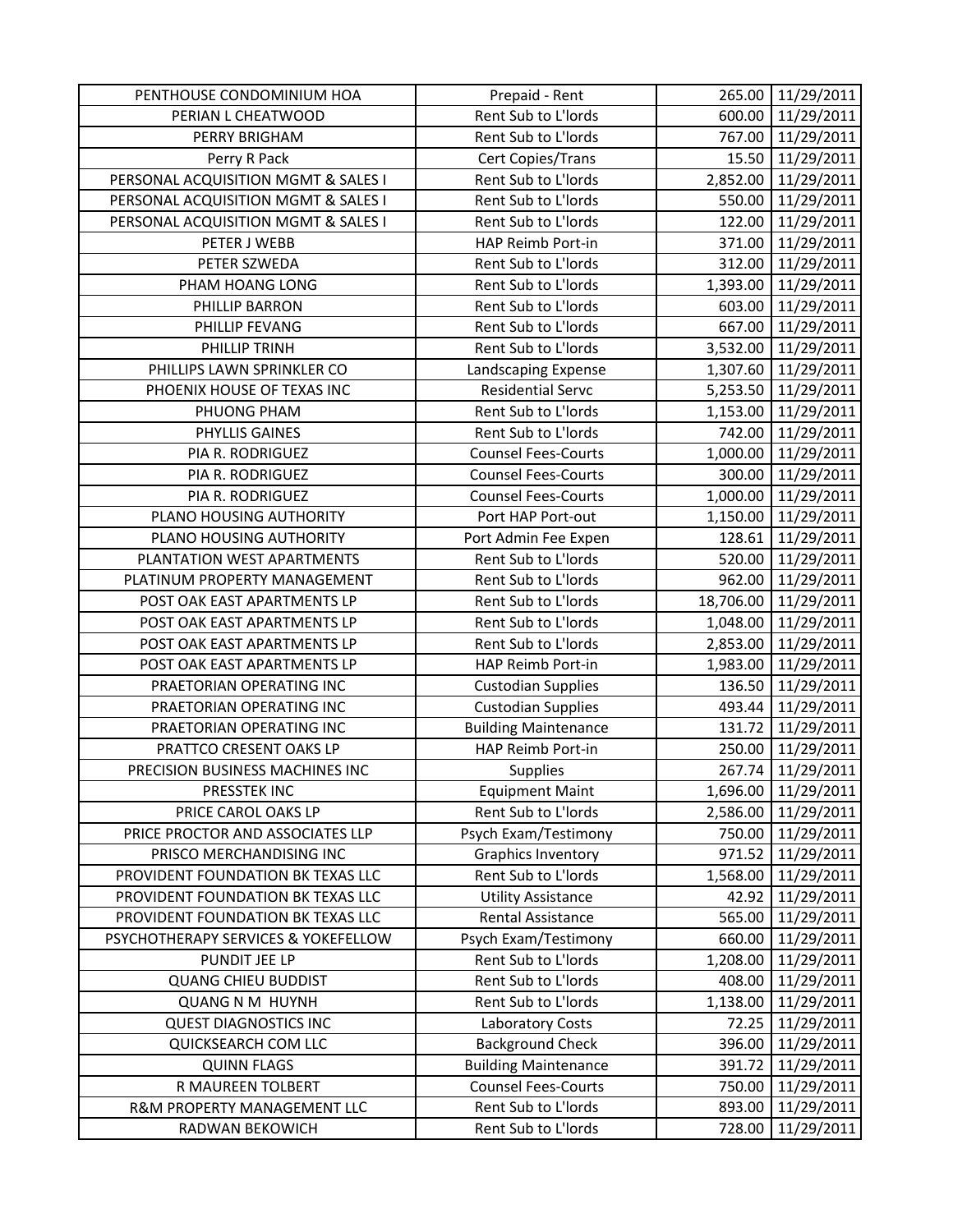| PENTHOUSE CONDOMINIUM HOA           | Prepaid - Rent              | 265.00    | 11/29/2011 |
|-------------------------------------|-----------------------------|-----------|------------|
| PERIAN L CHEATWOOD                  | Rent Sub to L'Iords         | 600.00    | 11/29/2011 |
| PERRY BRIGHAM                       | Rent Sub to L'Iords         | 767.00    | 11/29/2011 |
| Perry R Pack                        | Cert Copies/Trans           | 15.50     | 11/29/2011 |
| PERSONAL ACQUISITION MGMT & SALES I | Rent Sub to L'Iords         | 2,852.00  | 11/29/2011 |
| PERSONAL ACQUISITION MGMT & SALES I | Rent Sub to L'Iords         | 550.00    | 11/29/2011 |
| PERSONAL ACQUISITION MGMT & SALES I | Rent Sub to L'Iords         | 122.00    | 11/29/2011 |
| PETER J WEBB                        | HAP Reimb Port-in           | 371.00    | 11/29/2011 |
| PETER SZWEDA                        | Rent Sub to L'Iords         | 312.00    | 11/29/2011 |
| PHAM HOANG LONG                     | Rent Sub to L'Iords         | 1,393.00  | 11/29/2011 |
| PHILLIP BARRON                      | Rent Sub to L'Iords         | 603.00    | 11/29/2011 |
| PHILLIP FEVANG                      | Rent Sub to L'Iords         | 667.00    | 11/29/2011 |
| PHILLIP TRINH                       | Rent Sub to L'Iords         | 3,532.00  | 11/29/2011 |
| PHILLIPS LAWN SPRINKLER CO          | Landscaping Expense         | 1,307.60  | 11/29/2011 |
| PHOENIX HOUSE OF TEXAS INC          | <b>Residential Servc</b>    | 5,253.50  | 11/29/2011 |
| PHUONG PHAM                         | Rent Sub to L'Iords         | 1,153.00  | 11/29/2011 |
| PHYLLIS GAINES                      | Rent Sub to L'Iords         | 742.00    | 11/29/2011 |
| PIA R. RODRIGUEZ                    | <b>Counsel Fees-Courts</b>  | 1,000.00  | 11/29/2011 |
| PIA R. RODRIGUEZ                    | <b>Counsel Fees-Courts</b>  | 300.00    | 11/29/2011 |
| PIA R. RODRIGUEZ                    | <b>Counsel Fees-Courts</b>  | 1,000.00  | 11/29/2011 |
| PLANO HOUSING AUTHORITY             | Port HAP Port-out           | 1,150.00  | 11/29/2011 |
| PLANO HOUSING AUTHORITY             | Port Admin Fee Expen        | 128.61    | 11/29/2011 |
| PLANTATION WEST APARTMENTS          | Rent Sub to L'Iords         | 520.00    | 11/29/2011 |
| PLATINUM PROPERTY MANAGEMENT        | Rent Sub to L'Iords         | 962.00    | 11/29/2011 |
| POST OAK EAST APARTMENTS LP         | Rent Sub to L'Iords         | 18,706.00 | 11/29/2011 |
| POST OAK EAST APARTMENTS LP         | Rent Sub to L'Iords         | 1,048.00  | 11/29/2011 |
| POST OAK EAST APARTMENTS LP         | Rent Sub to L'Iords         | 2,853.00  | 11/29/2011 |
| POST OAK EAST APARTMENTS LP         | HAP Reimb Port-in           | 1,983.00  | 11/29/2011 |
| PRAETORIAN OPERATING INC            | <b>Custodian Supplies</b>   | 136.50    | 11/29/2011 |
| PRAETORIAN OPERATING INC            | <b>Custodian Supplies</b>   | 493.44    | 11/29/2011 |
| PRAETORIAN OPERATING INC            | <b>Building Maintenance</b> | 131.72    | 11/29/2011 |
| PRATTCO CRESENT OAKS LP             | HAP Reimb Port-in           | 250.00    | 11/29/2011 |
| PRECISION BUSINESS MACHINES INC     | <b>Supplies</b>             | 267.74    | 11/29/2011 |
| PRESSTEK INC                        | <b>Equipment Maint</b>      | 1,696.00  | 11/29/2011 |
| PRICE CAROL OAKS LP                 | Rent Sub to L'Iords         | 2,586.00  | 11/29/2011 |
| PRICE PROCTOR AND ASSOCIATES LLP    | Psych Exam/Testimony        | 750.00    | 11/29/2011 |
| PRISCO MERCHANDISING INC            | <b>Graphics Inventory</b>   | 971.52    | 11/29/2011 |
| PROVIDENT FOUNDATION BK TEXAS LLC   | Rent Sub to L'Iords         | 1,568.00  | 11/29/2011 |
| PROVIDENT FOUNDATION BK TEXAS LLC   | <b>Utility Assistance</b>   | 42.92     | 11/29/2011 |
| PROVIDENT FOUNDATION BK TEXAS LLC   | <b>Rental Assistance</b>    | 565.00    | 11/29/2011 |
| PSYCHOTHERAPY SERVICES & YOKEFELLOW | Psych Exam/Testimony        | 660.00    | 11/29/2011 |
| PUNDIT JEE LP                       | Rent Sub to L'Iords         | 1,208.00  | 11/29/2011 |
| <b>QUANG CHIEU BUDDIST</b>          | Rent Sub to L'Iords         | 408.00    | 11/29/2011 |
| <b>QUANG N M HUYNH</b>              | Rent Sub to L'Iords         | 1,138.00  | 11/29/2011 |
| <b>QUEST DIAGNOSTICS INC</b>        | Laboratory Costs            | 72.25     | 11/29/2011 |
| QUICKSEARCH COM LLC                 | <b>Background Check</b>     | 396.00    | 11/29/2011 |
| <b>QUINN FLAGS</b>                  | <b>Building Maintenance</b> | 391.72    | 11/29/2011 |
| R MAUREEN TOLBERT                   | <b>Counsel Fees-Courts</b>  | 750.00    | 11/29/2011 |
| R&M PROPERTY MANAGEMENT LLC         | Rent Sub to L'Iords         | 893.00    | 11/29/2011 |
| RADWAN BEKOWICH                     | Rent Sub to L'Iords         | 728.00    | 11/29/2011 |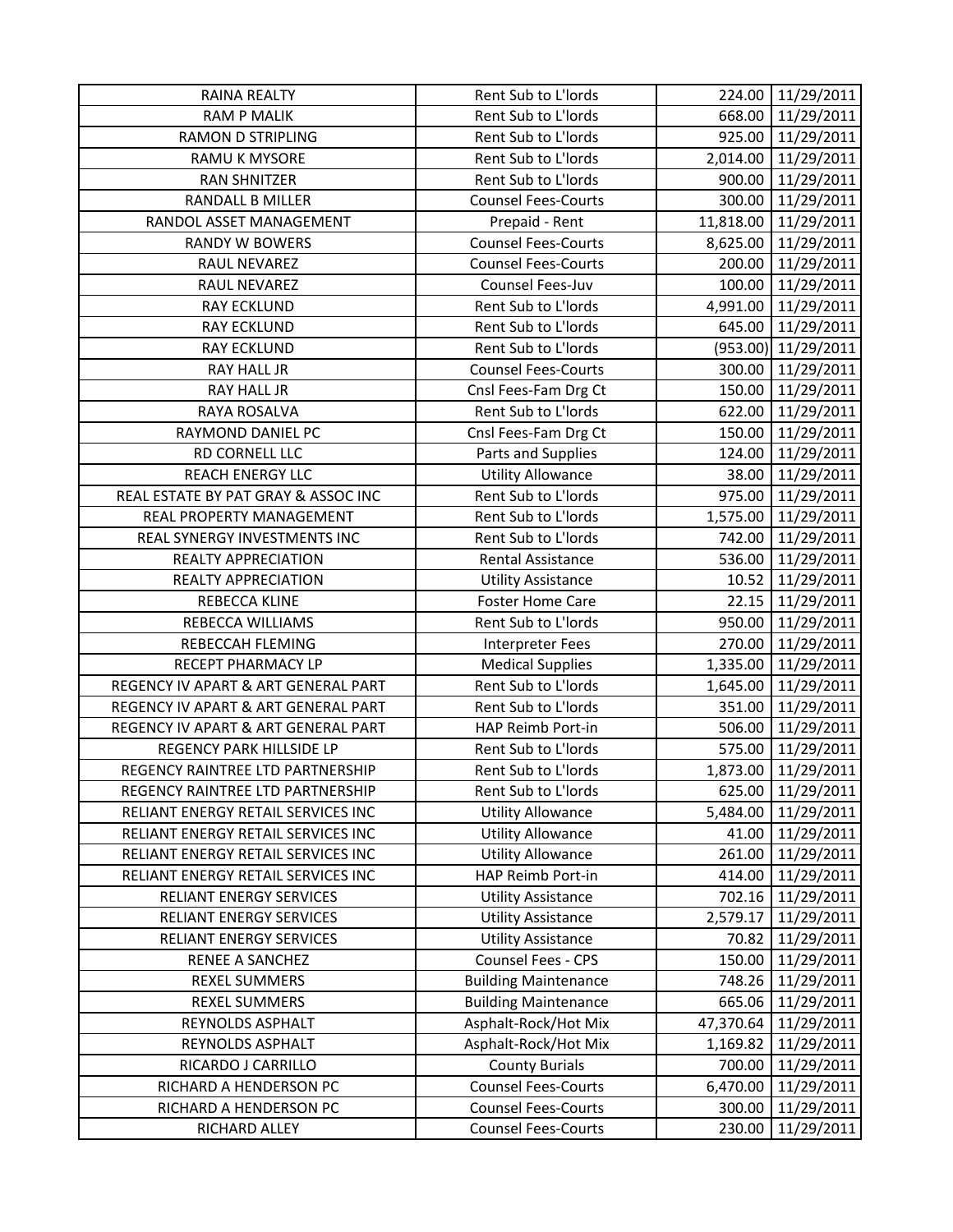| <b>RAINA REALTY</b>                 | Rent Sub to L'Iords         |           | 224.00 11/29/2011     |
|-------------------------------------|-----------------------------|-----------|-----------------------|
| <b>RAM P MALIK</b>                  | Rent Sub to L'Iords         |           | 668.00 11/29/2011     |
| <b>RAMON D STRIPLING</b>            | Rent Sub to L'Iords         |           | 925.00 11/29/2011     |
| RAMU K MYSORE                       | Rent Sub to L'Iords         | 2,014.00  | 11/29/2011            |
| <b>RAN SHNITZER</b>                 | Rent Sub to L'Iords         | 900.00    | 11/29/2011            |
| RANDALL B MILLER                    | <b>Counsel Fees-Courts</b>  | 300.00    | 11/29/2011            |
| RANDOL ASSET MANAGEMENT             | Prepaid - Rent              |           | 11,818.00 11/29/2011  |
| <b>RANDY W BOWERS</b>               | <b>Counsel Fees-Courts</b>  |           | 8,625.00 11/29/2011   |
| RAUL NEVAREZ                        | <b>Counsel Fees-Courts</b>  | 200.00    | 11/29/2011            |
| RAUL NEVAREZ                        | Counsel Fees-Juv            |           | 100.00 11/29/2011     |
| <b>RAY ECKLUND</b>                  | Rent Sub to L'Iords         |           | 4,991.00 11/29/2011   |
| <b>RAY ECKLUND</b>                  | Rent Sub to L'Iords         | 645.00    | 11/29/2011            |
| <b>RAY ECKLUND</b>                  | Rent Sub to L'Iords         |           | $(953.00)$ 11/29/2011 |
| RAY HALL JR                         | <b>Counsel Fees-Courts</b>  |           | 300.00 11/29/2011     |
| <b>RAY HALL JR</b>                  | Cnsl Fees-Fam Drg Ct        |           | 150.00 11/29/2011     |
| RAYA ROSALVA                        | Rent Sub to L'Iords         | 622.00    | 11/29/2011            |
| RAYMOND DANIEL PC                   | Cnsl Fees-Fam Drg Ct        | 150.00    | 11/29/2011            |
| RD CORNELL LLC                      | Parts and Supplies          | 124.00    | 11/29/2011            |
| <b>REACH ENERGY LLC</b>             | <b>Utility Allowance</b>    | 38.00     | 11/29/2011            |
| REAL ESTATE BY PAT GRAY & ASSOC INC | Rent Sub to L'Iords         | 975.00    | 11/29/2011            |
| REAL PROPERTY MANAGEMENT            | Rent Sub to L'Iords         |           | 1,575.00 11/29/2011   |
| REAL SYNERGY INVESTMENTS INC        | Rent Sub to L'Iords         | 742.00    | 11/29/2011            |
| <b>REALTY APPRECIATION</b>          | Rental Assistance           | 536.00    | 11/29/2011            |
| REALTY APPRECIATION                 | <b>Utility Assistance</b>   | 10.52     | 11/29/2011            |
| REBECCA KLINE                       | <b>Foster Home Care</b>     |           | 22.15 11/29/2011      |
| REBECCA WILLIAMS                    | Rent Sub to L'Iords         |           | 950.00 11/29/2011     |
| REBECCAH FLEMING                    | Interpreter Fees            | 270.00    | 11/29/2011            |
| RECEPT PHARMACY LP                  | <b>Medical Supplies</b>     | 1,335.00  | 11/29/2011            |
| REGENCY IV APART & ART GENERAL PART | Rent Sub to L'Iords         | 1,645.00  | 11/29/2011            |
| REGENCY IV APART & ART GENERAL PART | Rent Sub to L'Iords         | 351.00    | 11/29/2011            |
| REGENCY IV APART & ART GENERAL PART | HAP Reimb Port-in           | 506.00    | 11/29/2011            |
| REGENCY PARK HILLSIDE LP            | Rent Sub to L'Iords         | 575.00    | 11/29/2011            |
| REGENCY RAINTREE LTD PARTNERSHIP    | Rent Sub to L'Iords         | 1,873.00  | 11/29/2011            |
| REGENCY RAINTREE LTD PARTNERSHIP    | Rent Sub to L'Iords         | 625.00    | 11/29/2011            |
| RELIANT ENERGY RETAIL SERVICES INC  | <b>Utility Allowance</b>    | 5,484.00  | 11/29/2011            |
| RELIANT ENERGY RETAIL SERVICES INC  | <b>Utility Allowance</b>    | 41.00     | 11/29/2011            |
| RELIANT ENERGY RETAIL SERVICES INC  | <b>Utility Allowance</b>    | 261.00    | 11/29/2011            |
| RELIANT ENERGY RETAIL SERVICES INC  | HAP Reimb Port-in           | 414.00    | 11/29/2011            |
| RELIANT ENERGY SERVICES             | <b>Utility Assistance</b>   | 702.16    | 11/29/2011            |
| RELIANT ENERGY SERVICES             | <b>Utility Assistance</b>   | 2,579.17  | 11/29/2011            |
| RELIANT ENERGY SERVICES             | <b>Utility Assistance</b>   | 70.82     | 11/29/2011            |
| RENEE A SANCHEZ                     | Counsel Fees - CPS          | 150.00    | 11/29/2011            |
| REXEL SUMMERS                       | <b>Building Maintenance</b> | 748.26    | 11/29/2011            |
| REXEL SUMMERS                       | <b>Building Maintenance</b> | 665.06    | 11/29/2011            |
| REYNOLDS ASPHALT                    | Asphalt-Rock/Hot Mix        | 47,370.64 | 11/29/2011            |
| REYNOLDS ASPHALT                    | Asphalt-Rock/Hot Mix        | 1,169.82  | 11/29/2011            |
| RICARDO J CARRILLO                  | <b>County Burials</b>       | 700.00    | 11/29/2011            |
| RICHARD A HENDERSON PC              | <b>Counsel Fees-Courts</b>  | 6,470.00  | 11/29/2011            |
| RICHARD A HENDERSON PC              | <b>Counsel Fees-Courts</b>  | 300.00    | 11/29/2011            |
| RICHARD ALLEY                       | <b>Counsel Fees-Courts</b>  | 230.00    | 11/29/2011            |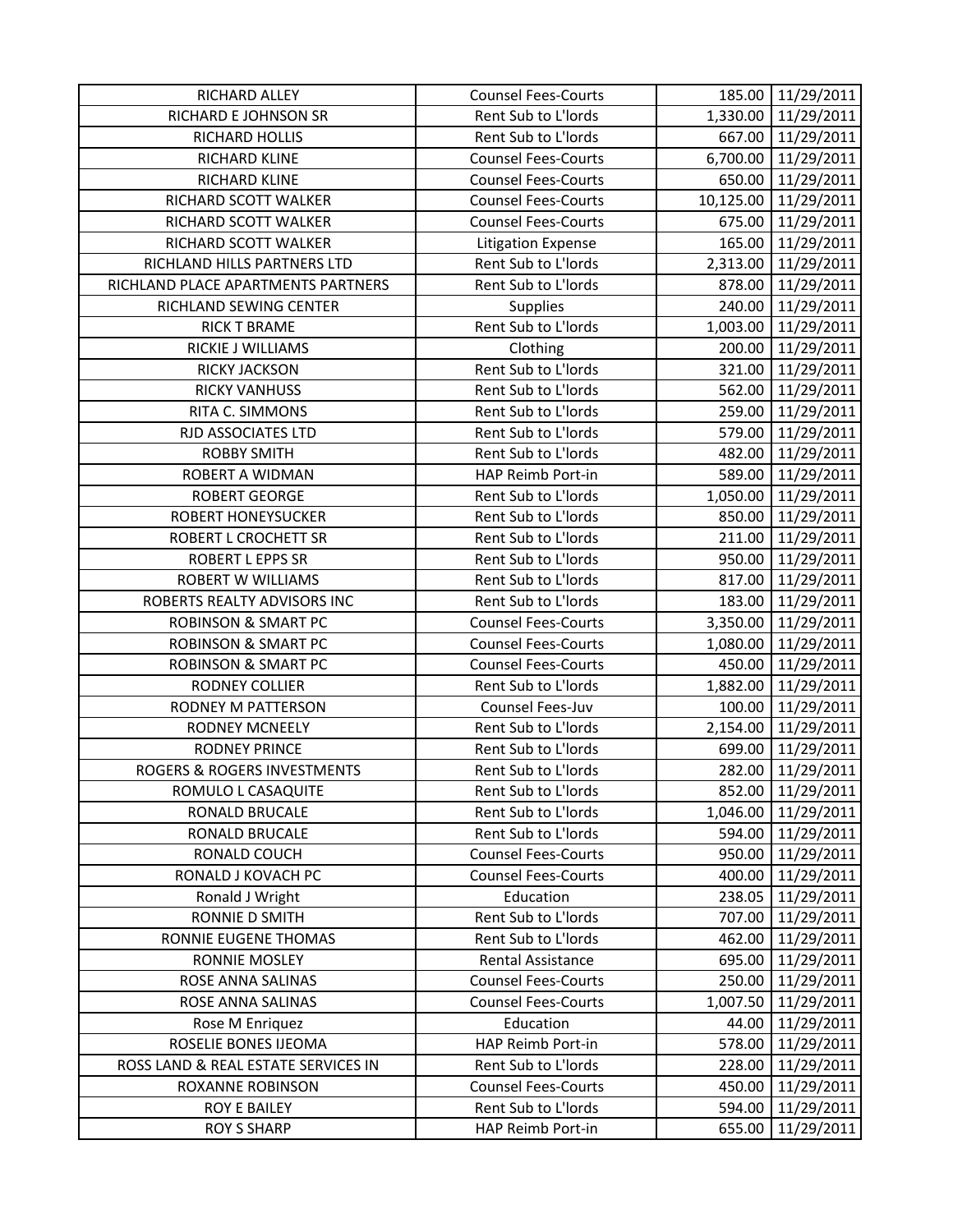| RICHARD ALLEY                          | <b>Counsel Fees-Courts</b> |           | 185.00 11/29/2011   |
|----------------------------------------|----------------------------|-----------|---------------------|
| RICHARD E JOHNSON SR                   | Rent Sub to L'Iords        |           | 1,330.00 11/29/2011 |
| RICHARD HOLLIS                         | Rent Sub to L'Iords        |           | 667.00 11/29/2011   |
| RICHARD KLINE                          | <b>Counsel Fees-Courts</b> | 6,700.00  | 11/29/2011          |
| RICHARD KLINE                          | <b>Counsel Fees-Courts</b> | 650.00    | 11/29/2011          |
| RICHARD SCOTT WALKER                   | <b>Counsel Fees-Courts</b> | 10,125.00 | 11/29/2011          |
| RICHARD SCOTT WALKER                   | <b>Counsel Fees-Courts</b> | 675.00    | 11/29/2011          |
| RICHARD SCOTT WALKER                   | Litigation Expense         | 165.00    | 11/29/2011          |
| RICHLAND HILLS PARTNERS LTD            | Rent Sub to L'Iords        | 2,313.00  | 11/29/2011          |
| RICHLAND PLACE APARTMENTS PARTNERS     | Rent Sub to L'Iords        | 878.00    | 11/29/2011          |
| RICHLAND SEWING CENTER                 | <b>Supplies</b>            | 240.00    | 11/29/2011          |
| <b>RICK T BRAME</b>                    | Rent Sub to L'Iords        | 1,003.00  | 11/29/2011          |
| RICKIE J WILLIAMS                      | Clothing                   | 200.00    | 11/29/2011          |
| <b>RICKY JACKSON</b>                   | Rent Sub to L'Iords        | 321.00    | 11/29/2011          |
| <b>RICKY VANHUSS</b>                   | Rent Sub to L'Iords        | 562.00    | 11/29/2011          |
| RITA C. SIMMONS                        | Rent Sub to L'Iords        | 259.00    | 11/29/2011          |
| RJD ASSOCIATES LTD                     | Rent Sub to L'Iords        | 579.00    | 11/29/2011          |
| <b>ROBBY SMITH</b>                     | Rent Sub to L'Iords        | 482.00    | 11/29/2011          |
| <b>ROBERT A WIDMAN</b>                 | HAP Reimb Port-in          | 589.00    | 11/29/2011          |
| <b>ROBERT GEORGE</b>                   | Rent Sub to L'Iords        | 1,050.00  | 11/29/2011          |
| <b>ROBERT HONEYSUCKER</b>              | Rent Sub to L'Iords        | 850.00    | 11/29/2011          |
| ROBERT L CROCHETT SR                   | Rent Sub to L'Iords        | 211.00    | 11/29/2011          |
| ROBERT L EPPS SR                       | Rent Sub to L'Iords        | 950.00    | 11/29/2011          |
| ROBERT W WILLIAMS                      | Rent Sub to L'Iords        | 817.00    | 11/29/2011          |
| ROBERTS REALTY ADVISORS INC            | Rent Sub to L'Iords        | 183.00    | 11/29/2011          |
| <b>ROBINSON &amp; SMART PC</b>         | <b>Counsel Fees-Courts</b> | 3,350.00  | 11/29/2011          |
| <b>ROBINSON &amp; SMART PC</b>         | <b>Counsel Fees-Courts</b> | 1,080.00  | 11/29/2011          |
| <b>ROBINSON &amp; SMART PC</b>         | <b>Counsel Fees-Courts</b> | 450.00    | 11/29/2011          |
| <b>RODNEY COLLIER</b>                  | Rent Sub to L'Iords        | 1,882.00  | 11/29/2011          |
| RODNEY M PATTERSON                     | Counsel Fees-Juv           | 100.00    | 11/29/2011          |
| <b>RODNEY MCNEELY</b>                  | Rent Sub to L'Iords        | 2,154.00  | 11/29/2011          |
| <b>RODNEY PRINCE</b>                   | Rent Sub to L'Iords        | 699.00    | 11/29/2011          |
| <b>ROGERS &amp; ROGERS INVESTMENTS</b> | Rent Sub to L'Iords        | 282.00    | 11/29/2011          |
| ROMULO L CASAQUITE                     | Rent Sub to L'Iords        | 852.00    | 11/29/2011          |
| RONALD BRUCALE                         | Rent Sub to L'Iords        | 1,046.00  | 11/29/2011          |
| RONALD BRUCALE                         | Rent Sub to L'Iords        | 594.00    | 11/29/2011          |
| RONALD COUCH                           | <b>Counsel Fees-Courts</b> | 950.00    | 11/29/2011          |
| RONALD J KOVACH PC                     | <b>Counsel Fees-Courts</b> | 400.00    | 11/29/2011          |
| Ronald J Wright                        | Education                  | 238.05    | 11/29/2011          |
| RONNIE D SMITH                         | Rent Sub to L'Iords        | 707.00    | 11/29/2011          |
| RONNIE EUGENE THOMAS                   | Rent Sub to L'Iords        | 462.00    | 11/29/2011          |
| RONNIE MOSLEY                          | Rental Assistance          | 695.00    | 11/29/2011          |
| ROSE ANNA SALINAS                      | <b>Counsel Fees-Courts</b> | 250.00    | 11/29/2011          |
| ROSE ANNA SALINAS                      | <b>Counsel Fees-Courts</b> | 1,007.50  | 11/29/2011          |
| Rose M Enriquez                        | Education                  | 44.00     | 11/29/2011          |
| ROSELIE BONES IJEOMA                   | HAP Reimb Port-in          | 578.00    | 11/29/2011          |
| ROSS LAND & REAL ESTATE SERVICES IN    | Rent Sub to L'Iords        | 228.00    | 11/29/2011          |
| ROXANNE ROBINSON                       | <b>Counsel Fees-Courts</b> | 450.00    | 11/29/2011          |
| ROY E BAILEY                           | Rent Sub to L'Iords        | 594.00    | 11/29/2011          |
| <b>ROY S SHARP</b>                     | HAP Reimb Port-in          | 655.00    | 11/29/2011          |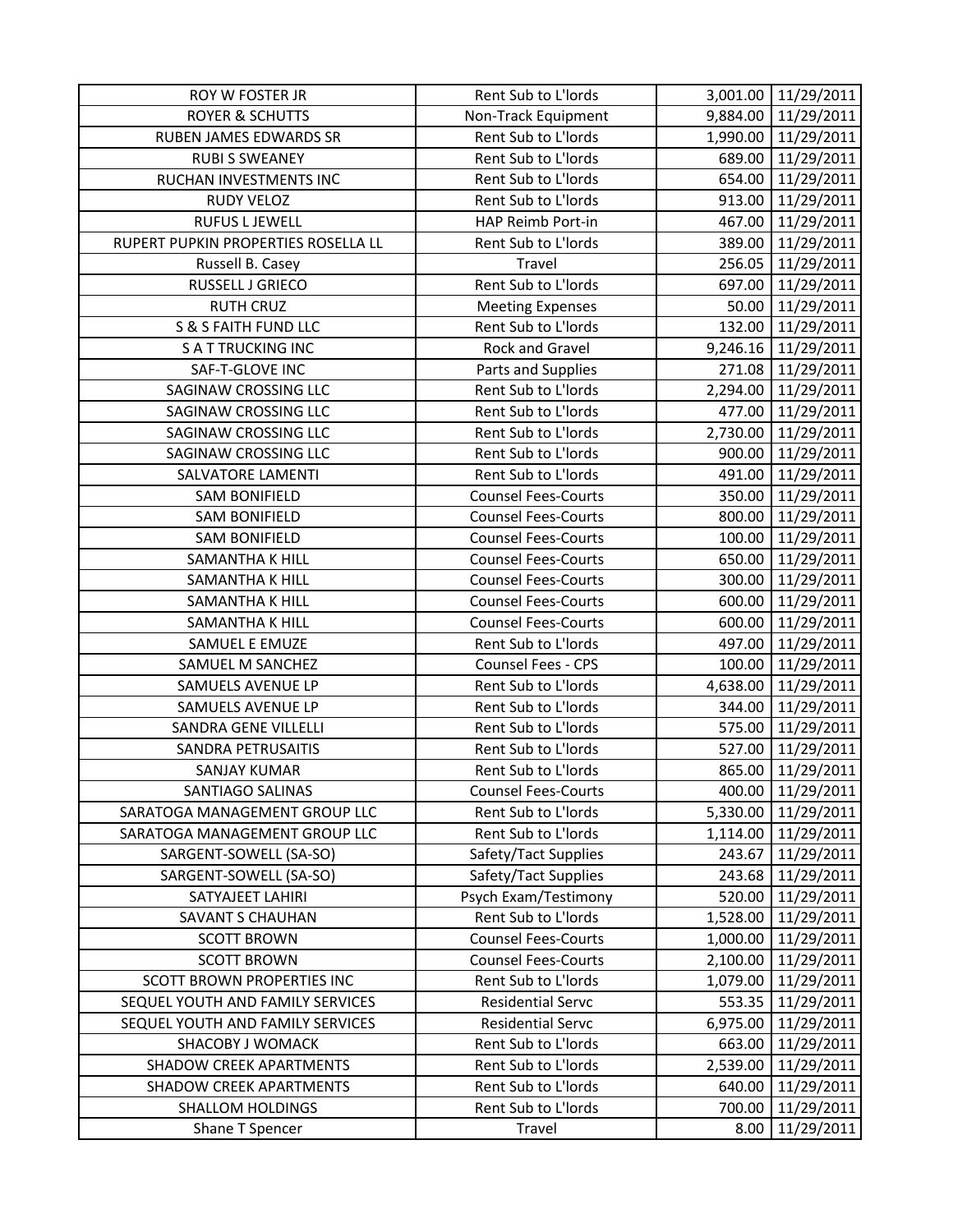| ROY W FOSTER JR                     | Rent Sub to L'Iords        |          | 3,001.00 11/29/2011 |
|-------------------------------------|----------------------------|----------|---------------------|
| <b>ROYER &amp; SCHUTTS</b>          | Non-Track Equipment        |          | 9,884.00 11/29/2011 |
| RUBEN JAMES EDWARDS SR              | Rent Sub to L'Iords        |          | 1,990.00 11/29/2011 |
| <b>RUBI S SWEANEY</b>               | Rent Sub to L'Iords        | 689.00   | 11/29/2011          |
| RUCHAN INVESTMENTS INC              | Rent Sub to L'Iords        | 654.00   | 11/29/2011          |
| <b>RUDY VELOZ</b>                   | Rent Sub to L'Iords        | 913.00   | 11/29/2011          |
| <b>RUFUS L JEWELL</b>               | HAP Reimb Port-in          | 467.00   | 11/29/2011          |
| RUPERT PUPKIN PROPERTIES ROSELLA LL | Rent Sub to L'Iords        | 389.00   | 11/29/2011          |
| Russell B. Casey                    | Travel                     | 256.05   | 11/29/2011          |
| RUSSELL J GRIECO                    | Rent Sub to L'Iords        | 697.00   | 11/29/2011          |
| <b>RUTH CRUZ</b>                    | <b>Meeting Expenses</b>    | 50.00    | 11/29/2011          |
| S & S FAITH FUND LLC                | Rent Sub to L'Iords        | 132.00   | 11/29/2011          |
| <b>SATTRUCKING INC</b>              | Rock and Gravel            |          | 9,246.16 11/29/2011 |
| SAF-T-GLOVE INC                     | Parts and Supplies         | 271.08   | 11/29/2011          |
| SAGINAW CROSSING LLC                | Rent Sub to L'Iords        |          | 2,294.00 11/29/2011 |
| <b>SAGINAW CROSSING LLC</b>         | Rent Sub to L'Iords        | 477.00   | 11/29/2011          |
| SAGINAW CROSSING LLC                | Rent Sub to L'Iords        | 2,730.00 | 11/29/2011          |
| SAGINAW CROSSING LLC                | Rent Sub to L'Iords        | 900.00   | 11/29/2011          |
| <b>SALVATORE LAMENTI</b>            | Rent Sub to L'Iords        | 491.00   | 11/29/2011          |
| <b>SAM BONIFIELD</b>                | <b>Counsel Fees-Courts</b> | 350.00   | 11/29/2011          |
| <b>SAM BONIFIELD</b>                | <b>Counsel Fees-Courts</b> | 800.00   | 11/29/2011          |
| <b>SAM BONIFIELD</b>                | <b>Counsel Fees-Courts</b> | 100.00   | 11/29/2011          |
| <b>SAMANTHA K HILL</b>              | <b>Counsel Fees-Courts</b> | 650.00   | 11/29/2011          |
| <b>SAMANTHA K HILL</b>              | <b>Counsel Fees-Courts</b> | 300.00   | 11/29/2011          |
| SAMANTHA K HILL                     | <b>Counsel Fees-Courts</b> | 600.00   | 11/29/2011          |
| <b>SAMANTHA K HILL</b>              | <b>Counsel Fees-Courts</b> |          | 600.00 11/29/2011   |
| SAMUEL E EMUZE                      | Rent Sub to L'Iords        | 497.00   | 11/29/2011          |
| SAMUEL M SANCHEZ                    | Counsel Fees - CPS         | 100.00   | 11/29/2011          |
| SAMUELS AVENUE LP                   | Rent Sub to L'Iords        | 4,638.00 | 11/29/2011          |
| SAMUELS AVENUE LP                   | Rent Sub to L'Iords        | 344.00   | 11/29/2011          |
| SANDRA GENE VILLELLI                | Rent Sub to L'Iords        | 575.00   | 11/29/2011          |
| <b>SANDRA PETRUSAITIS</b>           | Rent Sub to L'Iords        | 527.00   | 11/29/2011          |
| <b>SANJAY KUMAR</b>                 | Rent Sub to L'Iords        | 865.00   | 11/29/2011          |
| SANTIAGO SALINAS                    | <b>Counsel Fees-Courts</b> | 400.00   | 11/29/2011          |
| SARATOGA MANAGEMENT GROUP LLC       | Rent Sub to L'Iords        | 5,330.00 | 11/29/2011          |
| SARATOGA MANAGEMENT GROUP LLC       | Rent Sub to L'Iords        | 1,114.00 | 11/29/2011          |
| SARGENT-SOWELL (SA-SO)              | Safety/Tact Supplies       | 243.67   | 11/29/2011          |
| SARGENT-SOWELL (SA-SO)              | Safety/Tact Supplies       | 243.68   | 11/29/2011          |
| SATYAJEET LAHIRI                    | Psych Exam/Testimony       | 520.00   | 11/29/2011          |
| <b>SAVANT S CHAUHAN</b>             | Rent Sub to L'Iords        | 1,528.00 | 11/29/2011          |
| <b>SCOTT BROWN</b>                  | <b>Counsel Fees-Courts</b> | 1,000.00 | 11/29/2011          |
| <b>SCOTT BROWN</b>                  | <b>Counsel Fees-Courts</b> | 2,100.00 | 11/29/2011          |
| SCOTT BROWN PROPERTIES INC          | Rent Sub to L'Iords        | 1,079.00 | 11/29/2011          |
| SEQUEL YOUTH AND FAMILY SERVICES    | <b>Residential Servc</b>   | 553.35   | 11/29/2011          |
| SEQUEL YOUTH AND FAMILY SERVICES    | <b>Residential Servc</b>   | 6,975.00 | 11/29/2011          |
| SHACOBY J WOMACK                    | Rent Sub to L'Iords        | 663.00   | 11/29/2011          |
| <b>SHADOW CREEK APARTMENTS</b>      | Rent Sub to L'Iords        | 2,539.00 | 11/29/2011          |
| <b>SHADOW CREEK APARTMENTS</b>      | Rent Sub to L'Iords        | 640.00   | 11/29/2011          |
| <b>SHALLOM HOLDINGS</b>             | Rent Sub to L'Iords        | 700.00   | 11/29/2011          |
| Shane T Spencer                     | Travel                     | 8.00     | 11/29/2011          |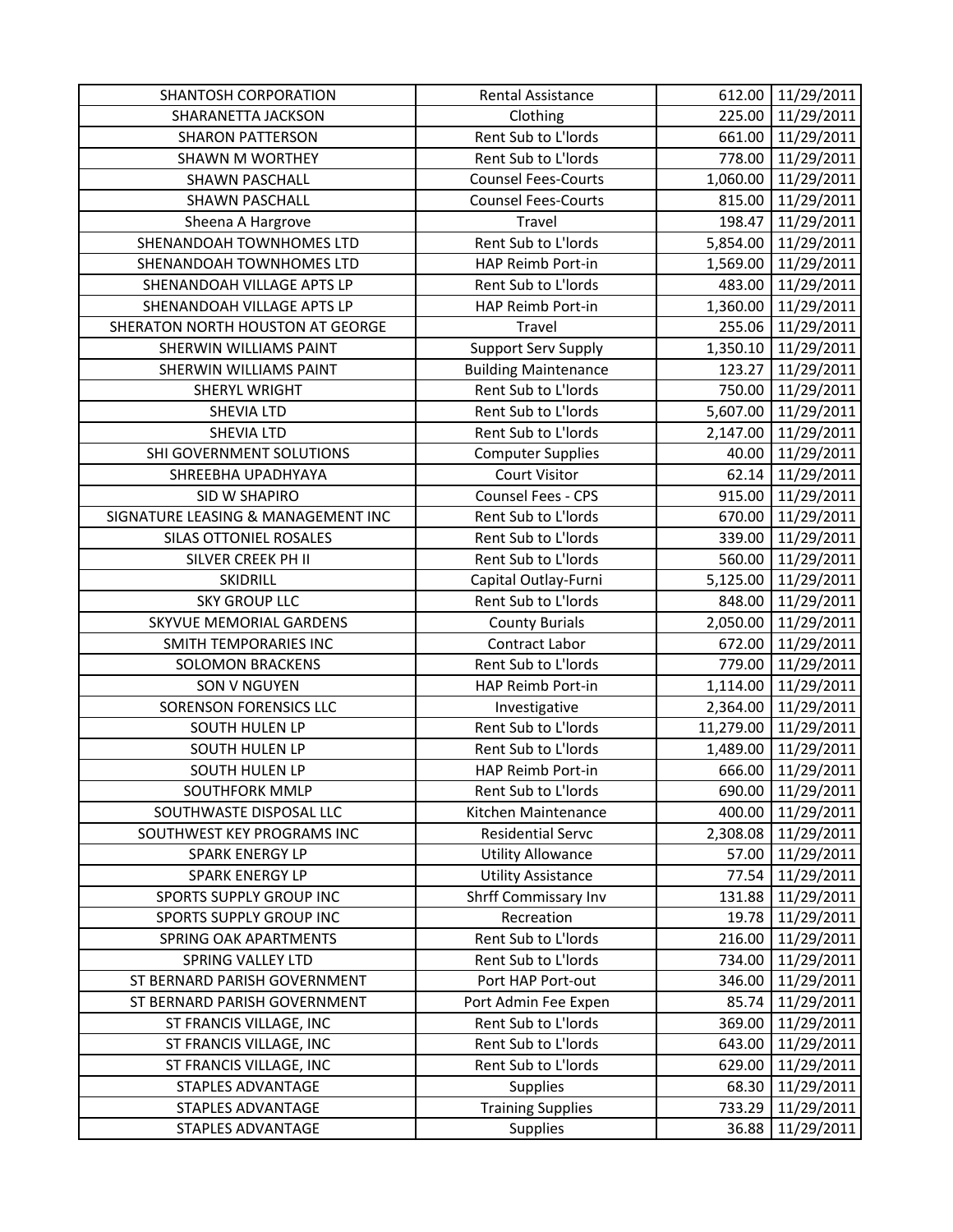| <b>SHANTOSH CORPORATION</b>        | Rental Assistance           | 612.00    | 11/29/2011        |
|------------------------------------|-----------------------------|-----------|-------------------|
| SHARANETTA JACKSON                 | Clothing                    | 225.00    | 11/29/2011        |
| <b>SHARON PATTERSON</b>            | Rent Sub to L'Iords         |           | 661.00 11/29/2011 |
| <b>SHAWN M WORTHEY</b>             | Rent Sub to L'Iords         | 778.00    | 11/29/2011        |
| <b>SHAWN PASCHALL</b>              | <b>Counsel Fees-Courts</b>  | 1,060.00  | 11/29/2011        |
| <b>SHAWN PASCHALL</b>              | <b>Counsel Fees-Courts</b>  | 815.00    | 11/29/2011        |
| Sheena A Hargrove                  | Travel                      | 198.47    | 11/29/2011        |
| SHENANDOAH TOWNHOMES LTD           | Rent Sub to L'Iords         | 5,854.00  | 11/29/2011        |
| SHENANDOAH TOWNHOMES LTD           | HAP Reimb Port-in           | 1,569.00  | 11/29/2011        |
| SHENANDOAH VILLAGE APTS LP         | Rent Sub to L'Iords         | 483.00    | 11/29/2011        |
| SHENANDOAH VILLAGE APTS LP         | HAP Reimb Port-in           | 1,360.00  | 11/29/2011        |
| SHERATON NORTH HOUSTON AT GEORGE   | Travel                      | 255.06    | 11/29/2011        |
| SHERWIN WILLIAMS PAINT             | <b>Support Serv Supply</b>  | 1,350.10  | 11/29/2011        |
| SHERWIN WILLIAMS PAINT             | <b>Building Maintenance</b> | 123.27    | 11/29/2011        |
| SHERYL WRIGHT                      | Rent Sub to L'Iords         | 750.00    | 11/29/2011        |
| <b>SHEVIA LTD</b>                  | Rent Sub to L'Iords         | 5,607.00  | 11/29/2011        |
| <b>SHEVIA LTD</b>                  | Rent Sub to L'Iords         | 2,147.00  | 11/29/2011        |
| SHI GOVERNMENT SOLUTIONS           | <b>Computer Supplies</b>    | 40.00     | 11/29/2011        |
| SHREEBHA UPADHYAYA                 | <b>Court Visitor</b>        | 62.14     | 11/29/2011        |
| SID W SHAPIRO                      | Counsel Fees - CPS          | 915.00    | 11/29/2011        |
| SIGNATURE LEASING & MANAGEMENT INC | Rent Sub to L'Iords         | 670.00    | 11/29/2011        |
| SILAS OTTONIEL ROSALES             | Rent Sub to L'Iords         | 339.00    | 11/29/2011        |
| SILVER CREEK PH II                 | Rent Sub to L'Iords         | 560.00    | 11/29/2011        |
| <b>SKIDRILL</b>                    | Capital Outlay-Furni        | 5,125.00  | 11/29/2011        |
| <b>SKY GROUP LLC</b>               | Rent Sub to L'Iords         | 848.00    | 11/29/2011        |
| SKYVUE MEMORIAL GARDENS            | <b>County Burials</b>       | 2,050.00  | 11/29/2011        |
| SMITH TEMPORARIES INC              | Contract Labor              | 672.00    | 11/29/2011        |
| <b>SOLOMON BRACKENS</b>            | Rent Sub to L'Iords         | 779.00    | 11/29/2011        |
| SON V NGUYEN                       | HAP Reimb Port-in           | 1,114.00  | 11/29/2011        |
| <b>SORENSON FORENSICS LLC</b>      | Investigative               | 2,364.00  | 11/29/2011        |
| SOUTH HULEN LP                     | Rent Sub to L'Iords         | 11,279.00 | 11/29/2011        |
| SOUTH HULEN LP                     | Rent Sub to L'Iords         | 1,489.00  | 11/29/2011        |
| <b>SOUTH HULEN LP</b>              | HAP Reimb Port-in           | 666.00    | 11/29/2011        |
| SOUTHFORK MMLP                     | Rent Sub to L'Iords         | 690.00    | 11/29/2011        |
| SOUTHWASTE DISPOSAL LLC            | Kitchen Maintenance         | 400.00    | 11/29/2011        |
| SOUTHWEST KEY PROGRAMS INC         | <b>Residential Servc</b>    | 2,308.08  | 11/29/2011        |
| SPARK ENERGY LP                    | <b>Utility Allowance</b>    | 57.00     | 11/29/2011        |
| SPARK ENERGY LP                    | <b>Utility Assistance</b>   | 77.54     | 11/29/2011        |
| <b>SPORTS SUPPLY GROUP INC</b>     | Shrff Commissary Inv        | 131.88    | 11/29/2011        |
| <b>SPORTS SUPPLY GROUP INC</b>     | Recreation                  | 19.78     | 11/29/2011        |
| SPRING OAK APARTMENTS              | Rent Sub to L'Iords         | 216.00    | 11/29/2011        |
| SPRING VALLEY LTD                  | Rent Sub to L'Iords         | 734.00    | 11/29/2011        |
| ST BERNARD PARISH GOVERNMENT       | Port HAP Port-out           | 346.00    | 11/29/2011        |
| ST BERNARD PARISH GOVERNMENT       | Port Admin Fee Expen        | 85.74     | 11/29/2011        |
| ST FRANCIS VILLAGE, INC            | Rent Sub to L'Iords         | 369.00    | 11/29/2011        |
| ST FRANCIS VILLAGE, INC            | Rent Sub to L'Iords         | 643.00    | 11/29/2011        |
| ST FRANCIS VILLAGE, INC            | Rent Sub to L'Iords         | 629.00    | 11/29/2011        |
| <b>STAPLES ADVANTAGE</b>           | <b>Supplies</b>             | 68.30     | 11/29/2011        |
| STAPLES ADVANTAGE                  | <b>Training Supplies</b>    | 733.29    | 11/29/2011        |
| STAPLES ADVANTAGE                  | Supplies                    | 36.88     | 11/29/2011        |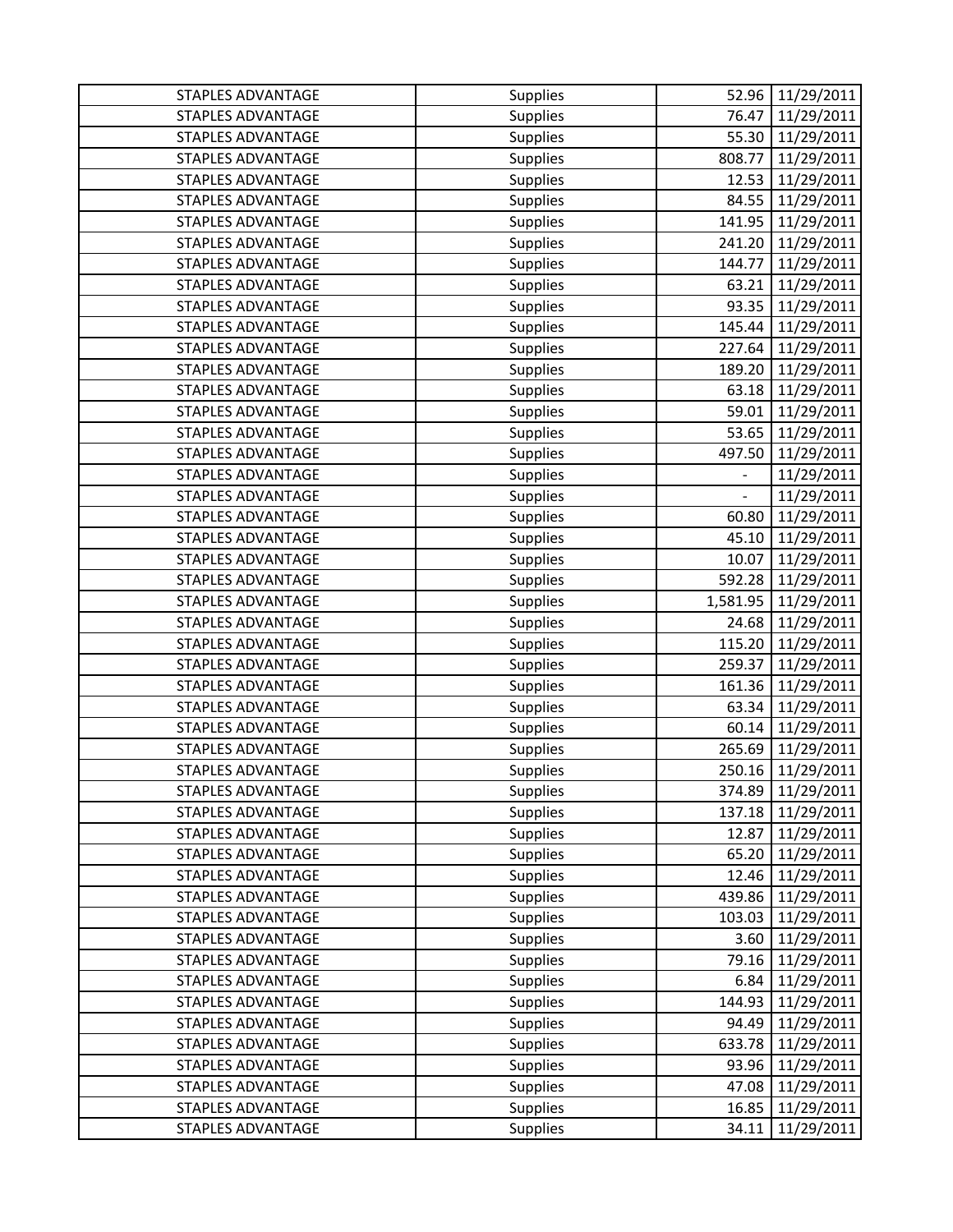| <b>STAPLES ADVANTAGE</b> | Supplies        | 52.96          | 11/29/2011 |
|--------------------------|-----------------|----------------|------------|
| <b>STAPLES ADVANTAGE</b> | <b>Supplies</b> | 76.47          | 11/29/2011 |
| <b>STAPLES ADVANTAGE</b> | <b>Supplies</b> | 55.30          | 11/29/2011 |
| STAPLES ADVANTAGE        | Supplies        | 808.77         | 11/29/2011 |
| <b>STAPLES ADVANTAGE</b> | <b>Supplies</b> | 12.53          | 11/29/2011 |
| <b>STAPLES ADVANTAGE</b> | Supplies        | 84.55          | 11/29/2011 |
| <b>STAPLES ADVANTAGE</b> | <b>Supplies</b> | 141.95         | 11/29/2011 |
| <b>STAPLES ADVANTAGE</b> | Supplies        | 241.20         | 11/29/2011 |
| <b>STAPLES ADVANTAGE</b> | Supplies        | 144.77         | 11/29/2011 |
| <b>STAPLES ADVANTAGE</b> | <b>Supplies</b> | 63.21          | 11/29/2011 |
| <b>STAPLES ADVANTAGE</b> | Supplies        | 93.35          | 11/29/2011 |
| <b>STAPLES ADVANTAGE</b> | Supplies        | 145.44         | 11/29/2011 |
| <b>STAPLES ADVANTAGE</b> | Supplies        | 227.64         | 11/29/2011 |
| <b>STAPLES ADVANTAGE</b> | <b>Supplies</b> | 189.20         | 11/29/2011 |
| <b>STAPLES ADVANTAGE</b> | Supplies        | 63.18          | 11/29/2011 |
| <b>STAPLES ADVANTAGE</b> | Supplies        | 59.01          | 11/29/2011 |
| <b>STAPLES ADVANTAGE</b> | Supplies        | 53.65          | 11/29/2011 |
| <b>STAPLES ADVANTAGE</b> | Supplies        | 497.50         | 11/29/2011 |
| <b>STAPLES ADVANTAGE</b> | Supplies        | $\overline{a}$ | 11/29/2011 |
| <b>STAPLES ADVANTAGE</b> | Supplies        |                | 11/29/2011 |
| <b>STAPLES ADVANTAGE</b> | Supplies        | 60.80          | 11/29/2011 |
| <b>STAPLES ADVANTAGE</b> | Supplies        | 45.10          | 11/29/2011 |
| <b>STAPLES ADVANTAGE</b> | Supplies        | 10.07          | 11/29/2011 |
| <b>STAPLES ADVANTAGE</b> | Supplies        | 592.28         | 11/29/2011 |
| <b>STAPLES ADVANTAGE</b> | Supplies        | 1,581.95       | 11/29/2011 |
| <b>STAPLES ADVANTAGE</b> | Supplies        | 24.68          | 11/29/2011 |
| <b>STAPLES ADVANTAGE</b> | Supplies        | 115.20         | 11/29/2011 |
| <b>STAPLES ADVANTAGE</b> | Supplies        | 259.37         | 11/29/2011 |
| <b>STAPLES ADVANTAGE</b> | Supplies        | 161.36         | 11/29/2011 |
| <b>STAPLES ADVANTAGE</b> | Supplies        | 63.34          | 11/29/2011 |
| <b>STAPLES ADVANTAGE</b> | Supplies        | 60.14          | 11/29/2011 |
| <b>STAPLES ADVANTAGE</b> | Supplies        | 265.69         | 11/29/2011 |
| <b>STAPLES ADVANTAGE</b> | Supplies        | 250.16         | 11/29/2011 |
| <b>STAPLES ADVANTAGE</b> | <b>Supplies</b> | 374.89         | 11/29/2011 |
| <b>STAPLES ADVANTAGE</b> | <b>Supplies</b> | 137.18         | 11/29/2011 |
| <b>STAPLES ADVANTAGE</b> | <b>Supplies</b> | 12.87          | 11/29/2011 |
| <b>STAPLES ADVANTAGE</b> | <b>Supplies</b> | 65.20          | 11/29/2011 |
| <b>STAPLES ADVANTAGE</b> | <b>Supplies</b> | 12.46          | 11/29/2011 |
| <b>STAPLES ADVANTAGE</b> | <b>Supplies</b> | 439.86         | 11/29/2011 |
| <b>STAPLES ADVANTAGE</b> | <b>Supplies</b> | 103.03         | 11/29/2011 |
| <b>STAPLES ADVANTAGE</b> | <b>Supplies</b> | 3.60           | 11/29/2011 |
| <b>STAPLES ADVANTAGE</b> | <b>Supplies</b> | 79.16          | 11/29/2011 |
| <b>STAPLES ADVANTAGE</b> | <b>Supplies</b> | 6.84           | 11/29/2011 |
| STAPLES ADVANTAGE        | <b>Supplies</b> | 144.93         | 11/29/2011 |
| <b>STAPLES ADVANTAGE</b> | <b>Supplies</b> | 94.49          | 11/29/2011 |
| STAPLES ADVANTAGE        | <b>Supplies</b> | 633.78         | 11/29/2011 |
| STAPLES ADVANTAGE        | <b>Supplies</b> | 93.96          | 11/29/2011 |
| <b>STAPLES ADVANTAGE</b> | <b>Supplies</b> | 47.08          | 11/29/2011 |
| STAPLES ADVANTAGE        | <b>Supplies</b> | 16.85          | 11/29/2011 |
| STAPLES ADVANTAGE        | <b>Supplies</b> | 34.11          | 11/29/2011 |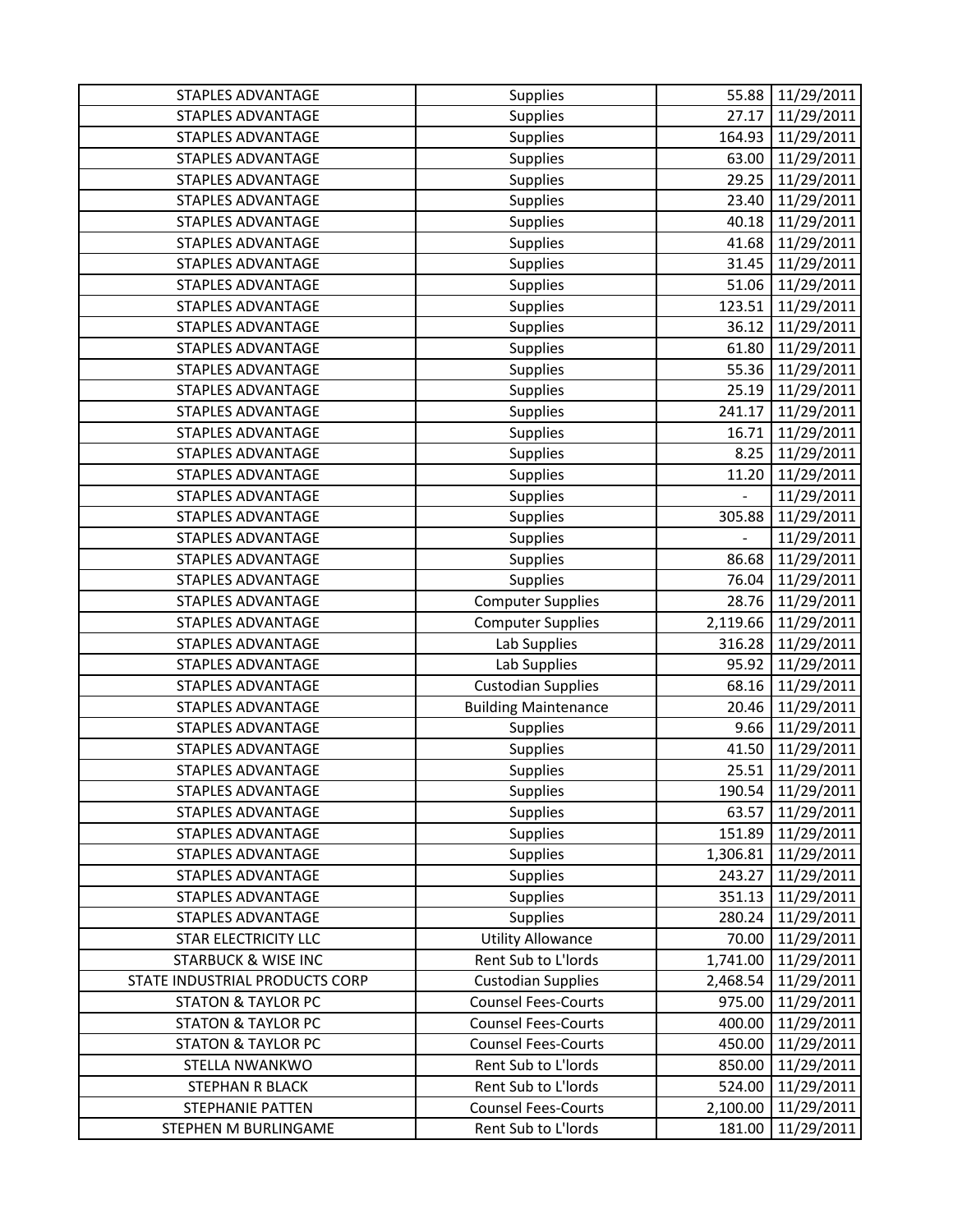| <b>STAPLES ADVANTAGE</b>       | Supplies                    | 55.88    | 11/29/2011 |
|--------------------------------|-----------------------------|----------|------------|
| <b>STAPLES ADVANTAGE</b>       | Supplies                    | 27.17    | 11/29/2011 |
| <b>STAPLES ADVANTAGE</b>       | Supplies                    | 164.93   | 11/29/2011 |
| <b>STAPLES ADVANTAGE</b>       | Supplies                    | 63.00    | 11/29/2011 |
| <b>STAPLES ADVANTAGE</b>       | Supplies                    | 29.25    | 11/29/2011 |
| <b>STAPLES ADVANTAGE</b>       | Supplies                    | 23.40    | 11/29/2011 |
| <b>STAPLES ADVANTAGE</b>       | Supplies                    | 40.18    | 11/29/2011 |
| <b>STAPLES ADVANTAGE</b>       | Supplies                    | 41.68    | 11/29/2011 |
| <b>STAPLES ADVANTAGE</b>       | Supplies                    | 31.45    | 11/29/2011 |
| <b>STAPLES ADVANTAGE</b>       | Supplies                    | 51.06    | 11/29/2011 |
| <b>STAPLES ADVANTAGE</b>       | Supplies                    | 123.51   | 11/29/2011 |
| <b>STAPLES ADVANTAGE</b>       | Supplies                    | 36.12    | 11/29/2011 |
| <b>STAPLES ADVANTAGE</b>       | Supplies                    | 61.80    | 11/29/2011 |
| <b>STAPLES ADVANTAGE</b>       | Supplies                    | 55.36    | 11/29/2011 |
| <b>STAPLES ADVANTAGE</b>       | Supplies                    | 25.19    | 11/29/2011 |
| <b>STAPLES ADVANTAGE</b>       | Supplies                    | 241.17   | 11/29/2011 |
| <b>STAPLES ADVANTAGE</b>       | Supplies                    | 16.71    | 11/29/2011 |
| <b>STAPLES ADVANTAGE</b>       | Supplies                    | 8.25     | 11/29/2011 |
| <b>STAPLES ADVANTAGE</b>       | Supplies                    | 11.20    | 11/29/2011 |
| <b>STAPLES ADVANTAGE</b>       | Supplies                    | ÷        | 11/29/2011 |
| <b>STAPLES ADVANTAGE</b>       | Supplies                    | 305.88   | 11/29/2011 |
| <b>STAPLES ADVANTAGE</b>       | Supplies                    |          | 11/29/2011 |
| <b>STAPLES ADVANTAGE</b>       | Supplies                    | 86.68    | 11/29/2011 |
| <b>STAPLES ADVANTAGE</b>       | Supplies                    | 76.04    | 11/29/2011 |
| <b>STAPLES ADVANTAGE</b>       | <b>Computer Supplies</b>    | 28.76    | 11/29/2011 |
| <b>STAPLES ADVANTAGE</b>       | <b>Computer Supplies</b>    | 2,119.66 | 11/29/2011 |
| <b>STAPLES ADVANTAGE</b>       | Lab Supplies                | 316.28   | 11/29/2011 |
| <b>STAPLES ADVANTAGE</b>       | Lab Supplies                | 95.92    | 11/29/2011 |
| <b>STAPLES ADVANTAGE</b>       | <b>Custodian Supplies</b>   | 68.16    | 11/29/2011 |
| <b>STAPLES ADVANTAGE</b>       | <b>Building Maintenance</b> | 20.46    | 11/29/2011 |
| <b>STAPLES ADVANTAGE</b>       | <b>Supplies</b>             | 9.66     | 11/29/2011 |
| <b>STAPLES ADVANTAGE</b>       | Supplies                    | 41.50    | 11/29/2011 |
| <b>STAPLES ADVANTAGE</b>       | <b>Supplies</b>             | 25.51    | 11/29/2011 |
| <b>STAPLES ADVANTAGE</b>       | Supplies                    | 190.54   | 11/29/2011 |
| <b>STAPLES ADVANTAGE</b>       | <b>Supplies</b>             | 63.57    | 11/29/2011 |
| STAPLES ADVANTAGE              | <b>Supplies</b>             | 151.89   | 11/29/2011 |
| <b>STAPLES ADVANTAGE</b>       | <b>Supplies</b>             | 1,306.81 | 11/29/2011 |
| <b>STAPLES ADVANTAGE</b>       | Supplies                    | 243.27   | 11/29/2011 |
| <b>STAPLES ADVANTAGE</b>       | <b>Supplies</b>             | 351.13   | 11/29/2011 |
| STAPLES ADVANTAGE              | <b>Supplies</b>             | 280.24   | 11/29/2011 |
| <b>STAR ELECTRICITY LLC</b>    | <b>Utility Allowance</b>    | 70.00    | 11/29/2011 |
| <b>STARBUCK &amp; WISE INC</b> | Rent Sub to L'Iords         | 1,741.00 | 11/29/2011 |
| STATE INDUSTRIAL PRODUCTS CORP | <b>Custodian Supplies</b>   | 2,468.54 | 11/29/2011 |
| <b>STATON &amp; TAYLOR PC</b>  | <b>Counsel Fees-Courts</b>  | 975.00   | 11/29/2011 |
| <b>STATON &amp; TAYLOR PC</b>  | <b>Counsel Fees-Courts</b>  | 400.00   | 11/29/2011 |
| <b>STATON &amp; TAYLOR PC</b>  | <b>Counsel Fees-Courts</b>  | 450.00   | 11/29/2011 |
| STELLA NWANKWO                 | Rent Sub to L'Iords         | 850.00   | 11/29/2011 |
|                                |                             |          |            |
| STEPHAN R BLACK                | Rent Sub to L'Iords         | 524.00   | 11/29/2011 |
| STEPHANIE PATTEN               | <b>Counsel Fees-Courts</b>  | 2,100.00 | 11/29/2011 |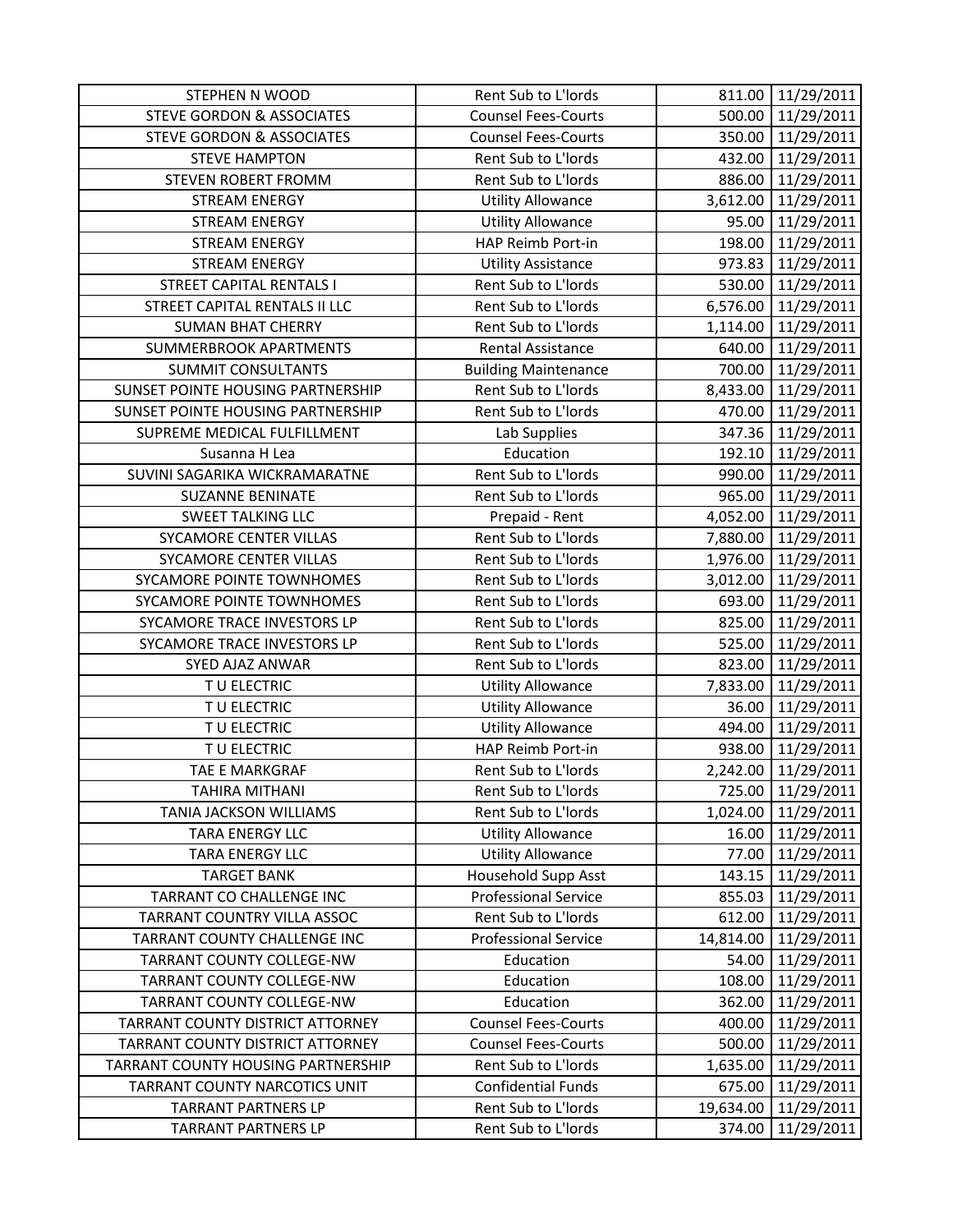| <b>STEPHEN N WOOD</b>                | Rent Sub to L'Iords         | 811.00    | 11/29/2011          |
|--------------------------------------|-----------------------------|-----------|---------------------|
| <b>STEVE GORDON &amp; ASSOCIATES</b> | <b>Counsel Fees-Courts</b>  | 500.00    | 11/29/2011          |
| <b>STEVE GORDON &amp; ASSOCIATES</b> | <b>Counsel Fees-Courts</b>  |           | 350.00 11/29/2011   |
| <b>STEVE HAMPTON</b>                 | Rent Sub to L'Iords         | 432.00    | 11/29/2011          |
| STEVEN ROBERT FROMM                  | Rent Sub to L'Iords         | 886.00    | 11/29/2011          |
| <b>STREAM ENERGY</b>                 | <b>Utility Allowance</b>    | 3,612.00  | 11/29/2011          |
| <b>STREAM ENERGY</b>                 | <b>Utility Allowance</b>    | 95.00     | 11/29/2011          |
| <b>STREAM ENERGY</b>                 | HAP Reimb Port-in           | 198.00    | 11/29/2011          |
| <b>STREAM ENERGY</b>                 | <b>Utility Assistance</b>   | 973.83    | 11/29/2011          |
| <b>STREET CAPITAL RENTALS I</b>      | Rent Sub to L'Iords         | 530.00    | 11/29/2011          |
| STREET CAPITAL RENTALS II LLC        | Rent Sub to L'Iords         | 6,576.00  | 11/29/2011          |
| <b>SUMAN BHAT CHERRY</b>             | Rent Sub to L'Iords         | 1,114.00  | 11/29/2011          |
| <b>SUMMERBROOK APARTMENTS</b>        | Rental Assistance           | 640.00    | 11/29/2011          |
| <b>SUMMIT CONSULTANTS</b>            | <b>Building Maintenance</b> | 700.00    | 11/29/2011          |
| SUNSET POINTE HOUSING PARTNERSHIP    | Rent Sub to L'Iords         |           | 8,433.00 11/29/2011 |
| SUNSET POINTE HOUSING PARTNERSHIP    | Rent Sub to L'Iords         | 470.00    | 11/29/2011          |
| SUPREME MEDICAL FULFILLMENT          | Lab Supplies                |           | 347.36 11/29/2011   |
| Susanna H Lea                        | Education                   |           | 192.10 11/29/2011   |
| SUVINI SAGARIKA WICKRAMARATNE        | Rent Sub to L'Iords         | 990.00    | 11/29/2011          |
| <b>SUZANNE BENINATE</b>              | Rent Sub to L'Iords         | 965.00    | 11/29/2011          |
| <b>SWEET TALKING LLC</b>             | Prepaid - Rent              | 4,052.00  | 11/29/2011          |
| <b>SYCAMORE CENTER VILLAS</b>        | Rent Sub to L'Iords         |           | 7,880.00 11/29/2011 |
| <b>SYCAMORE CENTER VILLAS</b>        | Rent Sub to L'Iords         | 1,976.00  | 11/29/2011          |
| SYCAMORE POINTE TOWNHOMES            | Rent Sub to L'Iords         | 3,012.00  | 11/29/2011          |
| SYCAMORE POINTE TOWNHOMES            | Rent Sub to L'Iords         | 693.00    | 11/29/2011          |
| SYCAMORE TRACE INVESTORS LP          | Rent Sub to L'Iords         | 825.00    | 11/29/2011          |
| SYCAMORE TRACE INVESTORS LP          | Rent Sub to L'Iords         | 525.00    | 11/29/2011          |
| SYED AJAZ ANWAR                      | Rent Sub to L'Iords         | 823.00    | 11/29/2011          |
| TU ELECTRIC                          | <b>Utility Allowance</b>    | 7,833.00  | 11/29/2011          |
| TU ELECTRIC                          | <b>Utility Allowance</b>    | 36.00     | 11/29/2011          |
| TU ELECTRIC                          | <b>Utility Allowance</b>    | 494.00    | 11/29/2011          |
| TU ELECTRIC                          | HAP Reimb Port-in           | 938.00    | 11/29/2011          |
| TAE E MARKGRAF                       | Rent Sub to L'Iords         | 2,242.00  | 11/29/2011          |
| <b>TAHIRA MITHANI</b>                | Rent Sub to L'Iords         | 725.00    | 11/29/2011          |
| <b>TANIA JACKSON WILLIAMS</b>        | <b>Rent Sub to L'Iords</b>  | 1,024.00  | 11/29/2011          |
| <b>TARA ENERGY LLC</b>               | <b>Utility Allowance</b>    | 16.00     | 11/29/2011          |
| TARA ENERGY LLC                      | <b>Utility Allowance</b>    | 77.00     | 11/29/2011          |
| <b>TARGET BANK</b>                   | Household Supp Asst         | 143.15    | 11/29/2011          |
| TARRANT CO CHALLENGE INC             | <b>Professional Service</b> | 855.03    | 11/29/2011          |
| TARRANT COUNTRY VILLA ASSOC          | Rent Sub to L'Iords         | 612.00    | 11/29/2011          |
| TARRANT COUNTY CHALLENGE INC         | <b>Professional Service</b> | 14,814.00 | 11/29/2011          |
| <b>TARRANT COUNTY COLLEGE-NW</b>     | Education                   | 54.00     | 11/29/2011          |
| TARRANT COUNTY COLLEGE-NW            | Education                   | 108.00    | 11/29/2011          |
| TARRANT COUNTY COLLEGE-NW            | Education                   | 362.00    | 11/29/2011          |
| TARRANT COUNTY DISTRICT ATTORNEY     | <b>Counsel Fees-Courts</b>  | 400.00    | 11/29/2011          |
| TARRANT COUNTY DISTRICT ATTORNEY     | <b>Counsel Fees-Courts</b>  | 500.00    | 11/29/2011          |
| TARRANT COUNTY HOUSING PARTNERSHIP   | Rent Sub to L'Iords         | 1,635.00  | 11/29/2011          |
| TARRANT COUNTY NARCOTICS UNIT        | <b>Confidential Funds</b>   | 675.00    | 11/29/2011          |
| <b>TARRANT PARTNERS LP</b>           | Rent Sub to L'Iords         | 19,634.00 | 11/29/2011          |
| <b>TARRANT PARTNERS LP</b>           | Rent Sub to L'Iords         | 374.00    | 11/29/2011          |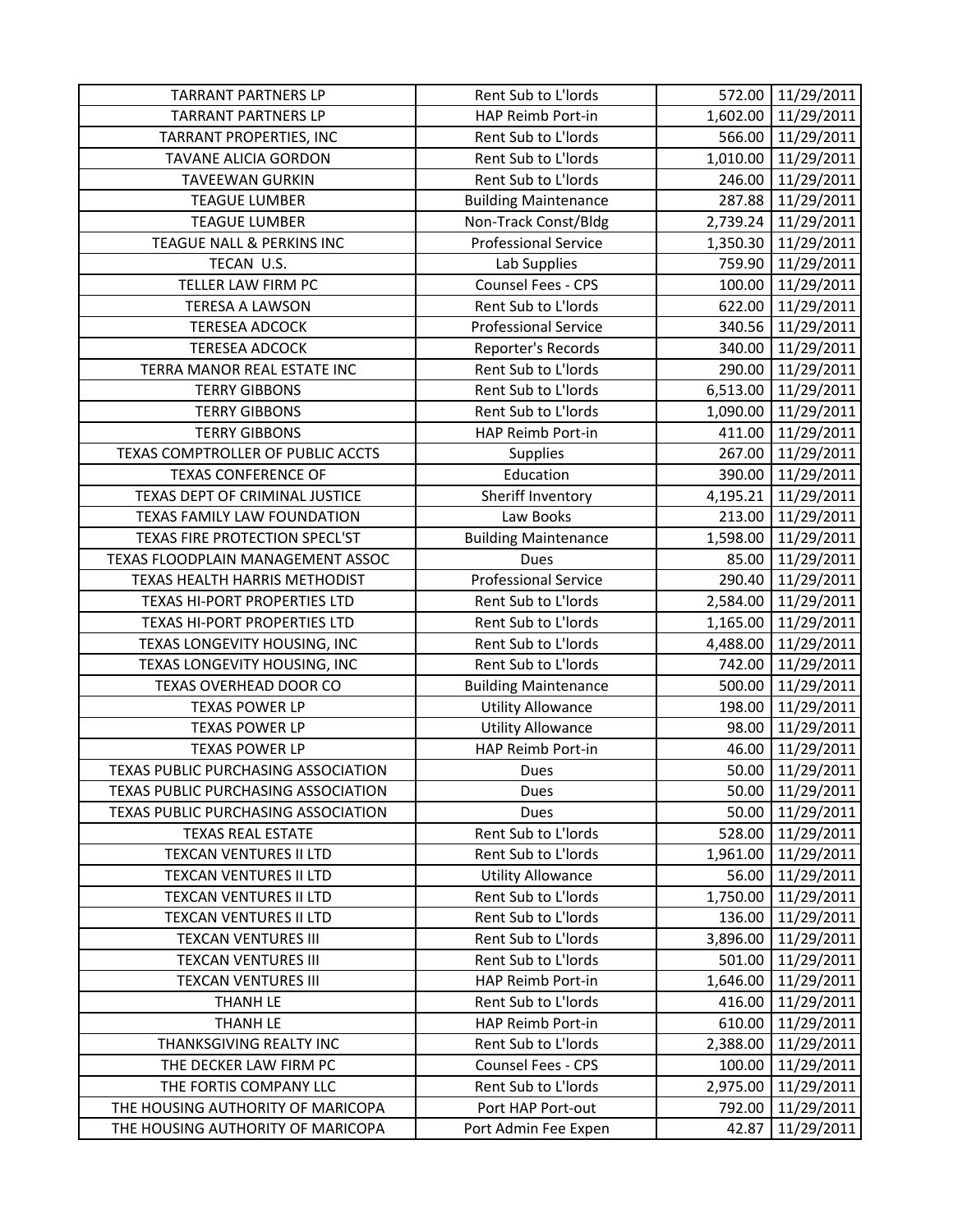| <b>TARRANT PARTNERS LP</b>          | Rent Sub to L'Iords         | 572.00   | 11/29/2011          |
|-------------------------------------|-----------------------------|----------|---------------------|
| <b>TARRANT PARTNERS LP</b>          | HAP Reimb Port-in           | 1,602.00 | 11/29/2011          |
| TARRANT PROPERTIES, INC             | Rent Sub to L'Iords         |          | 566.00 11/29/2011   |
| <b>TAVANE ALICIA GORDON</b>         | Rent Sub to L'Iords         | 1,010.00 | 11/29/2011          |
| <b>TAVEEWAN GURKIN</b>              | Rent Sub to L'Iords         | 246.00   | 11/29/2011          |
| <b>TEAGUE LUMBER</b>                | <b>Building Maintenance</b> | 287.88   | 11/29/2011          |
| <b>TEAGUE LUMBER</b>                | Non-Track Const/Bldg        | 2,739.24 | 11/29/2011          |
| TEAGUE NALL & PERKINS INC           | <b>Professional Service</b> | 1,350.30 | 11/29/2011          |
| TECAN U.S.                          | Lab Supplies                | 759.90   | 11/29/2011          |
| TELLER LAW FIRM PC                  | Counsel Fees - CPS          | 100.00   | 11/29/2011          |
| <b>TERESA A LAWSON</b>              | Rent Sub to L'Iords         | 622.00   | 11/29/2011          |
| <b>TERESEA ADCOCK</b>               | <b>Professional Service</b> | 340.56   | 11/29/2011          |
| <b>TERESEA ADCOCK</b>               | Reporter's Records          | 340.00   | 11/29/2011          |
| TERRA MANOR REAL ESTATE INC         | Rent Sub to L'Iords         | 290.00   | 11/29/2011          |
| <b>TERRY GIBBONS</b>                | Rent Sub to L'Iords         |          | 6,513.00 11/29/2011 |
| <b>TERRY GIBBONS</b>                | Rent Sub to L'Iords         | 1,090.00 | 11/29/2011          |
| <b>TERRY GIBBONS</b>                | HAP Reimb Port-in           | 411.00   | 11/29/2011          |
| TEXAS COMPTROLLER OF PUBLIC ACCTS   | Supplies                    | 267.00   | 11/29/2011          |
| <b>TEXAS CONFERENCE OF</b>          | Education                   | 390.00   | 11/29/2011          |
| TEXAS DEPT OF CRIMINAL JUSTICE      | Sheriff Inventory           | 4,195.21 | 11/29/2011          |
| TEXAS FAMILY LAW FOUNDATION         | Law Books                   | 213.00   | 11/29/2011          |
| TEXAS FIRE PROTECTION SPECL'ST      | <b>Building Maintenance</b> | 1,598.00 | 11/29/2011          |
| TEXAS FLOODPLAIN MANAGEMENT ASSOC   | Dues                        | 85.00    | 11/29/2011          |
| TEXAS HEALTH HARRIS METHODIST       | <b>Professional Service</b> | 290.40   | 11/29/2011          |
| TEXAS HI-PORT PROPERTIES LTD        | Rent Sub to L'Iords         | 2,584.00 | 11/29/2011          |
| TEXAS HI-PORT PROPERTIES LTD        | Rent Sub to L'Iords         | 1,165.00 | 11/29/2011          |
| TEXAS LONGEVITY HOUSING, INC        | Rent Sub to L'Iords         | 4,488.00 | 11/29/2011          |
| TEXAS LONGEVITY HOUSING, INC        | Rent Sub to L'Iords         | 742.00   | 11/29/2011          |
| TEXAS OVERHEAD DOOR CO              | <b>Building Maintenance</b> | 500.00   | 11/29/2011          |
| <b>TEXAS POWER LP</b>               | <b>Utility Allowance</b>    | 198.00   | 11/29/2011          |
| <b>TEXAS POWER LP</b>               | <b>Utility Allowance</b>    | 98.00    | 11/29/2011          |
| <b>TEXAS POWER LP</b>               | HAP Reimb Port-in           | 46.00    | 11/29/2011          |
| TEXAS PUBLIC PURCHASING ASSOCIATION | Dues                        | 50.00    | 11/29/2011          |
| TEXAS PUBLIC PURCHASING ASSOCIATION | Dues                        | 50.00    | 11/29/2011          |
| TEXAS PUBLIC PURCHASING ASSOCIATION | Dues                        | 50.00    | 11/29/2011          |
| <b>TEXAS REAL ESTATE</b>            | Rent Sub to L'Iords         | 528.00   | 11/29/2011          |
| TEXCAN VENTURES II LTD              | Rent Sub to L'Iords         | 1,961.00 | 11/29/2011          |
| TEXCAN VENTURES II LTD              | <b>Utility Allowance</b>    | 56.00    | 11/29/2011          |
| TEXCAN VENTURES II LTD              | Rent Sub to L'Iords         | 1,750.00 | 11/29/2011          |
| TEXCAN VENTURES II LTD              | Rent Sub to L'Iords         | 136.00   | 11/29/2011          |
| <b>TEXCAN VENTURES III</b>          | Rent Sub to L'Iords         | 3,896.00 | 11/29/2011          |
| <b>TEXCAN VENTURES III</b>          | Rent Sub to L'Iords         | 501.00   | 11/29/2011          |
| <b>TEXCAN VENTURES III</b>          | HAP Reimb Port-in           | 1,646.00 | 11/29/2011          |
| <b>THANH LE</b>                     | Rent Sub to L'Iords         | 416.00   | 11/29/2011          |
| <b>THANH LE</b>                     | HAP Reimb Port-in           | 610.00   | 11/29/2011          |
| THANKSGIVING REALTY INC             | Rent Sub to L'Iords         | 2,388.00 | 11/29/2011          |
| THE DECKER LAW FIRM PC              | Counsel Fees - CPS          | 100.00   | 11/29/2011          |
| THE FORTIS COMPANY LLC              | Rent Sub to L'Iords         | 2,975.00 | 11/29/2011          |
| THE HOUSING AUTHORITY OF MARICOPA   | Port HAP Port-out           | 792.00   | 11/29/2011          |
| THE HOUSING AUTHORITY OF MARICOPA   | Port Admin Fee Expen        | 42.87    | 11/29/2011          |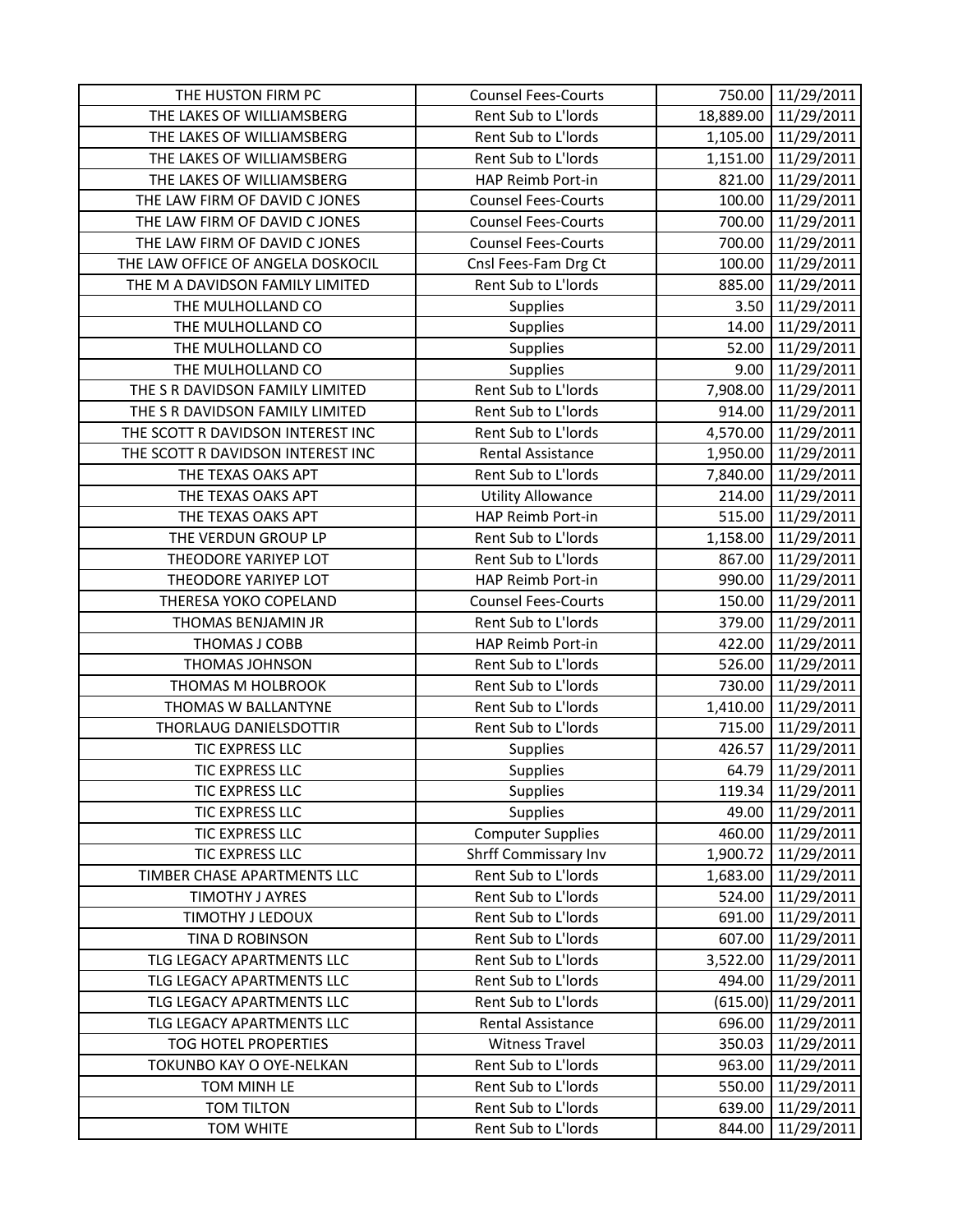| THE HUSTON FIRM PC                | <b>Counsel Fees-Courts</b>  | 750.00    | 11/29/2011            |
|-----------------------------------|-----------------------------|-----------|-----------------------|
| THE LAKES OF WILLIAMSBERG         | Rent Sub to L'Iords         | 18,889.00 | 11/29/2011            |
| THE LAKES OF WILLIAMSBERG         | Rent Sub to L'Iords         |           | 1,105.00 11/29/2011   |
| THE LAKES OF WILLIAMSBERG         | Rent Sub to L'Iords         | 1,151.00  | 11/29/2011            |
| THE LAKES OF WILLIAMSBERG         | HAP Reimb Port-in           | 821.00    | 11/29/2011            |
| THE LAW FIRM OF DAVID C JONES     | <b>Counsel Fees-Courts</b>  | 100.00    | 11/29/2011            |
| THE LAW FIRM OF DAVID C JONES     | <b>Counsel Fees-Courts</b>  | 700.00    | 11/29/2011            |
| THE LAW FIRM OF DAVID C JONES     | <b>Counsel Fees-Courts</b>  | 700.00    | 11/29/2011            |
| THE LAW OFFICE OF ANGELA DOSKOCIL | Cnsl Fees-Fam Drg Ct        | 100.00    | 11/29/2011            |
| THE M A DAVIDSON FAMILY LIMITED   | Rent Sub to L'Iords         | 885.00    | 11/29/2011            |
| THE MULHOLLAND CO                 | Supplies                    | 3.50      | 11/29/2011            |
| THE MULHOLLAND CO                 | <b>Supplies</b>             | 14.00     | 11/29/2011            |
| THE MULHOLLAND CO                 | Supplies                    | 52.00     | 11/29/2011            |
| THE MULHOLLAND CO                 | Supplies                    | 9.00      | 11/29/2011            |
| THE S R DAVIDSON FAMILY LIMITED   | Rent Sub to L'Iords         | 7,908.00  | 11/29/2011            |
| THE S R DAVIDSON FAMILY LIMITED   | Rent Sub to L'Iords         | 914.00    | 11/29/2011            |
| THE SCOTT R DAVIDSON INTEREST INC | Rent Sub to L'Iords         |           | 4,570.00 11/29/2011   |
| THE SCOTT R DAVIDSON INTEREST INC | Rental Assistance           |           | 1,950.00 11/29/2011   |
| THE TEXAS OAKS APT                | Rent Sub to L'Iords         | 7,840.00  | 11/29/2011            |
| THE TEXAS OAKS APT                | <b>Utility Allowance</b>    | 214.00    | 11/29/2011            |
| THE TEXAS OAKS APT                | HAP Reimb Port-in           | 515.00    | 11/29/2011            |
| THE VERDUN GROUP LP               | Rent Sub to L'Iords         |           | 1,158.00 11/29/2011   |
| THEODORE YARIYEP LOT              | Rent Sub to L'Iords         | 867.00    | 11/29/2011            |
| THEODORE YARIYEP LOT              | HAP Reimb Port-in           | 990.00    | 11/29/2011            |
| THERESA YOKO COPELAND             | <b>Counsel Fees-Courts</b>  | 150.00    | 11/29/2011            |
| THOMAS BENJAMIN JR                | Rent Sub to L'Iords         | 379.00    | 11/29/2011            |
| THOMAS J COBB                     | HAP Reimb Port-in           | 422.00    | 11/29/2011            |
| THOMAS JOHNSON                    | Rent Sub to L'Iords         | 526.00    | 11/29/2011            |
| THOMAS M HOLBROOK                 | Rent Sub to L'Iords         | 730.00    | 11/29/2011            |
| THOMAS W BALLANTYNE               | Rent Sub to L'Iords         | 1,410.00  | 11/29/2011            |
| THORLAUG DANIELSDOTTIR            | Rent Sub to L'Iords         | 715.00    | 11/29/2011            |
| TIC EXPRESS LLC                   | <b>Supplies</b>             | 426.57    | 11/29/2011            |
| <b>TIC EXPRESS LLC</b>            | Supplies                    | 64.79     | 11/29/2011            |
| TIC EXPRESS LLC                   | <b>Supplies</b>             | 119.34    | 11/29/2011            |
| TIC EXPRESS LLC                   | <b>Supplies</b>             | 49.00     | 11/29/2011            |
| TIC EXPRESS LLC                   | <b>Computer Supplies</b>    | 460.00    | 11/29/2011            |
| TIC EXPRESS LLC                   | <b>Shrff Commissary Inv</b> | 1,900.72  | 11/29/2011            |
| TIMBER CHASE APARTMENTS LLC       | Rent Sub to L'Iords         | 1,683.00  | 11/29/2011            |
| <b>TIMOTHY J AYRES</b>            | Rent Sub to L'Iords         | 524.00    | 11/29/2011            |
| TIMOTHY J LEDOUX                  | Rent Sub to L'Iords         | 691.00    | 11/29/2011            |
| TINA D ROBINSON                   | Rent Sub to L'Iords         | 607.00    | 11/29/2011            |
| TLG LEGACY APARTMENTS LLC         | Rent Sub to L'Iords         | 3,522.00  | 11/29/2011            |
| TLG LEGACY APARTMENTS LLC         | Rent Sub to L'Iords         | 494.00    | 11/29/2011            |
| TLG LEGACY APARTMENTS LLC         | Rent Sub to L'Iords         |           | $(615.00)$ 11/29/2011 |
| TLG LEGACY APARTMENTS LLC         | Rental Assistance           | 696.00    | 11/29/2011            |
| TOG HOTEL PROPERTIES              | <b>Witness Travel</b>       | 350.03    | 11/29/2011            |
| TOKUNBO KAY O OYE-NELKAN          | Rent Sub to L'Iords         | 963.00    | 11/29/2011            |
| TOM MINH LE                       | Rent Sub to L'Iords         | 550.00    | 11/29/2011            |
| <b>TOM TILTON</b>                 | Rent Sub to L'Iords         | 639.00    | 11/29/2011            |
| <b>TOM WHITE</b>                  | Rent Sub to L'Iords         | 844.00    | 11/29/2011            |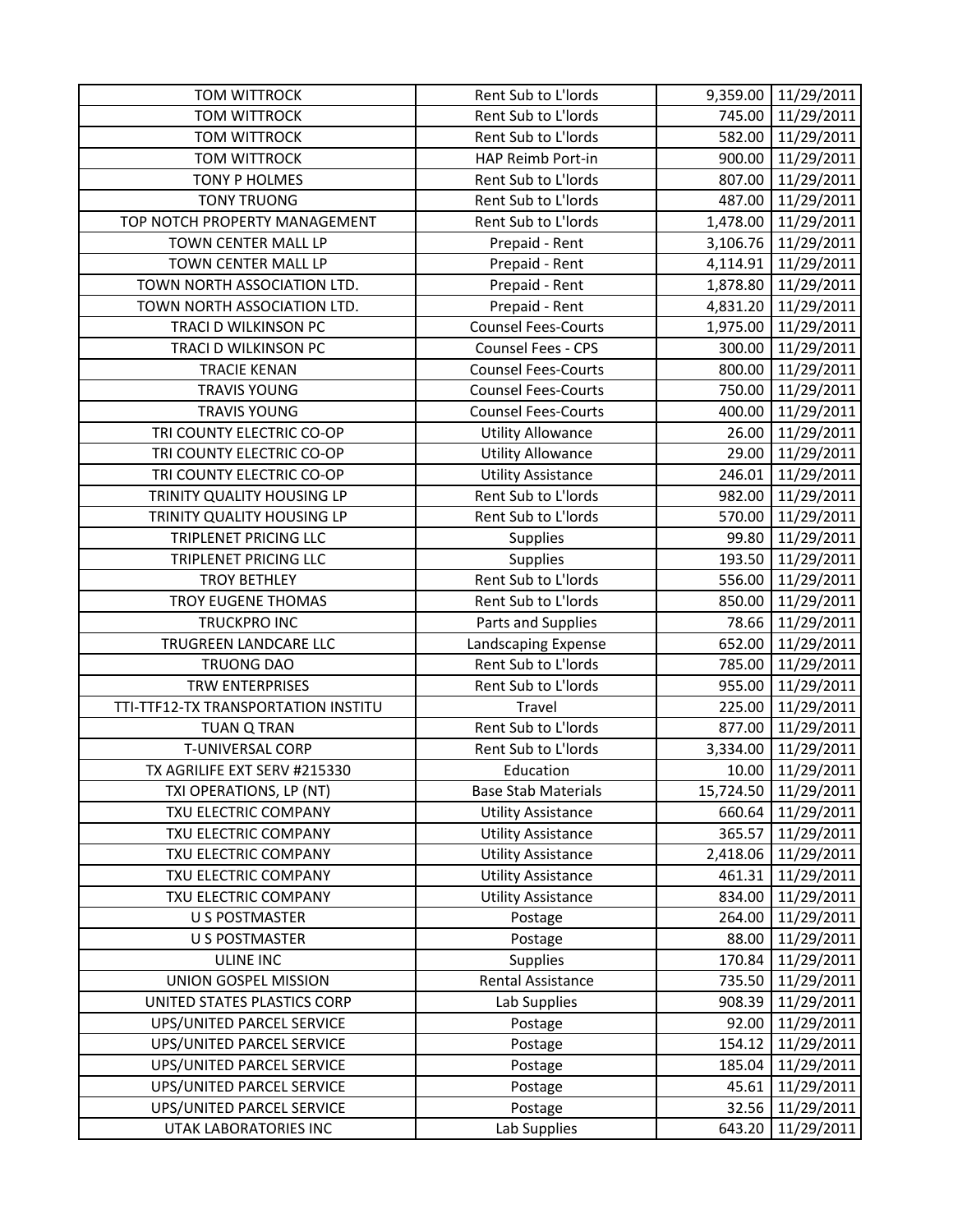| <b>TOM WITTROCK</b>                 | Rent Sub to L'Iords        |          | 9,359.00 11/29/2011  |
|-------------------------------------|----------------------------|----------|----------------------|
| <b>TOM WITTROCK</b>                 | Rent Sub to L'Iords        |          | 745.00 11/29/2011    |
| <b>TOM WITTROCK</b>                 | Rent Sub to L'Iords        |          | 582.00 11/29/2011    |
| <b>TOM WITTROCK</b>                 | HAP Reimb Port-in          | 900.00   | 11/29/2011           |
| <b>TONY P HOLMES</b>                | Rent Sub to L'Iords        | 807.00   | 11/29/2011           |
| <b>TONY TRUONG</b>                  | Rent Sub to L'Iords        | 487.00   | 11/29/2011           |
| TOP NOTCH PROPERTY MANAGEMENT       | Rent Sub to L'Iords        | 1,478.00 | 11/29/2011           |
| TOWN CENTER MALL LP                 | Prepaid - Rent             |          | 3,106.76 11/29/2011  |
| TOWN CENTER MALL LP                 | Prepaid - Rent             | 4,114.91 | 11/29/2011           |
| TOWN NORTH ASSOCIATION LTD.         | Prepaid - Rent             |          | 1,878.80 11/29/2011  |
| TOWN NORTH ASSOCIATION LTD.         | Prepaid - Rent             | 4,831.20 | 11/29/2011           |
| TRACI D WILKINSON PC                | <b>Counsel Fees-Courts</b> | 1,975.00 | 11/29/2011           |
| TRACI D WILKINSON PC                | Counsel Fees - CPS         | 300.00   | 11/29/2011           |
| <b>TRACIE KENAN</b>                 | <b>Counsel Fees-Courts</b> | 800.00   | 11/29/2011           |
| <b>TRAVIS YOUNG</b>                 | <b>Counsel Fees-Courts</b> | 750.00   | 11/29/2011           |
| <b>TRAVIS YOUNG</b>                 | <b>Counsel Fees-Courts</b> | 400.00   | 11/29/2011           |
| TRI COUNTY ELECTRIC CO-OP           | <b>Utility Allowance</b>   | 26.00    | 11/29/2011           |
| TRI COUNTY ELECTRIC CO-OP           | <b>Utility Allowance</b>   | 29.00    | 11/29/2011           |
| TRI COUNTY ELECTRIC CO-OP           | <b>Utility Assistance</b>  | 246.01   | 11/29/2011           |
| TRINITY QUALITY HOUSING LP          | Rent Sub to L'Iords        | 982.00   | 11/29/2011           |
| TRINITY QUALITY HOUSING LP          | Rent Sub to L'Iords        | 570.00   | 11/29/2011           |
| TRIPLENET PRICING LLC               | Supplies                   | 99.80    | 11/29/2011           |
| TRIPLENET PRICING LLC               | Supplies                   | 193.50   | 11/29/2011           |
| <b>TROY BETHLEY</b>                 | Rent Sub to L'Iords        | 556.00   | 11/29/2011           |
| TROY EUGENE THOMAS                  | Rent Sub to L'Iords        | 850.00   | 11/29/2011           |
| TRUCKPRO INC                        | Parts and Supplies         | 78.66    | 11/29/2011           |
| TRUGREEN LANDCARE LLC               | Landscaping Expense        | 652.00   | 11/29/2011           |
| <b>TRUONG DAO</b>                   | Rent Sub to L'Iords        | 785.00   | 11/29/2011           |
| <b>TRW ENTERPRISES</b>              | Rent Sub to L'Iords        | 955.00   | 11/29/2011           |
| TTI-TTF12-TX TRANSPORTATION INSTITU | Travel                     | 225.00   | 11/29/2011           |
| <b>TUAN Q TRAN</b>                  | Rent Sub to L'Iords        | 877.00   | 11/29/2011           |
| T-UNIVERSAL CORP                    | Rent Sub to L'Iords        | 3,334.00 | 11/29/2011           |
| TX AGRILIFE EXT SERV #215330        | Education                  | 10.00    | 11/29/2011           |
| TXI OPERATIONS, LP (NT)             | <b>Base Stab Materials</b> |          | 15,724.50 11/29/2011 |
| TXU ELECTRIC COMPANY                | <b>Utility Assistance</b>  | 660.64   | 11/29/2011           |
| TXU ELECTRIC COMPANY                | <b>Utility Assistance</b>  | 365.57   | 11/29/2011           |
| TXU ELECTRIC COMPANY                | <b>Utility Assistance</b>  | 2,418.06 | 11/29/2011           |
| TXU ELECTRIC COMPANY                | <b>Utility Assistance</b>  | 461.31   | 11/29/2011           |
| TXU ELECTRIC COMPANY                | <b>Utility Assistance</b>  | 834.00   | 11/29/2011           |
| U S POSTMASTER                      | Postage                    | 264.00   | 11/29/2011           |
| <b>U S POSTMASTER</b>               | Postage                    | 88.00    | 11/29/2011           |
| <b>ULINE INC</b>                    | <b>Supplies</b>            | 170.84   | 11/29/2011           |
| UNION GOSPEL MISSION                | Rental Assistance          | 735.50   | 11/29/2011           |
| UNITED STATES PLASTICS CORP         | Lab Supplies               | 908.39   | 11/29/2011           |
| UPS/UNITED PARCEL SERVICE           | Postage                    | 92.00    | 11/29/2011           |
| UPS/UNITED PARCEL SERVICE           | Postage                    | 154.12   | 11/29/2011           |
| UPS/UNITED PARCEL SERVICE           | Postage                    | 185.04   | 11/29/2011           |
| UPS/UNITED PARCEL SERVICE           | Postage                    | 45.61    | 11/29/2011           |
| UPS/UNITED PARCEL SERVICE           | Postage                    | 32.56    | 11/29/2011           |
| UTAK LABORATORIES INC               | Lab Supplies               | 643.20   | 11/29/2011           |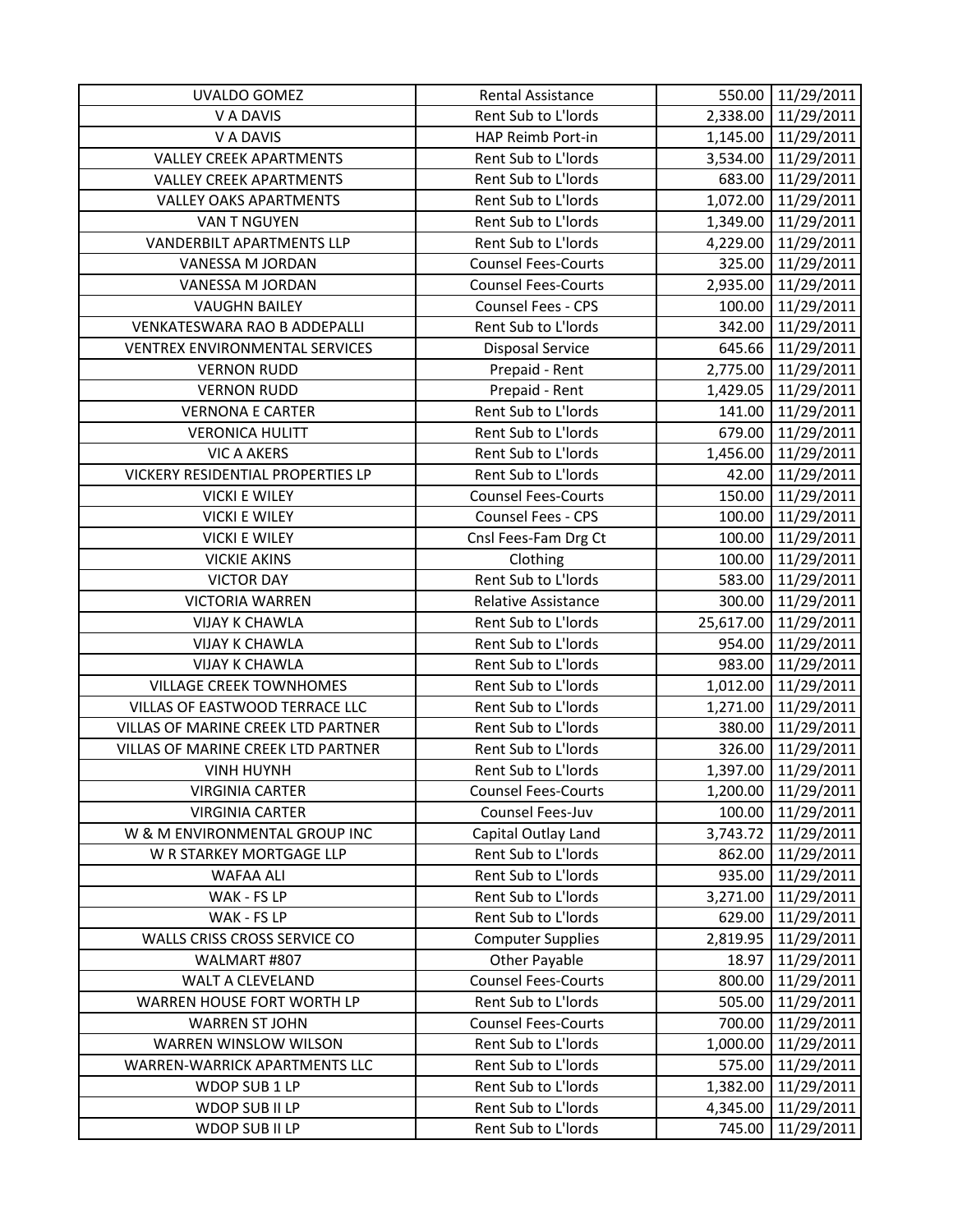| UVALDO GOMEZ                       | Rental Assistance          |          | 550.00 11/29/2011    |
|------------------------------------|----------------------------|----------|----------------------|
| V A DAVIS                          | Rent Sub to L'Iords        |          | 2,338.00 11/29/2011  |
| V A DAVIS                          | HAP Reimb Port-in          |          | 1,145.00 11/29/2011  |
| <b>VALLEY CREEK APARTMENTS</b>     | Rent Sub to L'Iords        | 3,534.00 | 11/29/2011           |
| <b>VALLEY CREEK APARTMENTS</b>     | Rent Sub to L'Iords        | 683.00   | 11/29/2011           |
| <b>VALLEY OAKS APARTMENTS</b>      | Rent Sub to L'Iords        | 1,072.00 | 11/29/2011           |
| VAN T NGUYEN                       | Rent Sub to L'Iords        | 1,349.00 | 11/29/2011           |
| <b>VANDERBILT APARTMENTS LLP</b>   | Rent Sub to L'Iords        | 4,229.00 | 11/29/2011           |
| VANESSA M JORDAN                   | <b>Counsel Fees-Courts</b> | 325.00   | 11/29/2011           |
| VANESSA M JORDAN                   | <b>Counsel Fees-Courts</b> |          | 2,935.00 11/29/2011  |
| <b>VAUGHN BAILEY</b>               | Counsel Fees - CPS         | 100.00   | 11/29/2011           |
| VENKATESWARA RAO B ADDEPALLI       | Rent Sub to L'Iords        | 342.00   | 11/29/2011           |
| VENTREX ENVIRONMENTAL SERVICES     | <b>Disposal Service</b>    |          | 645.66 11/29/2011    |
| <b>VERNON RUDD</b>                 | Prepaid - Rent             |          | 2,775.00 11/29/2011  |
| <b>VERNON RUDD</b>                 | Prepaid - Rent             | 1,429.05 | 11/29/2011           |
| <b>VERNONA E CARTER</b>            | Rent Sub to L'Iords        | 141.00   | 11/29/2011           |
| <b>VERONICA HULITT</b>             | Rent Sub to L'Iords        | 679.00   | 11/29/2011           |
| <b>VIC A AKERS</b>                 | Rent Sub to L'Iords        | 1,456.00 | 11/29/2011           |
| VICKERY RESIDENTIAL PROPERTIES LP  | Rent Sub to L'Iords        | 42.00    | 11/29/2011           |
| <b>VICKI E WILEY</b>               | <b>Counsel Fees-Courts</b> | 150.00   | 11/29/2011           |
| <b>VICKI E WILEY</b>               | <b>Counsel Fees - CPS</b>  | 100.00   | 11/29/2011           |
| <b>VICKI E WILEY</b>               | Cnsl Fees-Fam Drg Ct       | 100.00   | 11/29/2011           |
| <b>VICKIE AKINS</b>                | Clothing                   | 100.00   | 11/29/2011           |
| <b>VICTOR DAY</b>                  | Rent Sub to L'Iords        | 583.00   | 11/29/2011           |
| <b>VICTORIA WARREN</b>             | Relative Assistance        | 300.00   | 11/29/2011           |
| <b>VIJAY K CHAWLA</b>              | Rent Sub to L'Iords        |          | 25,617.00 11/29/2011 |
| <b>VIJAY K CHAWLA</b>              | Rent Sub to L'Iords        | 954.00   | 11/29/2011           |
| <b>VIJAY K CHAWLA</b>              | Rent Sub to L'Iords        | 983.00   | 11/29/2011           |
| <b>VILLAGE CREEK TOWNHOMES</b>     | Rent Sub to L'Iords        | 1,012.00 | 11/29/2011           |
| VILLAS OF EASTWOOD TERRACE LLC     | Rent Sub to L'Iords        | 1,271.00 | 11/29/2011           |
| VILLAS OF MARINE CREEK LTD PARTNER | Rent Sub to L'Iords        | 380.00   | 11/29/2011           |
| VILLAS OF MARINE CREEK LTD PARTNER | Rent Sub to L'Iords        | 326.00   | 11/29/2011           |
| <b>VINH HUYNH</b>                  | Rent Sub to L'Iords        | 1,397.00 | 11/29/2011           |
| <b>VIRGINIA CARTER</b>             | <b>Counsel Fees-Courts</b> | 1,200.00 | 11/29/2011           |
| <b>VIRGINIA CARTER</b>             | Counsel Fees-Juv           | 100.00   | 11/29/2011           |
| W & M ENVIRONMENTAL GROUP INC      | Capital Outlay Land        | 3,743.72 | 11/29/2011           |
| W R STARKEY MORTGAGE LLP           | Rent Sub to L'Iords        | 862.00   | 11/29/2011           |
| <b>WAFAA ALI</b>                   | Rent Sub to L'Iords        | 935.00   | 11/29/2011           |
| WAK - FS LP                        | Rent Sub to L'Iords        | 3,271.00 | 11/29/2011           |
| WAK - FS LP                        | Rent Sub to L'Iords        | 629.00   | 11/29/2011           |
| WALLS CRISS CROSS SERVICE CO       | <b>Computer Supplies</b>   | 2,819.95 | 11/29/2011           |
| WALMART #807                       | <b>Other Payable</b>       | 18.97    | 11/29/2011           |
| WALT A CLEVELAND                   | <b>Counsel Fees-Courts</b> | 800.00   | 11/29/2011           |
| WARREN HOUSE FORT WORTH LP         | Rent Sub to L'Iords        | 505.00   | 11/29/2011           |
| <b>WARREN ST JOHN</b>              | <b>Counsel Fees-Courts</b> | 700.00   | 11/29/2011           |
| WARREN WINSLOW WILSON              | Rent Sub to L'Iords        | 1,000.00 | 11/29/2011           |
| WARREN-WARRICK APARTMENTS LLC      | Rent Sub to L'Iords        | 575.00   | 11/29/2011           |
| WDOP SUB 1 LP                      | Rent Sub to L'Iords        | 1,382.00 | 11/29/2011           |
| WDOP SUB II LP                     | Rent Sub to L'Iords        | 4,345.00 | 11/29/2011           |
| WDOP SUB II LP                     | Rent Sub to L'Iords        | 745.00   | 11/29/2011           |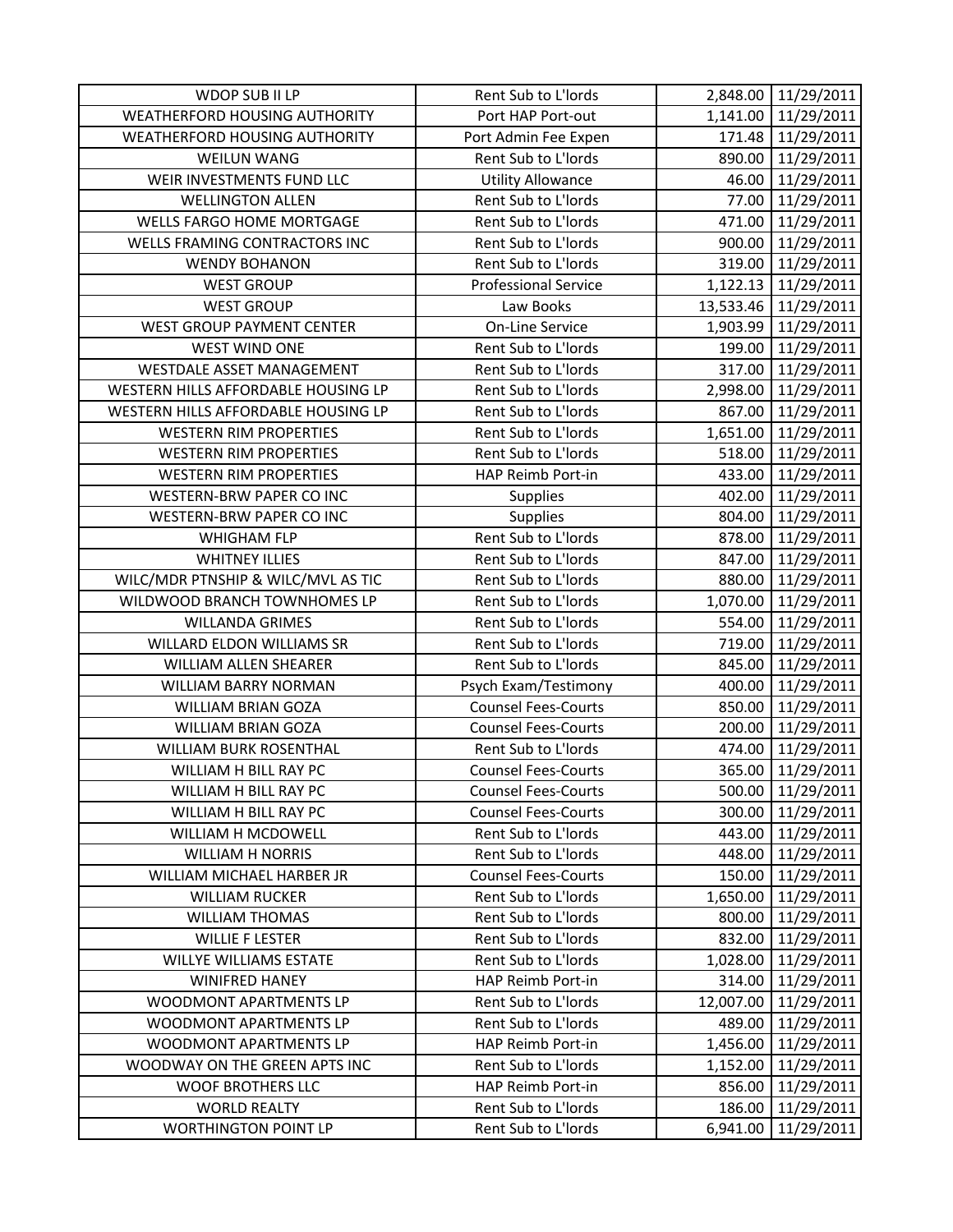| WDOP SUB II LP                       | Rent Sub to L'Iords         |           | 2,848.00 11/29/2011 |
|--------------------------------------|-----------------------------|-----------|---------------------|
| <b>WEATHERFORD HOUSING AUTHORITY</b> | Port HAP Port-out           |           | 1,141.00 11/29/2011 |
| <b>WEATHERFORD HOUSING AUTHORITY</b> | Port Admin Fee Expen        |           | 171.48 11/29/2011   |
| <b>WEILUN WANG</b>                   | Rent Sub to L'Iords         | 890.00    | 11/29/2011          |
| WEIR INVESTMENTS FUND LLC            | <b>Utility Allowance</b>    | 46.00     | 11/29/2011          |
| <b>WELLINGTON ALLEN</b>              | Rent Sub to L'Iords         | 77.00     | 11/29/2011          |
| <b>WELLS FARGO HOME MORTGAGE</b>     | Rent Sub to L'Iords         | 471.00    | 11/29/2011          |
| WELLS FRAMING CONTRACTORS INC        | Rent Sub to L'Iords         | 900.00    | 11/29/2011          |
| <b>WENDY BOHANON</b>                 | Rent Sub to L'Iords         | 319.00    | 11/29/2011          |
| <b>WEST GROUP</b>                    | <b>Professional Service</b> |           | 1,122.13 11/29/2011 |
| <b>WEST GROUP</b>                    | Law Books                   | 13,533.46 | 11/29/2011          |
| <b>WEST GROUP PAYMENT CENTER</b>     | <b>On-Line Service</b>      | 1,903.99  | 11/29/2011          |
| WEST WIND ONE                        | Rent Sub to L'Iords         | 199.00    | 11/29/2011          |
| WESTDALE ASSET MANAGEMENT            | Rent Sub to L'Iords         | 317.00    | 11/29/2011          |
| WESTERN HILLS AFFORDABLE HOUSING LP  | Rent Sub to L'Iords         |           | 2,998.00 11/29/2011 |
| WESTERN HILLS AFFORDABLE HOUSING LP  | Rent Sub to L'Iords         | 867.00    | 11/29/2011          |
| <b>WESTERN RIM PROPERTIES</b>        | Rent Sub to L'Iords         |           | 1,651.00 11/29/2011 |
| <b>WESTERN RIM PROPERTIES</b>        | Rent Sub to L'Iords         |           | 518.00 11/29/2011   |
| <b>WESTERN RIM PROPERTIES</b>        | HAP Reimb Port-in           | 433.00    | 11/29/2011          |
| WESTERN-BRW PAPER CO INC             | Supplies                    | 402.00    | 11/29/2011          |
| WESTERN-BRW PAPER CO INC             | Supplies                    | 804.00    | 11/29/2011          |
| <b>WHIGHAM FLP</b>                   | Rent Sub to L'Iords         |           | 878.00 11/29/2011   |
| <b>WHITNEY ILLIES</b>                | Rent Sub to L'Iords         | 847.00    | 11/29/2011          |
| WILC/MDR PTNSHIP & WILC/MVL AS TIC   | Rent Sub to L'Iords         | 880.00    | 11/29/2011          |
| WILDWOOD BRANCH TOWNHOMES LP         | Rent Sub to L'Iords         | 1,070.00  | 11/29/2011          |
| <b>WILLANDA GRIMES</b>               | Rent Sub to L'Iords         | 554.00    | 11/29/2011          |
| WILLARD ELDON WILLIAMS SR            | Rent Sub to L'Iords         | 719.00    | 11/29/2011          |
| WILLIAM ALLEN SHEARER                | Rent Sub to L'Iords         | 845.00    | 11/29/2011          |
| WILLIAM BARRY NORMAN                 | Psych Exam/Testimony        | 400.00    | 11/29/2011          |
| <b>WILLIAM BRIAN GOZA</b>            | <b>Counsel Fees-Courts</b>  | 850.00    | 11/29/2011          |
| WILLIAM BRIAN GOZA                   | <b>Counsel Fees-Courts</b>  | 200.00    | 11/29/2011          |
| <b>WILLIAM BURK ROSENTHAL</b>        | Rent Sub to L'Iords         | 474.00    | 11/29/2011          |
| WILLIAM H BILL RAY PC                | <b>Counsel Fees-Courts</b>  | 365.00    | 11/29/2011          |
| WILLIAM H BILL RAY PC                | <b>Counsel Fees-Courts</b>  | 500.00    | 11/29/2011          |
| WILLIAM H BILL RAY PC                | <b>Counsel Fees-Courts</b>  | 300.00    | 11/29/2011          |
| WILLIAM H MCDOWELL                   | Rent Sub to L'Iords         | 443.00    | 11/29/2011          |
| <b>WILLIAM H NORRIS</b>              | Rent Sub to L'Iords         | 448.00    | 11/29/2011          |
| WILLIAM MICHAEL HARBER JR            | <b>Counsel Fees-Courts</b>  | 150.00    | 11/29/2011          |
| <b>WILLIAM RUCKER</b>                | Rent Sub to L'Iords         | 1,650.00  | 11/29/2011          |
| <b>WILLIAM THOMAS</b>                | Rent Sub to L'Iords         | 800.00    | 11/29/2011          |
| <b>WILLIE F LESTER</b>               | Rent Sub to L'Iords         | 832.00    | 11/29/2011          |
| <b>WILLYE WILLIAMS ESTATE</b>        | Rent Sub to L'Iords         | 1,028.00  | 11/29/2011          |
| <b>WINIFRED HANEY</b>                | HAP Reimb Port-in           | 314.00    | 11/29/2011          |
| WOODMONT APARTMENTS LP               | Rent Sub to L'Iords         | 12,007.00 | 11/29/2011          |
| WOODMONT APARTMENTS LP               | Rent Sub to L'Iords         | 489.00    | 11/29/2011          |
| WOODMONT APARTMENTS LP               | HAP Reimb Port-in           | 1,456.00  | 11/29/2011          |
| WOODWAY ON THE GREEN APTS INC        | Rent Sub to L'Iords         | 1,152.00  | 11/29/2011          |
| WOOF BROTHERS LLC                    | HAP Reimb Port-in           | 856.00    | 11/29/2011          |
| <b>WORLD REALTY</b>                  | Rent Sub to L'Iords         | 186.00    | 11/29/2011          |
| <b>WORTHINGTON POINT LP</b>          | Rent Sub to L'Iords         | 6,941.00  | 11/29/2011          |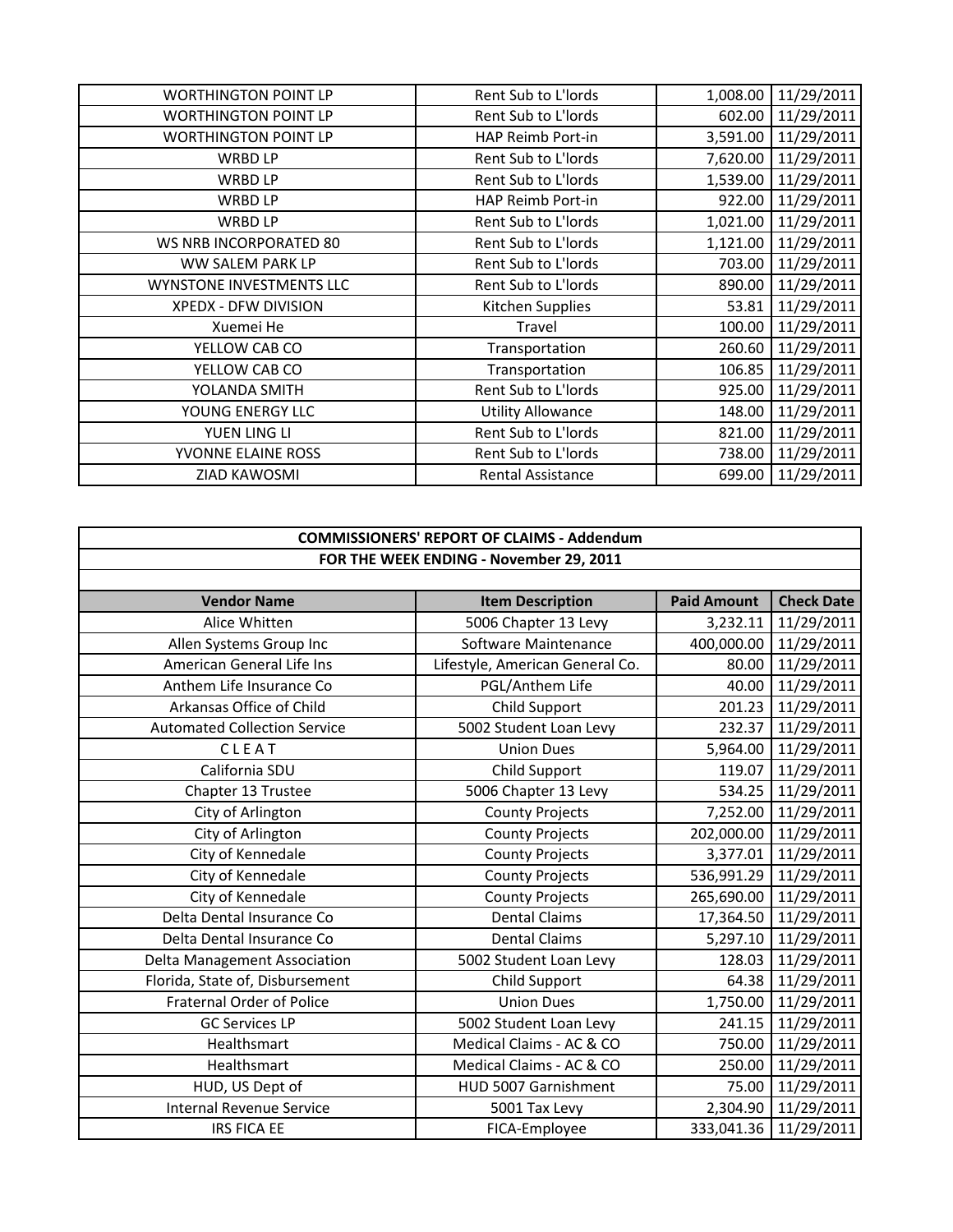|                          |                     | 11/29/2011         |
|--------------------------|---------------------|--------------------|
| Rent Sub to L'Iords      |                     | 11/29/2011         |
| HAP Reimb Port-in        | 3,591.00            | 11/29/2011         |
| Rent Sub to L'Iords      | 7,620.00            | 11/29/2011         |
| Rent Sub to L'Iords      | 1,539.00            | 11/29/2011         |
| HAP Reimb Port-in        | 922.00              | 11/29/2011         |
| Rent Sub to L'Iords      | 1,021.00            | 11/29/2011         |
| Rent Sub to L'Iords      | 1,121.00            | 11/29/2011         |
| Rent Sub to L'Iords      | 703.00              | 11/29/2011         |
| Rent Sub to L'Iords      | 890.00              | 11/29/2011         |
| Kitchen Supplies         | 53.81               | 11/29/2011         |
| Travel                   | 100.00              | 11/29/2011         |
| Transportation           | 260.60              | 11/29/2011         |
| Transportation           | 106.85              | 11/29/2011         |
| Rent Sub to L'Iords      | 925.00              | 11/29/2011         |
| <b>Utility Allowance</b> | 148.00              | 11/29/2011         |
| Rent Sub to L'Iords      | 821.00              | 11/29/2011         |
| Rent Sub to L'Iords      | 738.00              | 11/29/2011         |
| Rental Assistance        | 699.00              | 11/29/2011         |
|                          | Rent Sub to L'Iords | 1,008.00<br>602.00 |

| <b>COMMISSIONERS' REPORT OF CLAIMS - Addendum</b> |                                 |                    |                   |
|---------------------------------------------------|---------------------------------|--------------------|-------------------|
| FOR THE WEEK ENDING - November 29, 2011           |                                 |                    |                   |
|                                                   |                                 |                    |                   |
| <b>Vendor Name</b>                                | <b>Item Description</b>         | <b>Paid Amount</b> | <b>Check Date</b> |
| Alice Whitten                                     | 5006 Chapter 13 Levy            | 3,232.11           | 11/29/2011        |
| Allen Systems Group Inc                           | Software Maintenance            | 400,000.00         | 11/29/2011        |
| American General Life Ins                         | Lifestyle, American General Co. | 80.00              | 11/29/2011        |
| Anthem Life Insurance Co                          | PGL/Anthem Life                 | 40.00              | 11/29/2011        |
| Arkansas Office of Child                          | Child Support                   | 201.23             | 11/29/2011        |
| <b>Automated Collection Service</b>               | 5002 Student Loan Levy          | 232.37             | 11/29/2011        |
| CLEAT                                             | <b>Union Dues</b>               | 5,964.00           | 11/29/2011        |
| California SDU                                    | Child Support                   | 119.07             | 11/29/2011        |
| Chapter 13 Trustee                                | 5006 Chapter 13 Levy            | 534.25             | 11/29/2011        |
| City of Arlington                                 | <b>County Projects</b>          | 7,252.00           | 11/29/2011        |
| City of Arlington                                 | <b>County Projects</b>          | 202,000.00         | 11/29/2011        |
| City of Kennedale                                 | <b>County Projects</b>          | 3,377.01           | 11/29/2011        |
| City of Kennedale                                 | <b>County Projects</b>          | 536,991.29         | 11/29/2011        |
| City of Kennedale                                 | <b>County Projects</b>          | 265,690.00         | 11/29/2011        |
| Delta Dental Insurance Co                         | <b>Dental Claims</b>            | 17,364.50          | 11/29/2011        |
| Delta Dental Insurance Co                         | <b>Dental Claims</b>            | 5,297.10           | 11/29/2011        |
| Delta Management Association                      | 5002 Student Loan Levy          | 128.03             | 11/29/2011        |
| Florida, State of, Disbursement                   | Child Support                   | 64.38              | 11/29/2011        |
| <b>Fraternal Order of Police</b>                  | <b>Union Dues</b>               | 1,750.00           | 11/29/2011        |
| <b>GC Services LP</b>                             | 5002 Student Loan Levy          | 241.15             | 11/29/2011        |
| Healthsmart                                       | Medical Claims - AC & CO        | 750.00             | 11/29/2011        |
| Healthsmart                                       | Medical Claims - AC & CO        | 250.00             | 11/29/2011        |
| HUD, US Dept of                                   | HUD 5007 Garnishment            | 75.00              | 11/29/2011        |
| <b>Internal Revenue Service</b>                   | 5001 Tax Levy                   | 2,304.90           | 11/29/2011        |
| <b>IRS FICA EE</b>                                | FICA-Employee                   | 333,041.36         | 11/29/2011        |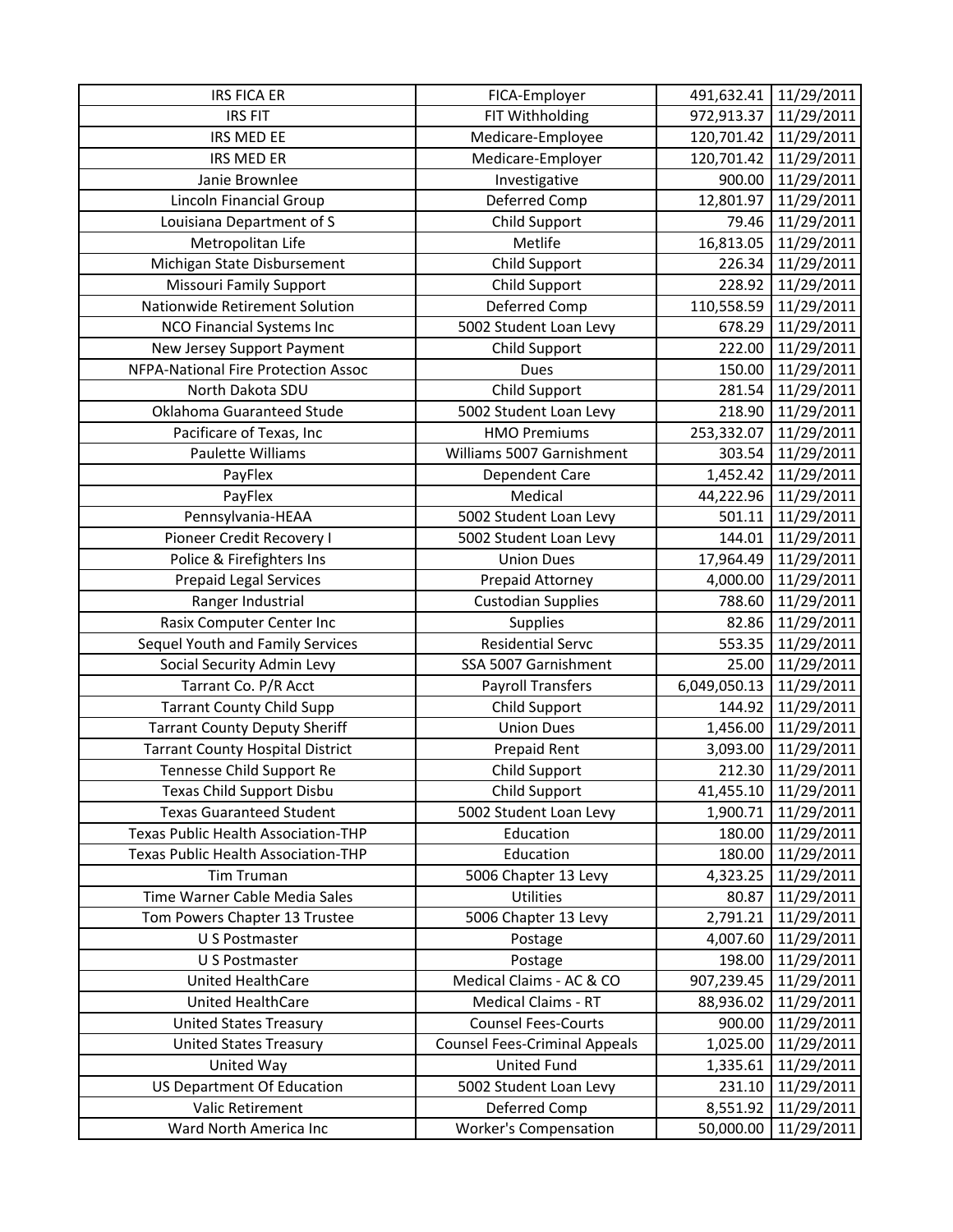| <b>IRS FICA ER</b>                         | FICA-Employer                                 | 491,632.41            | 11/29/2011               |
|--------------------------------------------|-----------------------------------------------|-----------------------|--------------------------|
| <b>IRS FIT</b>                             | FIT Withholding                               | 972,913.37            | 11/29/2011               |
| IRS MED EE                                 | Medicare-Employee                             | 120,701.42            | 11/29/2011               |
| <b>IRS MED ER</b>                          | Medicare-Employer                             | 120,701.42            | 11/29/2011               |
| Janie Brownlee                             | Investigative                                 | 900.00                | 11/29/2011               |
| Lincoln Financial Group                    | Deferred Comp                                 | 12,801.97             | 11/29/2011               |
| Louisiana Department of S                  | Child Support                                 | 79.46                 | 11/29/2011               |
| Metropolitan Life                          | Metlife                                       | 16,813.05             | 11/29/2011               |
| Michigan State Disbursement                | Child Support                                 | 226.34                | 11/29/2011               |
| <b>Missouri Family Support</b>             | Child Support                                 | 228.92                | 11/29/2011               |
| Nationwide Retirement Solution             | Deferred Comp                                 | 110,558.59            | 11/29/2011               |
| <b>NCO Financial Systems Inc</b>           | 5002 Student Loan Levy                        | 678.29                | 11/29/2011               |
| New Jersey Support Payment                 | Child Support                                 | 222.00                | 11/29/2011               |
| NFPA-National Fire Protection Assoc        | <b>Dues</b>                                   | 150.00                | 11/29/2011               |
| North Dakota SDU                           | Child Support                                 | 281.54                | 11/29/2011               |
| Oklahoma Guaranteed Stude                  | 5002 Student Loan Levy                        | 218.90                | 11/29/2011               |
| Pacificare of Texas, Inc                   | <b>HMO Premiums</b>                           | 253,332.07            | 11/29/2011               |
| Paulette Williams                          | Williams 5007 Garnishment                     | 303.54                | 11/29/2011               |
| PayFlex                                    | Dependent Care                                | 1,452.42              | 11/29/2011               |
| PayFlex                                    | Medical                                       | 44,222.96             | 11/29/2011               |
| Pennsylvania-HEAA                          | 5002 Student Loan Levy                        | 501.11                | 11/29/2011               |
| Pioneer Credit Recovery I                  | 5002 Student Loan Levy                        | 144.01                | 11/29/2011               |
| Police & Firefighters Ins                  | <b>Union Dues</b>                             | 17,964.49             | 11/29/2011               |
| <b>Prepaid Legal Services</b>              | Prepaid Attorney                              | 4,000.00              | 11/29/2011               |
| Ranger Industrial                          | <b>Custodian Supplies</b>                     | 788.60                | 11/29/2011               |
| Rasix Computer Center Inc                  | Supplies                                      | 82.86                 | 11/29/2011               |
| Sequel Youth and Family Services           | <b>Residential Servc</b>                      | 553.35                | 11/29/2011               |
|                                            |                                               |                       |                          |
| Social Security Admin Levy                 | SSA 5007 Garnishment                          | 25.00                 | 11/29/2011               |
| Tarrant Co. P/R Acct                       | <b>Payroll Transfers</b>                      | 6,049,050.13          | 11/29/2011               |
| <b>Tarrant County Child Supp</b>           | Child Support                                 | 144.92                | 11/29/2011               |
| <b>Tarrant County Deputy Sheriff</b>       | <b>Union Dues</b>                             | 1,456.00              | 11/29/2011               |
| <b>Tarrant County Hospital District</b>    | Prepaid Rent                                  | 3,093.00              | 11/29/2011               |
| Tennesse Child Support Re                  | Child Support                                 | 212.30                | 11/29/2011               |
| <b>Texas Child Support Disbu</b>           | Child Support                                 | 41,455.10             | 11/29/2011               |
| <b>Texas Guaranteed Student</b>            | 5002 Student Loan Levy                        | 1,900.71              | 11/29/2011               |
| Texas Public Health Association-THP        | Education                                     | 180.00                | 11/29/2011               |
| Texas Public Health Association-THP        | Education                                     | 180.00                | 11/29/2011               |
| Tim Truman                                 | 5006 Chapter 13 Levy                          | 4,323.25              | 11/29/2011               |
| Time Warner Cable Media Sales              | Utilities                                     | 80.87                 | 11/29/2011               |
| Tom Powers Chapter 13 Trustee              | 5006 Chapter 13 Levy                          | 2,791.21              | 11/29/2011               |
| U S Postmaster                             | Postage                                       | 4,007.60              | 11/29/2011               |
| U S Postmaster                             | Postage                                       | 198.00                | 11/29/2011               |
| United HealthCare                          | Medical Claims - AC & CO                      | 907,239.45            | 11/29/2011               |
| United HealthCare                          | <b>Medical Claims - RT</b>                    | 88,936.02             | 11/29/2011               |
| <b>United States Treasury</b>              | <b>Counsel Fees-Courts</b>                    | 900.00                | 11/29/2011               |
| <b>United States Treasury</b>              | <b>Counsel Fees-Criminal Appeals</b>          | 1,025.00              | 11/29/2011               |
| United Way                                 | <b>United Fund</b>                            | 1,335.61              | 11/29/2011               |
| <b>US Department Of Education</b>          | 5002 Student Loan Levy                        | 231.10                | 11/29/2011               |
| Valic Retirement<br>Ward North America Inc | Deferred Comp<br><b>Worker's Compensation</b> | 8,551.92<br>50,000.00 | 11/29/2011<br>11/29/2011 |